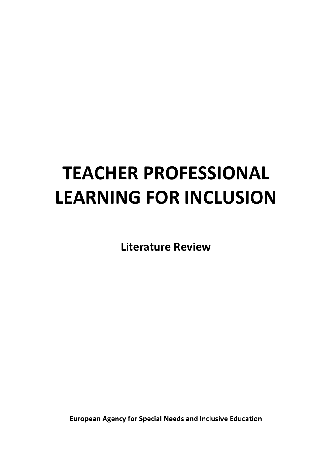# **TEACHER PROFESSIONAL LEARNING FOR INCLUSION**

**Literature Review**

**European Agency for Special Needs and Inclusive Education**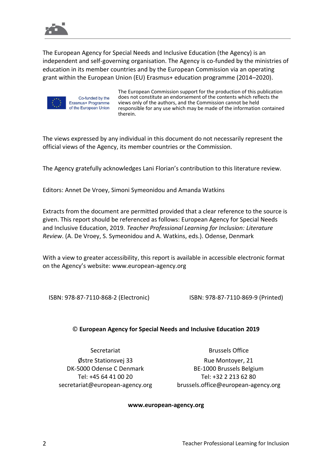

The European Agency for Special Needs and Inclusive Education (the Agency) is an independent and self-governing organisation. The Agency is co-funded by the ministries of education in its member countries and by the European Commission via an operating grant within the European Union (EU) Erasmus+ education programme (2014–2020).



Co-funded by the Erasmus+ Programme of the European Union

The European Commission support for the production of this publication does not constitute an endorsement of the contents which reflects the views only of the authors, and the Commission cannot be held responsible for any use which may be made of the information contained therein.

The views expressed by any individual in this document do not necessarily represent the official views of the Agency, its member countries or the Commission.

The Agency gratefully acknowledges Lani Florian's contribution to this literature review.

Editors: Annet De Vroey, Simoni Symeonidou and Amanda Watkins

Extracts from the document are permitted provided that a clear reference to the source is given. This report should be referenced as follows: European Agency for Special Needs and Inclusive Education, 2019. *Teacher Professional Learning for Inclusion: Literature Review*. (A. De Vroey, S. Symeonidou and A. Watkins, eds.). Odense, Denmark

With a view to greater accessibility, this report is available in accessible electronic format on the Agency's website: [www.european-agency.org](http://www.european-agency.org/)

ISBN: 978-87-7110-868-2 (Electronic) ISBN: 978-87-7110-869-9 (Printed)

#### © **European Agency for Special Needs and Inclusive Education 2019**

Østre Stationsvej 33 DK-5000 Odense C Denmark Tel: +45 64 41 00 20 [secretariat@european-agency.org](mailto:secretariat@european-agency.org)

Secretariat **Brussels Office** 

Rue Montoyer, 21 BE-1000 Brussels Belgium Tel: +32 2 213 62 80 [brussels.office@european-agency.org](mailto:brussels.office@european-agency.org)

#### **[www.european-agency.org](http://www.european-agency.org/)**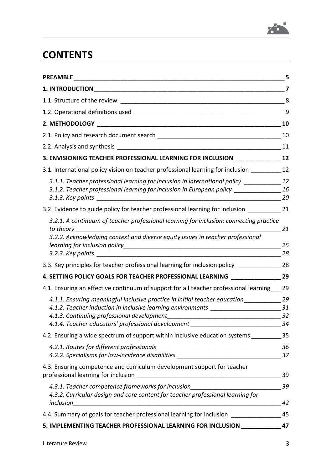

# **CONTENTS**

| <b>PREAMBLE</b>                                                                                                                                                                                                                                      |                      |
|------------------------------------------------------------------------------------------------------------------------------------------------------------------------------------------------------------------------------------------------------|----------------------|
|                                                                                                                                                                                                                                                      | 7                    |
|                                                                                                                                                                                                                                                      | 8                    |
| 1.2. Operational definitions used                                                                                                                                                                                                                    | 9                    |
|                                                                                                                                                                                                                                                      | 10                   |
|                                                                                                                                                                                                                                                      | 10                   |
|                                                                                                                                                                                                                                                      | 11                   |
| 3. ENVISIONING TEACHER PROFESSIONAL LEARNING FOR INCLUSION                                                                                                                                                                                           | 12                   |
| 3.1. International policy vision on teacher professional learning for inclusion                                                                                                                                                                      | 12                   |
| 3.1.1. Teacher professional learning for inclusion in international policy<br>3.1.2. Teacher professional learning for inclusion in European policy ___________                                                                                      | 12<br>16<br>20       |
| 3.2. Evidence to guide policy for teacher professional learning for inclusion                                                                                                                                                                        | 21                   |
| 3.2.1. A continuum of teacher professional learning for inclusion: connecting practice<br>to theory<br>3.2.2. Acknowledging context and diverse equity issues in teacher professional                                                                | 21                   |
|                                                                                                                                                                                                                                                      | 25<br>28             |
| 3.3. Key principles for teacher professional learning for inclusion policy                                                                                                                                                                           | 28                   |
| 4. SETTING POLICY GOALS FOR TEACHER PROFESSIONAL LEARNING _____________                                                                                                                                                                              | 29                   |
| 4.1. Ensuring an effective continuum of support for all teacher professional learning                                                                                                                                                                | 29                   |
| 4.1.1. Ensuring meaningful inclusive practice in initial teacher education_______<br>4.1.2. Teacher induction in inclusive learning environments<br>4.1.3. Continuing professional development<br>4.1.4. Teacher educators' professional development | 29<br>31<br>32<br>34 |
| 4.2. Ensuring a wide spectrum of support within inclusive education systems                                                                                                                                                                          | 35                   |
| 4.2.2. Specialisms for low-incidence disabilities                                                                                                                                                                                                    | 36<br>37             |
| 4.3. Ensuring competence and curriculum development support for teacher<br>professional learning for inclusion                                                                                                                                       | 39                   |
| 4.3.1. Teacher competence frameworks for inclusion______________________________<br>4.3.2. Curricular design and core content for teacher professional learning for<br>inclusion                                                                     | 39<br>42             |
| 4.4. Summary of goals for teacher professional learning for inclusion ____                                                                                                                                                                           | 45                   |
| 5. IMPLEMENTING TEACHER PROFESSIONAL LEARNING FOR INCLUSION                                                                                                                                                                                          | 47                   |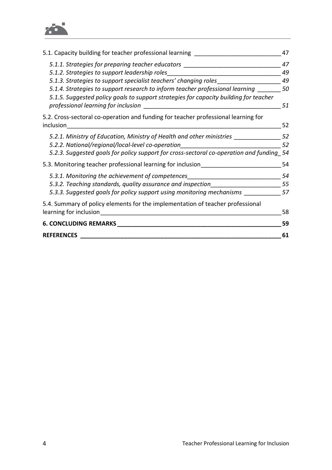

| 5.1. Capacity building for teacher professional learning                                 | 47 |
|------------------------------------------------------------------------------------------|----|
| 5.1.1. Strategies for preparing teacher educators                                        | 47 |
| 5.1.2. Strategies to support leadership roles                                            | 49 |
| 5.1.3. Strategies to support specialist teachers' changing roles                         | 49 |
| 5.1.4. Strategies to support research to inform teacher professional learning            | 50 |
| 5.1.5. Suggested policy goals to support strategies for capacity building for teacher    |    |
| professional learning for inclusion                                                      | 51 |
| 5.2. Cross-sectoral co-operation and funding for teacher professional learning for       |    |
| inclusion                                                                                | 52 |
| 5.2.1. Ministry of Education, Ministry of Health and other ministries                    | 52 |
| 5.2.2. National/regional/local-level co-operation                                        | 52 |
| 5.2.3. Suggested goals for policy support for cross-sectoral co-operation and funding_54 |    |
| 5.3. Monitoring teacher professional learning for inclusion                              | 54 |
| 5.3.1. Monitoring the achievement of competences                                         | 54 |
| 5.3.2. Teaching standards, quality assurance and inspection                              | 55 |
| 5.3.3. Suggested goals for policy support using monitoring mechanisms                    | 57 |
| 5.4. Summary of policy elements for the implementation of teacher professional           |    |
| learning for inclusion                                                                   | 58 |
| <b>6. CONCLUDING REMARKS</b>                                                             | 59 |
| <b>REFERENCES</b>                                                                        | 61 |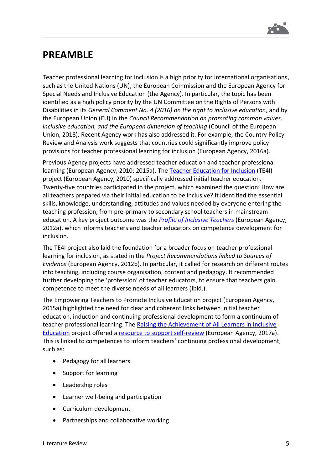

# **PREAMBLE**

Teacher professional learning for inclusion is a high priority for international organisations, such as the United Nations (UN), the European Commission and the European Agency for Special Needs and Inclusive Education (the Agency). In particular, the topic has been identified as a high policy priority by the UN Committee on the Rights of Persons with Disabilities in its *General Comment No. 4 (2016) on the right to inclusive education*, and by the European Union (EU) in the *Council Recommendation on promoting common values, inclusive education, and the European dimension of teaching* (Council of the European Union, 2018). Recent Agency work has also addressed it. For example, the Country Policy Review and Analysis work suggests that countries could significantly improve policy provisions for teacher professional learning for inclusion (European Agency, 2016a).

Previous Agency projects have addressed teacher education and teacher professional learning (European Agency, 2010; 2015a). The [Teacher Education for Inclusion](https://www.european-agency.org/projects/te4i) (TE4I) project (European Agency, 2010) specifically addressed initial teacher education. Twenty-five countries participated in the project, which examined the question: How are all teachers prepared via their initial education to be inclusive? It identified the essential skills, knowledge, understanding, attitudes and values needed by everyone entering the teaching profession, from pre-primary to secondary school teachers in mainstream education. A key project outcome was the *[Profile of Inclusive Teachers](https://www.european-agency.org/resources/publications/teacher-education-inclusion-profile-inclusive-teachers)* (European Agency, 2012a), which informs teachers and teacher educators on competence development for inclusion.

The TE4I project also laid the foundation for a broader focus on teacher professional learning for inclusion, as stated in the *Project Recommendations linked to Sources of Evidence* (European Agency, 2012b). In particular, it called for research on different routes into teaching, including course organisation, content and pedagogy. It recommended further developing the 'profession' of teacher educators, to ensure that teachers gain competence to meet the diverse needs of all learners (ibid.).

The Empowering Teachers to Promote Inclusive Education project (European Agency, 2015a) highlighted the need for clear and coherent links between initial teacher education, induction and continuing professional development to form a continuum of teacher professional learning. The Raising the Achievement of All Learners in Inclusive [Education](https://www.european-agency.org/projects/raising-achievement-all-learners-inclusive-education) project offered [a resource to support self-review](https://www.european-agency.org/resources/publications/raising-achievement-all-learners-self-review) (European Agency, 2017a). This is linked to competences to inform teachers' continuing professional development, such as:

- Pedagogy for all learners
- Support for learning
- Leadership roles
- Learner well-being and participation
- Curriculum development
- Partnerships and collaborative working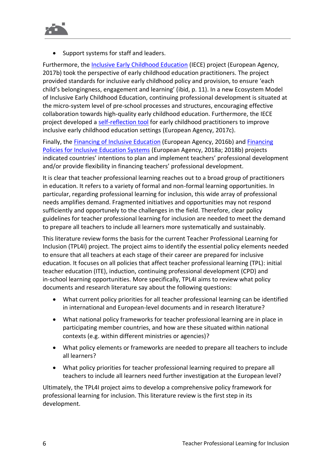

• Support systems for staff and leaders.

Furthermore, the [Inclusive Early Childhood Education](https://www.european-agency.org/projects/iece) (IECE) project (European Agency, 2017b) took the perspective of early childhood education practitioners. The project provided standards for inclusive early childhood policy and provision, to ensure 'each child's belongingness, engagement and learning' (ibid, p. 11). In a new Ecosystem Model of Inclusive Early Childhood Education, continuing professional development is situated at the micro-system level of pre-school processes and structures, encouraging effective collaboration towards high-quality early childhood education. Furthermore, the IECE project developed a [self-reflection tool](https://www.european-agency.org/resources/publications/inclusive-early-childhood-education-environment-self-reflection-tool) for early childhood practitioners to improve inclusive early childhood education settings (European Agency, 2017c).

Finally, the [Financing of Inclusive Education](https://www.european-agency.org/projects/financing-inclusive-education-mapping-country-systems-inclusive-education) (European Agency, 2016b) and Financing [Policies for Inclusive Education Systems](https://www.european-agency.org/projects/financing-policies-inclusive-education-systems) (European Agency, 2018a; 2018b) projects indicated countries' intentions to plan and implement teachers' professional development and/or provide flexibility in financing teachers' professional development.

It is clear that teacher professional learning reaches out to a broad group of practitioners in education. It refers to a variety of formal and non-formal learning opportunities. In particular, regarding professional learning for inclusion, this wide array of professional needs amplifies demand. Fragmented initiatives and opportunities may not respond sufficiently and opportunely to the challenges in the field. Therefore, clear policy guidelines for teacher professional learning for inclusion are needed to meet the demand to prepare all teachers to include all learners more systematically and sustainably.

This literature review forms the basis for the current Teacher Professional Learning for Inclusion (TPL4I) project. The project aims to identify the essential policy elements needed to ensure that all teachers at each stage of their career are prepared for inclusive education. It focuses on all policies that affect teacher professional learning (TPL): initial teacher education (ITE), induction, continuing professional development (CPD) and in-school learning opportunities. More specifically, TPL4I aims to review what policy documents and research literature say about the following questions:

- What current policy priorities for all teacher professional learning can be identified in international and European-level documents and in research literature?
- What national policy frameworks for teacher professional learning are in place in participating member countries, and how are these situated within national contexts (e.g. within different ministries or agencies)?
- What policy elements or frameworks are needed to prepare all teachers to include all learners?
- What policy priorities for teacher professional learning required to prepare all teachers to include all learners need further investigation at the European level?

Ultimately, the TPL4I project aims to develop a comprehensive policy framework for professional learning for inclusion. This literature review is the first step in its development.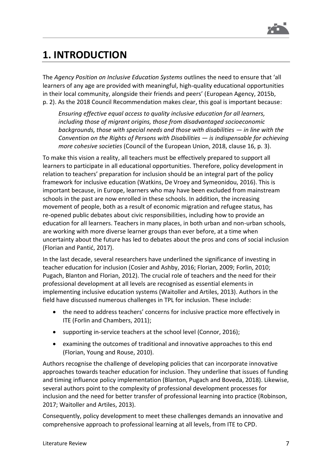

# <span id="page-7-0"></span>**1. INTRODUCTION**

The *Agency Position on Inclusive Education Systems* outlines the need to ensure that 'all learners of any age are provided with meaningful, high-quality educational opportunities in their local community, alongside their friends and peers' (European Agency, 2015b, p. 2). As the 2018 Council Recommendation makes clear, this goal is important because:

*Ensuring effective equal access to quality inclusive education for all learners, including those of migrant origins, those from disadvantaged socioeconomic backgrounds, those with special needs and those with disabilities — in line with the Convention on the Rights of Persons with Disabilities — is indispensable for achieving more cohesive societies* (Council of the European Union, 2018, clause 16, p. 3).

To make this vision a reality, all teachers must be effectively prepared to support all learners to participate in all educational opportunities. Therefore, policy development in relation to teachers' preparation for inclusion should be an integral part of the policy framework for inclusive education (Watkins, De Vroey and Symeonidou, 2016). This is important because, in Europe, learners who may have been excluded from mainstream schools in the past are now enrolled in these schools. In addition, the increasing movement of people, both as a result of economic migration and refugee status, has re-opened public debates about civic responsibilities, including how to provide an education for all learners. Teachers in many places, in both urban and non-urban schools, are working with more diverse learner groups than ever before, at a time when uncertainty about the future has led to debates about the pros and cons of social inclusion (Florian and Pantić, 2017).

In the last decade, several researchers have underlined the significance of investing in teacher education for inclusion (Cosier and Ashby, 2016; Florian, 2009; Forlin, 2010; Pugach, Blanton and Florian, 2012). The crucial role of teachers and the need for their professional development at all levels are recognised as essential elements in implementing inclusive education systems (Waitoller and Artiles, 2013). Authors in the field have discussed numerous challenges in TPL for inclusion. These include:

- the need to address teachers' concerns for inclusive practice more effectively in ITE (Forlin and Chambers, 2011);
- supporting in-service teachers at the school level (Connor, 2016);
- examining the outcomes of traditional and innovative approaches to this end (Florian, Young and Rouse, 2010).

Authors recognise the challenge of developing policies that can incorporate innovative approaches towards teacher education for inclusion. They underline that issues of funding and timing influence policy implementation (Blanton, Pugach and Boveda, 2018). Likewise, several authors point to the complexity of professional development processes for inclusion and the need for better transfer of professional learning into practice (Robinson, 2017; Waitoller and Artiles, 2013).

Consequently, policy development to meet these challenges demands an innovative and comprehensive approach to professional learning at all levels, from ITE to CPD.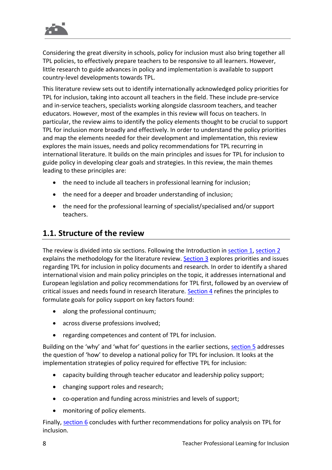

Considering the great diversity in schools, policy for inclusion must also bring together all TPL policies, to effectively prepare teachers to be responsive to all learners. However, little research to guide advances in policy and implementation is available to support country-level developments towards TPL.

This literature review sets out to identify internationally acknowledged policy priorities for TPL for inclusion, taking into account all teachers in the field. These include pre-service and in-service teachers, specialists working alongside classroom teachers, and teacher educators. However, most of the examples in this review will focus on teachers. In particular, the review aims to identify the policy elements thought to be crucial to support TPL for inclusion more broadly and effectively. In order to understand the policy priorities and map the elements needed for their development and implementation, this review explores the main issues, needs and policy recommendations for TPL recurring in international literature. It builds on the main principles and issues for TPL for inclusion to guide policy in developing clear goals and strategies. In this review, the main themes leading to these principles are:

- the need to include all teachers in professional learning for inclusion;
- the need for a deeper and broader understanding of inclusion;
- the need for the professional learning of specialist/specialised and/or support teachers.

### **1.1. Structure of the review**

The review is divided into six sections. Following the Introduction in [section](#page-7-0) 1, [section](#page-10-0) 2 explains the methodology for the literature review. [Section](#page-12-0) 3 explores priorities and issues regarding TPL for inclusion in policy documents and research. In order to identify a shared international vision and main policy principles on the topic, it addresses international and European legislation and policy recommendations for TPL first, followed by an overview of critical issues and needs found in research literature. [Section](#page-29-0) 4 refines the principles to formulate goals for policy support on key factors found:

- along the professional continuum;
- across diverse professions involved;
- regarding competences and content of TPL for inclusion.

Building on the 'why' and 'what for' questions in the earlier sections, [section](#page-47-0) 5 addresses the question of 'how' to develop a national policy for TPL for inclusion. It looks at the implementation strategies of policy required for effective TPL for inclusion:

- capacity building through teacher educator and leadership policy support;
- changing support roles and research;
- co-operation and funding across ministries and levels of support;
- monitoring of policy elements.

Finally, [section](#page-59-0) 6 concludes with further recommendations for policy analysis on TPL for inclusion.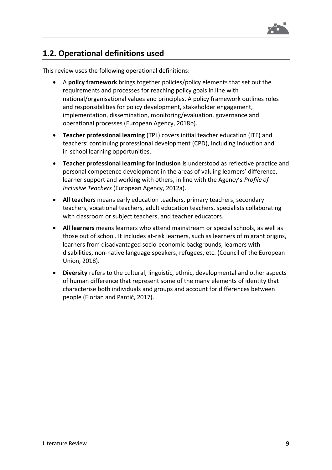

### **1.2. Operational definitions used**

This review uses the following operational definitions:

- A **policy framework** brings together policies/policy elements that set out the requirements and processes for reaching policy goals in line with national/organisational values and principles. A policy framework outlines roles and responsibilities for policy development, stakeholder engagement, implementation, dissemination, monitoring/evaluation, governance and operational processes (European Agency, 2018b).
- **Teacher professional learning** (TPL) covers initial teacher education (ITE) and teachers' continuing professional development (CPD), including induction and in-school learning opportunities.
- **Teacher professional learning for inclusion** is understood as reflective practice and personal competence development in the areas of valuing learners' difference, learner support and working with others, in line with the Agency's *Profile of Inclusive Teachers* (European Agency, 2012a).
- **All teachers** means early education teachers, primary teachers, secondary teachers, vocational teachers, adult education teachers, specialists collaborating with classroom or subject teachers, and teacher educators.
- **All learners** means learners who attend mainstream or special schools, as well as those out of school. It includes at-risk learners, such as learners of migrant origins, learners from disadvantaged socio-economic backgrounds, learners with disabilities, non-native language speakers, refugees, etc. (Council of the European Union, 2018).
- **Diversity** refers to the cultural, linguistic, ethnic, developmental and other aspects of human difference that represent some of the many elements of identity that characterise both individuals and groups and account for differences between people (Florian and Pantić, 2017).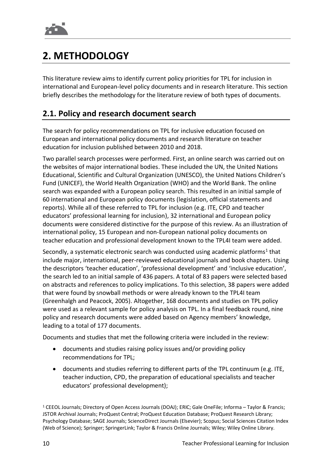

# <span id="page-10-0"></span>**2. METHODOLOGY**

This literature review aims to identify current policy priorities for TPL for inclusion in international and European-level policy documents and in research literature. This section briefly describes the methodology for the literature review of both types of documents.

### **2.1. Policy and research document search**

The search for policy recommendations on TPL for inclusive education focused on European and international policy documents and research literature on teacher education for inclusion published between 2010 and 2018.

Two parallel search processes were performed. First, an online search was carried out on the websites of major international bodies. These included the UN, the United Nations Educational, Scientific and Cultural Organization (UNESCO), the United Nations Children's Fund (UNICEF), the World Health Organization (WHO) and the World Bank. The online search was expanded with a European policy search. This resulted in an initial sample of 60 international and European policy documents (legislation, official statements and reports). While all of these referred to TPL for inclusion (e.g. ITE, CPD and teacher educators' professional learning for inclusion), 32 international and European policy documents were considered distinctive for the purpose of this review. As an illustration of international policy, 15 European and non-European national policy documents on teacher education and professional development known to the TPL4I team were added.

Secondly, a systematic electronic search was conducted using academic platforms<sup>1</sup> that include major, international, peer-reviewed educational journals and book chapters. Using the descriptors 'teacher education', 'professional development' and 'inclusive education', the search led to an initial sample of 436 papers. A total of 83 papers were selected based on abstracts and references to policy implications. To this selection, 38 papers were added that were found by snowball methods or were already known to the TPL4I team (Greenhalgh and Peacock, 2005). Altogether, 168 documents and studies on TPL policy were used as a relevant sample for policy analysis on TPL. In a final feedback round, nine policy and research documents were added based on Agency members' knowledge, leading to a total of 177 documents.

Documents and studies that met the following criteria were included in the review:

- documents and studies raising policy issues and/or providing policy recommendations for TPL;
- documents and studies referring to different parts of the TPL continuum (e.g. ITE, teacher induction, CPD, the preparation of educational specialists and teacher educators' professional development);

<sup>1</sup> CEEOL Journals; Directory of Open Access Journals (DOAJ); ERIC; Gale OneFile; Informa – Taylor & Francis; JSTOR Archival Journals; ProQuest Central; ProQuest Education Database; ProQuest Research Library; Psychology Database; SAGE Journals; ScienceDirect Journals (Elsevier); Scopus; Social Sciences Citation Index (Web of Science); Springer; SpringerLink; Taylor & Francis Online Journals; Wiley; Wiley Online Library.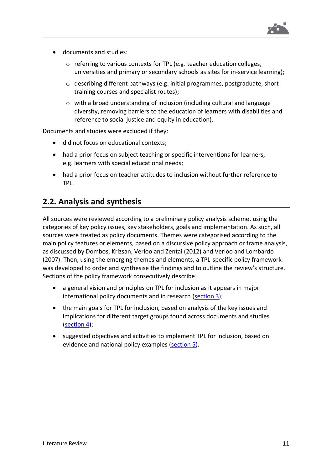

- documents and studies:
	- o referring to various contexts for TPL (e.g. teacher education colleges, universities and primary or secondary schools as sites for in-service learning);
	- o describing different pathways (e.g. initial programmes, postgraduate, short training courses and specialist routes);
	- $\circ$  with a broad understanding of inclusion (including cultural and language diversity, removing barriers to the education of learners with disabilities and reference to social justice and equity in education).

Documents and studies were excluded if they:

- did not focus on educational contexts;
- had a prior focus on subject teaching or specific interventions for learners, e.g. learners with special educational needs;
- had a prior focus on teacher attitudes to inclusion without further reference to TPL.

### **2.2. Analysis and synthesis**

All sources were reviewed according to a preliminary policy analysis scheme, using the categories of key policy issues, key stakeholders, goals and implementation. As such, all sources were treated as policy documents. Themes were categorised according to the main policy features or elements, based on a discursive policy approach or frame analysis, as discussed by Dombos, Krizsan, Verloo and Zentai (2012) and Verloo and Lombardo (2007). Then, using the emerging themes and elements, a TPL-specific policy framework was developed to order and synthesise the findings and to outline the review's structure. Sections of the policy framework consecutively describe:

- a general vision and principles on TPL for inclusion as it appears in major international policy documents and in research [\(section](#page-12-0) 3);
- the main goals for TPL for inclusion, based on analysis of the key issues and implications for different target groups found across documents and studies [\(section](#page-29-0) 4);
- suggested objectives and activities to implement TPL for inclusion, based on evidence and national policy examples [\(section](#page-47-0) 5).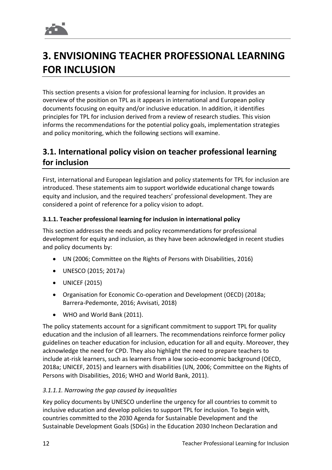# <span id="page-12-0"></span>**3. ENVISIONING TEACHER PROFESSIONAL LEARNING FOR INCLUSION**

This section presents a vision for professional learning for inclusion. It provides an overview of the position on TPL as it appears in international and European policy documents focusing on equity and/or inclusive education. In addition, it identifies principles for TPL for inclusion derived from a review of research studies. This vision informs the recommendations for the potential policy goals, implementation strategies and policy monitoring, which the following sections will examine.

# **3.1. International policy vision on teacher professional learning for inclusion**

First, international and European legislation and policy statements for TPL for inclusion are introduced. These statements aim to support worldwide educational change towards equity and inclusion, and the required teachers' professional development. They are considered a point of reference for a policy vision to adopt.

#### **3.1.1. Teacher professional learning for inclusion in international policy**

This section addresses the needs and policy recommendations for professional development for equity and inclusion, as they have been acknowledged in recent studies and policy documents by:

- UN (2006; Committee on the Rights of Persons with Disabilities, 2016)
- UNESCO (2015; 2017a)
- UNICEF (2015)
- Organisation for Economic Co-operation and Development (OECD) (2018a; Barrera-Pedemonte, 2016; Avvisati, 2018)
- WHO and World Bank (2011).

The policy statements account for a significant commitment to support TPL for quality education and the inclusion of all learners. The recommendations reinforce former policy guidelines on teacher education for inclusion, education for all and equity. Moreover, they acknowledge the need for CPD. They also highlight the need to prepare teachers to include at-risk learners, such as learners from a low socio-economic background (OECD, 2018a; UNICEF, 2015) and learners with disabilities (UN, 2006; Committee on the Rights of Persons with Disabilities, 2016; WHO and World Bank, 2011).

#### *3.1.1.1. Narrowing the gap caused by inequalities*

Key policy documents by UNESCO underline the urgency for all countries to commit to inclusive education and develop policies to support TPL for inclusion. To begin with, countries committed to the 2030 Agenda for Sustainable Development and the Sustainable Development Goals (SDGs) in the Education 2030 Incheon Declaration and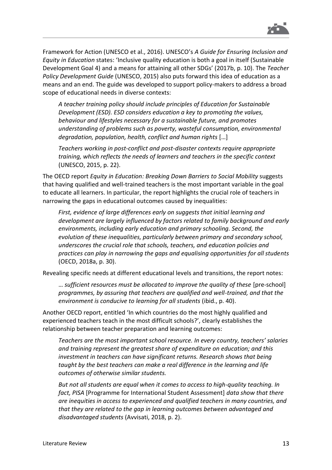

Framework for Action (UNESCO et al., 2016). UNESCO's *A Guide for Ensuring Inclusion and Equity in Education* states: 'Inclusive quality education is both a goal in itself (Sustainable Development Goal 4) and a means for attaining all other SDGs' (2017b, p. 10). The *Teacher Policy Development Guide* (UNESCO, 2015) also puts forward this idea of education as a means and an end. The guide was developed to support policy-makers to address a broad scope of educational needs in diverse contexts:

*A teacher training policy should include principles of Education for Sustainable Development (ESD). ESD considers education a key to promoting the values, behaviour and lifestyles necessary for a sustainable future, and promotes understanding of problems such as poverty, wasteful consumption, environmental degradation, population, health, conflict and human rights* […]

*Teachers working in post-conflict and post-disaster contexts require appropriate training, which reflects the needs of learners and teachers in the specific context* (UNESCO, 2015, p. 22).

The OECD report *Equity in Education: Breaking Down Barriers to Social Mobility* suggests that having qualified and well-trained teachers is the most important variable in the goal to educate all learners. In particular, the report highlights the crucial role of teachers in narrowing the gaps in educational outcomes caused by inequalities:

*First, evidence of large differences early on suggests that initial learning and development are largely influenced by factors related to family background and early environments, including early education and primary schooling. Second, the evolution of these inequalities, particularly between primary and secondary school, underscores the crucial role that schools, teachers, and education policies and practices can play in narrowing the gaps and equalising opportunities for all students* (OECD, 2018a, p. 30).

Revealing specific needs at different educational levels and transitions, the report notes:

… *sufficient resources must be allocated to improve the quality of these* [pre-school] *programmes, by assuring that teachers are qualified and well-trained, and that the environment is conducive to learning for all students* (ibid., p. 40).

Another OECD report, entitled 'In which countries do the most highly qualified and experienced teachers teach in the most difficult schools?', clearly establishes the relationship between teacher preparation and learning outcomes:

*Teachers are the most important school resource. In every country, teachers' salaries and training represent the greatest share of expenditure on education; and this investment in teachers can have significant returns. Research shows that being taught by the best teachers can make a real difference in the learning and life outcomes of otherwise similar students.*

*But not all students are equal when it comes to access to high-quality teaching. In fact, PISA* [Programme for International Student Assessment] *data show that there are inequities in access to experienced and qualified teachers in many countries, and that they are related to the gap in learning outcomes between advantaged and disadvantaged students* (Avvisati, 2018, p. 2).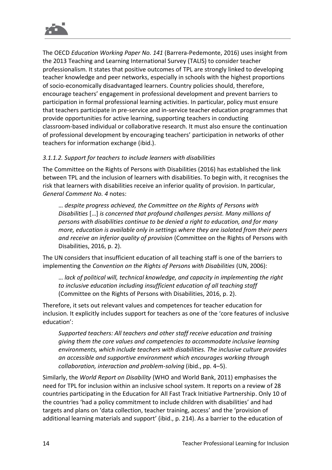

The OECD *Education Working Paper No. 141* (Barrera-Pedemonte, 2016) uses insight from the 2013 Teaching and Learning International Survey (TALIS) to consider teacher professionalism. It states that positive outcomes of TPL are strongly linked to developing teacher knowledge and peer networks, especially in schools with the highest proportions of socio-economically disadvantaged learners. Country policies should, therefore, encourage teachers' engagement in professional development and prevent barriers to participation in formal professional learning activities. In particular, policy must ensure that teachers participate in pre-service and in-service teacher education programmes that provide opportunities for active learning, supporting teachers in conducting classroom-based individual or collaborative research. It must also ensure the continuation of professional development by encouraging teachers' participation in networks of other teachers for information exchange (ibid.).

#### *3.1.1.2. Support for teachers to include learners with disabilities*

The Committee on the Rights of Persons with Disabilities (2016) has established the link between TPL and the inclusion of learners with disabilities. To begin with, it recognises the risk that learners with disabilities receive an inferior quality of provision. In particular, *General Comment No. 4* notes:

… *despite progress achieved, the Committee on the Rights of Persons with Disabilities* […] *is concerned that profound challenges persist. Many millions of persons with disabilities continue to be denied a right to education, and for many more, education is available only in settings where they are isolated from their peers and receive an inferior quality of provision* (Committee on the Rights of Persons with Disabilities, 2016, p. 2).

The UN considers that insufficient education of all teaching staff is one of the barriers to implementing the *Convention on the Rights of Persons with Disabilities* (UN, 2006):

… *lack of political will, technical knowledge, and capacity in implementing the right to inclusive education including insufficient education of all teaching staff* (Committee on the Rights of Persons with Disabilities, 2016, p. 2).

Therefore, it sets out relevant values and competences for teacher education for inclusion. It explicitly includes support for teachers as one of the 'core features of inclusive education':

*Supported teachers: All teachers and other staff receive education and training giving them the core values and competencies to accommodate inclusive learning environments, which include teachers with disabilities. The inclusive culture provides an accessible and supportive environment which encourages working through collaboration, interaction and problem-solving* (ibid., pp. 4–5).

Similarly, the *World Report on Disability* (WHO and World Bank, 2011) emphasises the need for TPL for inclusion within an inclusive school system. It reports on a review of 28 countries participating in the Education for All Fast Track Initiative Partnership. Only 10 of the countries 'had a policy commitment to include children with disabilities' and had targets and plans on 'data collection, teacher training, access' and the 'provision of additional learning materials and support' (ibid., p. 214). As a barrier to the education of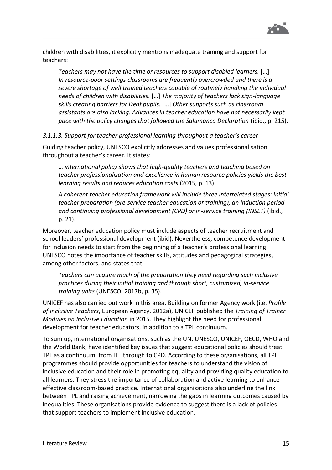

children with disabilities, it explicitly mentions inadequate training and support for teachers:

*Teachers may not have the time or resources to support disabled learners.* […] *In resource-poor settings classrooms are frequently overcrowded and there is a severe shortage of well trained teachers capable of routinely handling the individual needs of children with disabilities.* […] *The majority of teachers lack sign-language skills creating barriers for Deaf pupils.* […] *Other supports such as classroom assistants are also lacking. Advances in teacher education have not necessarily kept pace with the policy changes that followed the Salamanca Declaration* (ibid., p. 215).

*3.1.1.3. Support for teacher professional learning throughout a teacher's career*

Guiding teacher policy, UNESCO explicitly addresses and values professionalisation throughout a teacher's career. It states:

… *international policy shows that high-quality teachers and teaching based on teacher professionalization and excellence in human resource policies yields the best learning results and reduces education costs* (2015, p. 13).

*A coherent teacher education framework will include three interrelated stages: initial teacher preparation (pre-service teacher education or training), an induction period and continuing professional development (CPD) or in-service training (INSET)* (ibid., p. 21).

Moreover, teacher education policy must include aspects of teacher recruitment and school leaders' professional development (ibid). Nevertheless, competence development for inclusion needs to start from the beginning of a teacher's professional learning. UNESCO notes the importance of teacher skills, attitudes and pedagogical strategies, among other factors, and states that:

*Teachers can acquire much of the preparation they need regarding such inclusive practices during their initial training and through short, customized, in-service training units* (UNESCO, 2017b, p. 35).

UNICEF has also carried out work in this area. Building on former Agency work (i.e. *Profile of Inclusive Teachers*, European Agency, 2012a), UNICEF published the *Training of Trainer Modules on Inclusive Education* in 2015. They highlight the need for professional development for teacher educators, in addition to a TPL continuum.

To sum up, international organisations, such as the UN, UNESCO, UNICEF, OECD, WHO and the World Bank, have identified key issues that suggest educational policies should treat TPL as a continuum, from ITE through to CPD. According to these organisations, all TPL programmes should provide opportunities for teachers to understand the vision of inclusive education and their role in promoting equality and providing quality education to all learners. They stress the importance of collaboration and active learning to enhance effective classroom-based practice. International organisations also underline the link between TPL and raising achievement, narrowing the gaps in learning outcomes caused by inequalities. These organisations provide evidence to suggest there is a lack of policies that support teachers to implement inclusive education.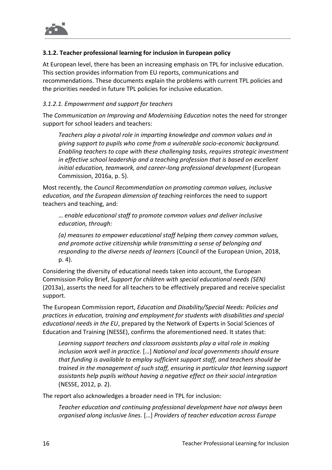

#### **3.1.2. Teacher professional learning for inclusion in European policy**

At European level, there has been an increasing emphasis on TPL for inclusive education. This section provides information from EU reports, communications and recommendations. These documents explain the problems with current TPL policies and the priorities needed in future TPL policies for inclusive education.

#### *3.1.2.1. Empowerment and support for teachers*

The *Communication on Improving and Modernising Education* notes the need for stronger support for school leaders and teachers:

*Teachers play a pivotal role in imparting knowledge and common values and in giving support to pupils who come from a vulnerable socio-economic background. Enabling teachers to cope with these challenging tasks, requires strategic investment in effective school leadership and a teaching profession that is based on excellent initial education, teamwork, and career-long professional development* (European Commission, 2016a, p. 5).

Most recently, the *Council Recommendation on promoting common values, inclusive education, and the European dimension of teaching* reinforces the need to support teachers and teaching, and:

… *enable educational staff to promote common values and deliver inclusive education, through:*

*(a) measures to empower educational staff helping them convey common values, and promote active citizenship while transmitting a sense of belonging and responding to the diverse needs of learners* (Council of the European Union, 2018, p. 4).

Considering the diversity of educational needs taken into account, the European Commission Policy Brief, *Support for children with special educational needs (SEN)* (2013a), asserts the need for all teachers to be effectively prepared and receive specialist support.

The European Commission report, *Education and Disability/Special Needs: Policies and practices in education, training and employment for students with disabilities and special educational needs in the EU*, prepared by the Network of Experts in Social Sciences of Education and Training (NESSE), confirms the aforementioned need. It states that:

*Learning support teachers and classroom assistants play a vital role in making inclusion work well in practice.* […] *National and local governments should ensure that funding is available to employ sufficient support staff, and teachers should be trained in the management of such staff, ensuring in particular that learning support assistants help pupils without having a negative effect on their social integration* (NESSE, 2012, p. 2).

The report also acknowledges a broader need in TPL for inclusion:

*Teacher education and continuing professional development have not always been organised along inclusive lines.* […] *Providers of teacher education across Europe*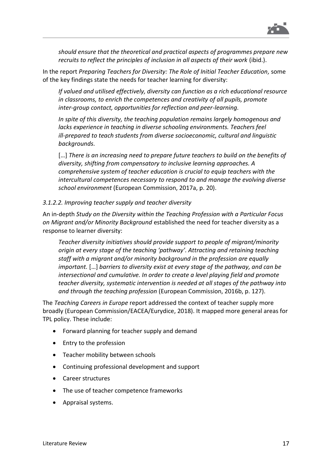

*should ensure that the theoretical and practical aspects of programmes prepare new recruits to reflect the principles of inclusion in all aspects of their work* (ibid.).

In the report *Preparing Teachers for Diversity: The Role of Initial Teacher Education,* some of the key findings state the needs for teacher learning for diversity:

*If valued and utilised effectively, diversity can function as a rich educational resource in classrooms, to enrich the competences and creativity of all pupils, promote inter-group contact, opportunities for reflection and peer-learning.*

*In spite of this diversity, the teaching population remains largely homogenous and lacks experience in teaching in diverse schooling environments. Teachers feel ill-prepared to teach students from diverse socioeconomic, cultural and linguistic backgrounds.*

[...] There is an increasing need to prepare future teachers to build on the benefits of *diversity, shifting from compensatory to inclusive learning approaches. A comprehensive system of teacher education is crucial to equip teachers with the intercultural competences necessary to respond to and manage the evolving diverse school environment* (European Commission, 2017a, p. 20).

#### *3.1.2.2. Improving teacher supply and teacher diversity*

An in-depth *Study on the Diversity within the Teaching Profession with a Particular Focus on Migrant and/or Minority Background* established the need for teacher diversity as a response to learner diversity:

*Teacher diversity initiatives should provide support to people of migrant/minority origin at every stage of the teaching 'pathway'. Attracting and retaining teaching staff with a migrant and/or minority background in the profession are equally important.* […] *barriers to diversity exist at every stage of the pathway, and can be intersectional and cumulative. In order to create a level playing field and promote teacher diversity, systematic intervention is needed at all stages of the pathway into and through the teaching profession* (European Commission, 2016b, p. 127).

The *Teaching Careers in Europe* report addressed the context of teacher supply more broadly (European Commission/EACEA/Eurydice, 2018). It mapped more general areas for TPL policy. These include:

- Forward planning for teacher supply and demand
- Entry to the profession
- Teacher mobility between schools
- Continuing professional development and support
- Career structures
- The use of teacher competence frameworks
- Appraisal systems.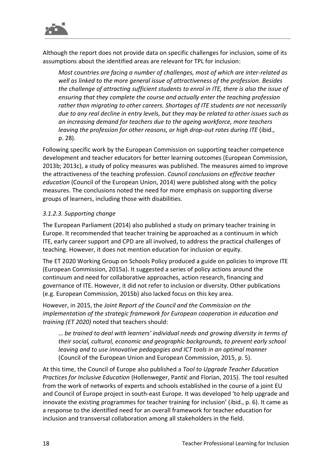

Although the report does not provide data on specific challenges for inclusion, some of its assumptions about the identified areas are relevant for TPL for inclusion:

*Most countries are facing a number of challenges, most of which are inter-related as well as linked to the more general issue of attractiveness of the profession. Besides the challenge of attracting sufficient students to enrol in ITE, there is also the issue of ensuring that they complete the course and actually enter the teaching profession rather than migrating to other careers. Shortages of ITE students are not necessarily due to any real decline in entry levels, but they may be related to other issues such as an increasing demand for teachers due to the ageing workforce, more teachers leaving the profession for other reasons, or high drop-out rates during ITE* (ibid., p. 28).

Following specific work by the European Commission on supporting teacher competence development and teacher educators for better learning outcomes (European Commission, 2013b; 2013c), a study of policy measures was published. The measures aimed to improve the attractiveness of the teaching profession. *Council conclusions on effective teacher education* (Council of the European Union, 2014) were published along with the policy measures. The conclusions noted the need for more emphasis on supporting diverse groups of learners, including those with disabilities.

#### *3.1.2.3. Supporting change*

The European Parliament (2014) also published a study on primary teacher training in Europe. It recommended that teacher training be approached as a continuum in which ITE, early career support and CPD are all involved, to address the practical challenges of teaching. However, it does not mention education for inclusion or equity.

The ET 2020 Working Group on Schools Policy produced a guide on policies to improve ITE (European Commission, 2015a). It suggested a series of policy actions around the continuum and need for collaborative approaches, action research, financing and governance of ITE. However, it did not refer to inclusion or diversity. Other publications (e.g. European Commission, 2015b) also lacked focus on this key area.

However, in 2015, the *Joint Report of the Council and the Commission on the implementation of the strategic framework for European cooperation in education and training (ET 2020)* noted that teachers should:

… *be trained to deal with learners' individual needs and growing diversity in terms of their social, cultural, economic and geographic backgrounds, to prevent early school leaving and to use innovative pedagogies and ICT tools in an optimal manner*  (Council of the European Union and European Commission, 2015, p. 5).

At this time, the Council of Europe also published a *Tool to Upgrade Teacher Education Practices for Inclusive Education* (Hollenweger, Pantić and Florian, 2015). The tool resulted from the work of networks of experts and schools established in the course of a joint EU and Council of Europe project in south-east Europe. It was developed 'to help upgrade and innovate the existing programmes for teacher training for inclusion' (ibid., p. 6). It came as a response to the identified need for an overall framework for teacher education for inclusion and transversal collaboration among all stakeholders in the field.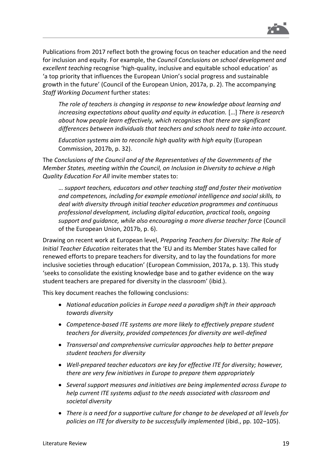

Publications from 2017 reflect both the growing focus on teacher education and the need for inclusion and equity. For example, the *Council Conclusions on school development and excellent teaching* recognise 'high-quality, inclusive and equitable school education' as 'a top priority that influences the European Union's social progress and sustainable growth in the future' (Council of the European Union, 2017a, p. 2). The accompanying *Staff Working Document* further states:

*The role of teachers is changing in response to new knowledge about learning and increasing expectations about quality and equity in education.* […] *There is research about how people learn effectively, which recognises that there are significant differences between individuals that teachers and schools need to take into account.*

*Education systems aim to reconcile high quality with high equity* (European Commission, 2017b, p. 32).

The *Conclusions of the Council and of the Representatives of the Governments of the Member States, meeting within the Council, on Inclusion in Diversity to achieve a High Quality Education For All* invite member states to:

… *support teachers, educators and other teaching staff and foster their motivation and competences, including for example emotional intelligence and social skills, to deal with diversity through initial teacher education programmes and continuous professional development, including digital education, practical tools, ongoing support and guidance, while also encouraging a more diverse teacher force* (Council of the European Union, 2017b, p. 6).

Drawing on recent work at European level, *Preparing Teachers for Diversity: The Role of Initial Teacher Education* reiterates that the 'EU and its Member States have called for renewed efforts to prepare teachers for diversity, and to lay the foundations for more inclusive societies through education' (European Commission, 2017a, p. 13). This study 'seeks to consolidate the existing knowledge base and to gather evidence on the way student teachers are prepared for diversity in the classroom' (ibid.).

This key document reaches the following conclusions:

- *National education policies in Europe need a paradigm shift in their approach towards diversity*
- *Competence-based ITE systems are more likely to effectively prepare student teachers for diversity, provided competences for diversity are well-defined*
- *Transversal and comprehensive curricular approaches help to better prepare student teachers for diversity*
- *Well-prepared teacher educators are key for effective ITE for diversity; however, there are very few initiatives in Europe to prepare them appropriately*
- *Several support measures and initiatives are being implemented across Europe to help current ITE systems adjust to the needs associated with classroom and societal diversity*
- *There is a need for a supportive culture for change to be developed at all levels for policies on ITE for diversity to be successfully implemented* (ibid., pp. 102–105).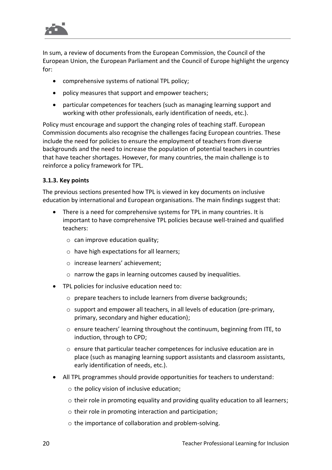

In sum, a review of documents from the European Commission, the Council of the European Union, the European Parliament and the Council of Europe highlight the urgency for:

- comprehensive systems of national TPL policy;
- policy measures that support and empower teachers;
- particular competences for teachers (such as managing learning support and working with other professionals, early identification of needs, etc.).

Policy must encourage and support the changing roles of teaching staff. European Commission documents also recognise the challenges facing European countries. These include the need for policies to ensure the employment of teachers from diverse backgrounds and the need to increase the population of potential teachers in countries that have teacher shortages. However, for many countries, the main challenge is to reinforce a policy framework for TPL.

#### **3.1.3. Key points**

The previous sections presented how TPL is viewed in key documents on inclusive education by international and European organisations. The main findings suggest that:

- There is a need for comprehensive systems for TPL in many countries. It is important to have comprehensive TPL policies because well-trained and qualified teachers:
	- $\circ$  can improve education quality;
	- o have high expectations for all learners;
	- o increase learners' achievement;
	- o narrow the gaps in learning outcomes caused by inequalities.
- TPL policies for inclusive education need to:
	- o prepare teachers to include learners from diverse backgrounds;
	- o support and empower all teachers, in all levels of education (pre-primary, primary, secondary and higher education);
	- o ensure teachers' learning throughout the continuum, beginning from ITE, to induction, through to CPD;
	- $\circ$  ensure that particular teacher competences for inclusive education are in place (such as managing learning support assistants and classroom assistants, early identification of needs, etc.).
- All TPL programmes should provide opportunities for teachers to understand:
	- o the policy vision of inclusive education;
	- $\circ$  their role in promoting equality and providing quality education to all learners;
	- o their role in promoting interaction and participation;
	- o the importance of collaboration and problem-solving.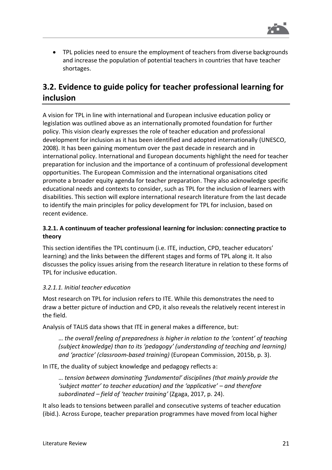

• TPL policies need to ensure the employment of teachers from diverse backgrounds and increase the population of potential teachers in countries that have teacher shortages.

# **3.2. Evidence to guide policy for teacher professional learning for inclusion**

A vision for TPL in line with international and European inclusive education policy or legislation was outlined above as an internationally promoted foundation for further policy. This vision clearly expresses the role of teacher education and professional development for inclusion as it has been identified and adopted internationally (UNESCO, 2008). It has been gaining momentum over the past decade in research and in international policy. International and European documents highlight the need for teacher preparation for inclusion and the importance of a continuum of professional development opportunities. The European Commission and the international organisations cited promote a broader equity agenda for teacher preparation. They also acknowledge specific educational needs and contexts to consider, such as TPL for the inclusion of learners with disabilities. This section will explore international research literature from the last decade to identify the main principles for policy development for TPL for inclusion, based on recent evidence.

#### **3.2.1. A continuum of teacher professional learning for inclusion: connecting practice to theory**

This section identifies the TPL continuum (i.e. ITE, induction, CPD, teacher educators' learning) and the links between the different stages and forms of TPL along it. It also discusses the policy issues arising from the research literature in relation to these forms of TPL for inclusive education.

#### *3.2.1.1. Initial teacher education*

Most research on TPL for inclusion refers to ITE. While this demonstrates the need to draw a better picture of induction and CPD, it also reveals the relatively recent interest in the field.

Analysis of TALIS data shows that ITE in general makes a difference, but:

… *the overall feeling of preparedness is higher in relation to the 'content' of teaching (subject knowledge) than to its 'pedagogy' (understanding of teaching and learning) and 'practice' (classroom-based training)* (European Commission, 2015b, p. 3).

In ITE, the duality of subject knowledge and pedagogy reflects a:

… *tension between dominating 'fundamental' disciplines (that mainly provide the 'subject matter' to teacher education) and the 'applicative' – and therefore subordinated – field of 'teacher training'* (Zgaga, 2017, p. 24).

It also leads to tensions between parallel and consecutive systems of teacher education (ibid.). Across Europe, teacher preparation programmes have moved from local higher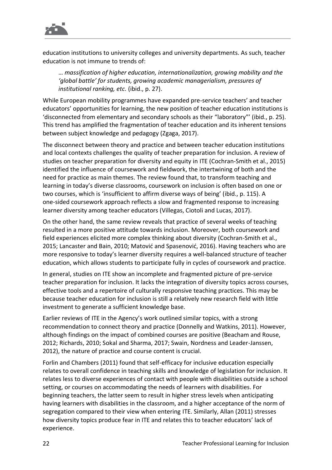

education institutions to university colleges and university departments. As such, teacher education is not immune to trends of:

… *massification of higher education, internationalization, growing mobility and the 'global battle' for students, growing academic managerialism, pressures of institutional ranking, etc.* (ibid., p. 27).

While European mobility programmes have expanded pre-service teachers' and teacher educators' opportunities for learning, the new position of teacher education institutions is 'disconnected from elementary and secondary schools as their "laboratory"' (ibid., p. 25). This trend has amplified the fragmentation of teacher education and its inherent tensions between subject knowledge and pedagogy (Zgaga, 2017).

The disconnect between theory and practice and between teacher education institutions and local contexts challenges the quality of teacher preparation for inclusion. A review of studies on teacher preparation for diversity and equity in ITE (Cochran-Smith et al., 2015) identified the influence of coursework and fieldwork, the intertwining of both and the need for practice as main themes. The review found that, to transform teaching and learning in today's diverse classrooms, coursework on inclusion is often based on one or two courses, which is 'insufficient to affirm diverse ways of being' (ibid., p. 115). A one-sided coursework approach reflects a slow and fragmented response to increasing learner diversity among teacher educators (Villegas, Ciotoli and Lucas, 2017).

On the other hand, the same review reveals that practice of several weeks of teaching resulted in a more positive attitude towards inclusion. Moreover, both coursework and field experiences elicited more complex thinking about diversity (Cochran-Smith et al., 2015; Lancaster and Bain, 2010; Matović and Spasenović, 2016). Having teachers who are more responsive to today's learner diversity requires a well-balanced structure of teacher education, which allows students to participate fully in cycles of coursework and practice.

In general, studies on ITE show an incomplete and fragmented picture of pre-service teacher preparation for inclusion. It lacks the integration of diversity topics across courses, effective tools and a repertoire of culturally responsive teaching practices. This may be because teacher education for inclusion is still a relatively new research field with little investment to generate a sufficient knowledge base.

Earlier reviews of ITE in the Agency's work outlined similar topics, with a strong recommendation to connect theory and practice (Donnelly and Watkins, 2011). However, although findings on the impact of combined courses are positive (Beacham and Rouse, 2012; Richards, 2010; Sokal and Sharma, 2017; Swain, Nordness and Leader-Janssen, 2012), the nature of practice and course content is crucial.

Forlin and Chambers (2011) found that self-efficacy for inclusive education especially relates to overall confidence in teaching skills and knowledge of legislation for inclusion. It relates less to diverse experiences of contact with people with disabilities outside a school setting, or courses on accommodating the needs of learners with disabilities. For beginning teachers, the latter seem to result in higher stress levels when anticipating having learners with disabilities in the classroom, and a higher acceptance of the norm of segregation compared to their view when entering ITE. Similarly, Allan (2011) stresses how diversity topics produce fear in ITE and relates this to teacher educators' lack of experience.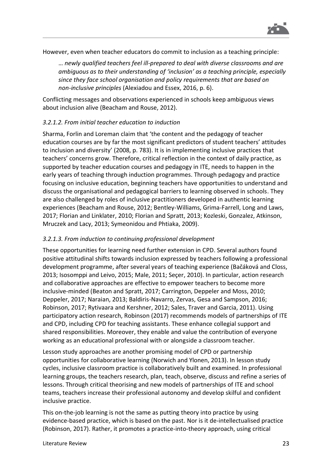

However, even when teacher educators do commit to inclusion as a teaching principle:

… *newly qualified teachers feel ill-prepared to deal with diverse classrooms and are ambiguous as to their understanding of 'inclusion' as a teaching principle, especially since they face school organisation and policy requirements that are based on non-inclusive principles* (Alexiadou and Essex, 2016, p. 6).

Conflicting messages and observations experienced in schools keep ambiguous views about inclusion alive (Beacham and Rouse, 2012).

#### *3.2.1.2. From initial teacher education to induction*

Sharma, Forlin and Loreman claim that 'the content and the pedagogy of teacher education courses are by far the most significant predictors of student teachers' attitudes to inclusion and diversity' (2008, p. 783). It is in implementing inclusive practices that teachers' concerns grow. Therefore, critical reflection in the context of daily practice, as supported by teacher education courses and pedagogy in ITE, needs to happen in the early years of teaching through induction programmes. Through pedagogy and practice focusing on inclusive education, beginning teachers have opportunities to understand and discuss the organisational and pedagogical barriers to learning observed in schools. They are also challenged by roles of inclusive practitioners developed in authentic learning experiences (Beacham and Rouse, 2012; Bentley-Williams, Grima-Farrell, Long and Laws, 2017; Florian and Linklater, 2010; Florian and Spratt, 2013; Kozleski, Gonzalez, Atkinson, Mruczek and Lacy, 2013; Symeonidou and Phtiaka, 2009).

#### *3.2.1.3. From induction to continuing professional development*

These opportunities for learning need further extension in CPD. Several authors found positive attitudinal shifts towards inclusion expressed by teachers following a professional development programme, after several years of teaching experience (Bačáková and Closs, 2013; Isosomppi and Leivo, 2015; Male, 2011; Seçer, 2010). In particular, action research and collaborative approaches are effective to empower teachers to become more inclusive-minded (Beaton and Spratt, 2017; Carrington, Deppeler and Moss, 2010; Deppeler, 2017; Naraian, 2013; Baldiris-Navarro, Zervas, Gesa and Sampson, 2016; Robinson, 2017; Rytivaara and Kershner, 2012; Sales, Traver and Garcia, 2011). Using participatory action research, Robinson (2017) recommends models of partnerships of ITE and CPD, including CPD for teaching assistants. These enhance collegial support and shared responsibilities. Moreover, they enable and value the contribution of everyone working as an educational professional with or alongside a classroom teacher.

Lesson study approaches are another promising model of CPD or partnership opportunities for collaborative learning (Norwich and Ylonen, 2013). In lesson study cycles, inclusive classroom practice is collaboratively built and examined. In professional learning groups, the teachers research, plan, teach, observe, discuss and refine a series of lessons. Through critical theorising and new models of partnerships of ITE and school teams, teachers increase their professional autonomy and develop skilful and confident inclusive practice.

This on-the-job learning is not the same as putting theory into practice by using evidence-based practice, which is based on the past. Nor is it de-intellectualised practice (Robinson, 2017). Rather, it promotes a practice-into-theory approach, using critical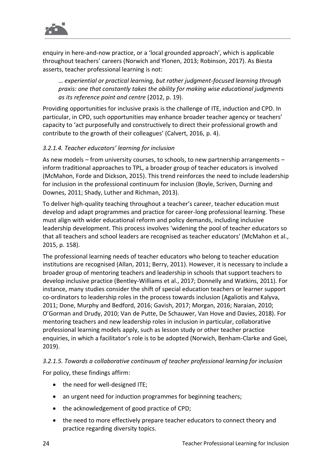

enquiry in here-and-now practice, or a 'local grounded approach', which is applicable throughout teachers' careers (Norwich and Ylonen, 2013; Robinson, 2017). As Biesta asserts, teacher professional learning is not:

… *experiential or practical learning, but rather judgment-focused learning through praxis: one that constantly takes the ability for making wise educational judgments as its reference point and centre* (2012, p. 19).

Providing opportunities for inclusive praxis is the challenge of ITE, induction and CPD. In particular, in CPD, such opportunities may enhance broader teacher agency or teachers' capacity to 'act purposefully and constructively to direct their professional growth and contribute to the growth of their colleagues' (Calvert, 2016, p. 4).

#### *3.2.1.4. Teacher educators' learning for inclusion*

As new models – from university courses, to schools, to new partnership arrangements – inform traditional approaches to TPL, a broader group of teacher educators is involved (McMahon, Forde and Dickson, 2015). This trend reinforces the need to include leadership for inclusion in the professional continuum for inclusion (Boyle, Scriven, Durning and Downes, 2011; Shady, Luther and Richman, 2013).

To deliver high-quality teaching throughout a teacher's career, teacher education must develop and adapt programmes and practice for career-long professional learning. These must align with wider educational reform and policy demands, including inclusive leadership development. This process involves 'widening the pool of teacher educators so that all teachers and school leaders are recognised as teacher educators' (McMahon et al., 2015, p. 158).

The professional learning needs of teacher educators who belong to teacher education institutions are recognised (Allan, 2011; Berry, 2011). However, it is necessary to include a broader group of mentoring teachers and leadership in schools that support teachers to develop inclusive practice (Bentley-Williams et al., 2017; Donnelly and Watkins, 2011). For instance, many studies consider the shift of special education teachers or learner support co-ordinators to leadership roles in the process towards inclusion (Agaliotis and Kalyva, 2011; Done, Murphy and Bedford, 2016; Gavish, 2017; Morgan, 2016; Naraian, 2010; O'Gorman and Drudy, 2010; Van de Putte, De Schauwer, Van Hove and Davies, 2018). For mentoring teachers and new leadership roles in inclusion in particular, collaborative professional learning models apply, such as lesson study or other teacher practice enquiries, in which a facilitator's role is to be adopted (Norwich, Benham-Clarke and Goei, 2019).

#### *3.2.1.5. Towards a collaborative continuum of teacher professional learning for inclusion*

For policy, these findings affirm:

- the need for well-designed ITE;
- an urgent need for induction programmes for beginning teachers;
- the acknowledgement of good practice of CPD;
- the need to more effectively prepare teacher educators to connect theory and practice regarding diversity topics.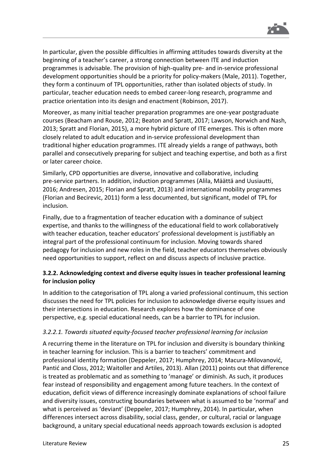

In particular, given the possible difficulties in affirming attitudes towards diversity at the beginning of a teacher's career, a strong connection between ITE and induction programmes is advisable. The provision of high-quality pre- and in-service professional development opportunities should be a priority for policy-makers (Male, 2011). Together, they form a continuum of TPL opportunities, rather than isolated objects of study. In particular, teacher education needs to embed career-long research, programme and practice orientation into its design and enactment (Robinson, 2017).

Moreover, as many initial teacher preparation programmes are one-year postgraduate courses (Beacham and Rouse, 2012; Beaton and Spratt, 2017; Lawson, Norwich and Nash, 2013; Spratt and Florian, 2015), a more hybrid picture of ITE emerges. This is often more closely related to adult education and in-service professional development than traditional higher education programmes. ITE already yields a range of pathways, both parallel and consecutively preparing for subject and teaching expertise, and both as a first or later career choice.

Similarly, CPD opportunities are diverse, innovative and collaborative, including pre-service partners. In addition, induction programmes (Alila, Määttä and Uusiautti, 2016; Andresen, 2015; Florian and Spratt, 2013) and international mobility programmes (Florian and Becirevic, 2011) form a less documented, but significant, model of TPL for inclusion.

Finally, due to a fragmentation of teacher education with a dominance of subject expertise, and thanks to the willingness of the educational field to work collaboratively with teacher education, teacher educators' professional development is justifiably an integral part of the professional continuum for inclusion. Moving towards shared pedagogy for inclusion and new roles in the field, teacher educators themselves obviously need opportunities to support, reflect on and discuss aspects of inclusive practice.

#### **3.2.2. Acknowledging context and diverse equity issues in teacher professional learning for inclusion policy**

In addition to the categorisation of TPL along a varied professional continuum, this section discusses the need for TPL policies for inclusion to acknowledge diverse equity issues and their intersections in education. Research explores how the dominance of one perspective, e.g. special educational needs, can be a barrier to TPL for inclusion.

#### *3.2.2.1. Towards situated equity-focused teacher professional learning for inclusion*

A recurring theme in the literature on TPL for inclusion and diversity is boundary thinking in teacher learning for inclusion. This is a barrier to teachers' commitment and professional identity formation (Deppeler, 2017; Humphrey, 2014; Macura-Milovanović, Pantić and Closs, 2012; Waitoller and Artiles, 2013). Allan (2011) points out that difference is treated as problematic and as something to 'manage' or diminish. As such, it produces fear instead of responsibility and engagement among future teachers. In the context of education, deficit views of difference increasingly dominate explanations of school failure and diversity issues, constructing boundaries between what is assumed to be 'normal' and what is perceived as 'deviant' (Deppeler, 2017; Humphrey, 2014). In particular, when differences intersect across disability, social class, gender, or cultural, racial or language background, a unitary special educational needs approach towards exclusion is adopted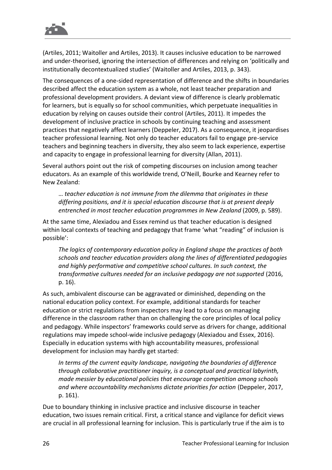

(Artiles, 2011; Waitoller and Artiles, 2013). It causes inclusive education to be narrowed and under-theorised, ignoring the intersection of differences and relying on 'politically and institutionally decontextualized studies' (Waitoller and Artiles, 2013, p. 343).

The consequences of a one-sided representation of difference and the shifts in boundaries described affect the education system as a whole, not least teacher preparation and professional development providers. A deviant view of difference is clearly problematic for learners, but is equally so for school communities, which perpetuate inequalities in education by relying on causes outside their control (Artiles, 2011). It impedes the development of inclusive practice in schools by continuing teaching and assessment practices that negatively affect learners (Deppeler, 2017). As a consequence, it jeopardises teacher professional learning. Not only do teacher educators fail to engage pre-service teachers and beginning teachers in diversity, they also seem to lack experience, expertise and capacity to engage in professional learning for diversity (Allan, 2011).

Several authors point out the risk of competing discourses on inclusion among teacher educators. As an example of this worldwide trend, O'Neill, Bourke and Kearney refer to New Zealand:

… *teacher education is not immune from the dilemma that originates in these differing positions, and it is special education discourse that is at present deeply entrenched in most teacher education programmes in New Zealand* (2009, p. 589).

At the same time, Alexiadou and Essex remind us that teacher education is designed within local contexts of teaching and pedagogy that frame 'what "reading" of inclusion is possible':

*The logics of contemporary education policy in England shape the practices of both schools and teacher education providers along the lines of differentiated pedagogies and highly performative and competitive school cultures. In such context, the transformative cultures needed for an inclusive pedagogy are not supported* (2016, p. 16).

As such, ambivalent discourse can be aggravated or diminished, depending on the national education policy context. For example, additional standards for teacher education or strict regulations from inspectors may lead to a focus on managing difference in the classroom rather than on challenging the core principles of local policy and pedagogy. While inspectors' frameworks could serve as drivers for change, additional regulations may impede school-wide inclusive pedagogy (Alexiadou and Essex, 2016). Especially in education systems with high accountability measures, professional development for inclusion may hardly get started:

*In terms of the current equity landscape, navigating the boundaries of difference through collaborative practitioner inquiry, is a conceptual and practical labyrinth, made messier by educational policies that encourage competition among schools and where accountability mechanisms dictate priorities for action* (Deppeler, 2017, p. 161).

Due to boundary thinking in inclusive practice and inclusive discourse in teacher education, two issues remain critical. First, a critical stance and vigilance for deficit views are crucial in all professional learning for inclusion. This is particularly true if the aim is to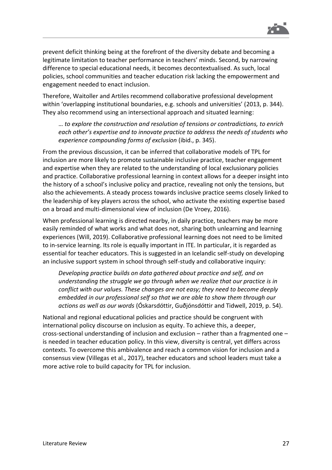

prevent deficit thinking being at the forefront of the diversity debate and becoming a legitimate limitation to teacher performance in teachers' minds. Second, by narrowing difference to special educational needs, it becomes decontextualised. As such, local policies, school communities and teacher education risk lacking the empowerment and engagement needed to enact inclusion.

Therefore, Waitoller and Artiles recommend collaborative professional development within 'overlapping institutional boundaries, e.g. schools and universities' (2013, p. 344). They also recommend using an intersectional approach and situated learning:

… *to explore the construction and resolution of tensions or contradictions, to enrich each other's expertise and to innovate practice to address the needs of students who experience compounding forms of exclusion* (ibid., p. 345).

From the previous discussion, it can be inferred that collaborative models of TPL for inclusion are more likely to promote sustainable inclusive practice, teacher engagement and expertise when they are related to the understanding of local exclusionary policies and practice. Collaborative professional learning in context allows for a deeper insight into the history of a school's inclusive policy and practice, revealing not only the tensions, but also the achievements. A steady process towards inclusive practice seems closely linked to the leadership of key players across the school, who activate the existing expertise based on a broad and multi-dimensional view of inclusion (De Vroey, 2016).

When professional learning is directed nearby, in daily practice, teachers may be more easily reminded of what works and what does not, sharing both unlearning and learning experiences (Will, 2019). Collaborative professional learning does not need to be limited to in-service learning. Its role is equally important in ITE. In particular, it is regarded as essential for teacher educators. This is suggested in an Icelandic self-study on developing an inclusive support system in school through self-study and collaborative inquiry:

*Developing practice builds on data gathered about practice and self, and on understanding the struggle we go through when we realize that our practice is in conflict with our values. These changes are not easy; they need to become deeply embedded in our professional self so that we are able to show them through our actions as well as our words* (Óskarsdóttir, Guðjónsdóttir and Tidwell, 2019, p. 54).

National and regional educational policies and practice should be congruent with international policy discourse on inclusion as equity. To achieve this, a deeper, cross-sectional understanding of inclusion and exclusion – rather than a fragmented one – is needed in teacher education policy. In this view, diversity is central, yet differs across contexts. To overcome this ambivalence and reach a common vision for inclusion and a consensus view (Villegas et al., 2017), teacher educators and school leaders must take a more active role to build capacity for TPL for inclusion.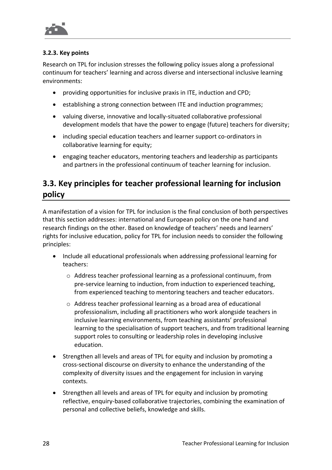

#### **3.2.3. Key points**

Research on TPL for inclusion stresses the following policy issues along a professional continuum for teachers' learning and across diverse and intersectional inclusive learning environments:

- providing opportunities for inclusive praxis in ITE, induction and CPD;
- establishing a strong connection between ITE and induction programmes;
- valuing diverse, innovative and locally-situated collaborative professional development models that have the power to engage (future) teachers for diversity;
- including special education teachers and learner support co-ordinators in collaborative learning for equity;
- engaging teacher educators, mentoring teachers and leadership as participants and partners in the professional continuum of teacher learning for inclusion.

# **3.3. Key principles for teacher professional learning for inclusion policy**

A manifestation of a vision for TPL for inclusion is the final conclusion of both perspectives that this section addresses: international and European policy on the one hand and research findings on the other. Based on knowledge of teachers' needs and learners' rights for inclusive education, policy for TPL for inclusion needs to consider the following principles:

- Include all educational professionals when addressing professional learning for teachers:
	- o Address teacher professional learning as a professional continuum, from pre-service learning to induction, from induction to experienced teaching, from experienced teaching to mentoring teachers and teacher educators.
	- $\circ$  Address teacher professional learning as a broad area of educational professionalism, including all practitioners who work alongside teachers in inclusive learning environments, from teaching assistants' professional learning to the specialisation of support teachers, and from traditional learning support roles to consulting or leadership roles in developing inclusive education.
- Strengthen all levels and areas of TPL for equity and inclusion by promoting a cross-sectional discourse on diversity to enhance the understanding of the complexity of diversity issues and the engagement for inclusion in varying contexts.
- Strengthen all levels and areas of TPL for equity and inclusion by promoting reflective, enquiry-based collaborative trajectories, combining the examination of personal and collective beliefs, knowledge and skills.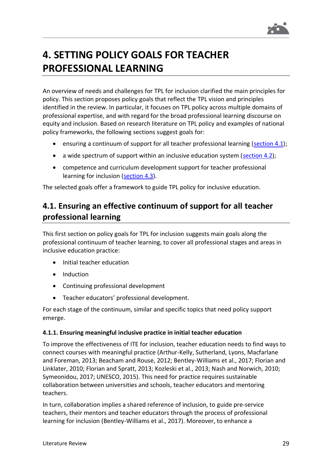

# <span id="page-29-0"></span>**4. SETTING POLICY GOALS FOR TEACHER PROFESSIONAL LEARNING**

An overview of needs and challenges for TPL for inclusion clarified the main principles for policy. This section proposes policy goals that reflect the TPL vision and principles identified in the review. In particular, it focuses on TPL policy across multiple domains of professional expertise, and with regard for the broad professional learning discourse on equity and inclusion. Based on research literature on TPL policy and examples of national policy frameworks, the following sections suggest goals for:

- ensuring a continuum of support for all teacher professional learning [\(section](#page-29-1) 4.1);
- a wide spectrum of support within an inclusive education system [\(section](#page-35-0) 4.2);
- competence and curriculum development support for teacher professional learning for inclusion [\(section](#page-39-0) 4.3).

The selected goals offer a framework to guide TPL policy for inclusive education.

# <span id="page-29-1"></span>**4.1. Ensuring an effective continuum of support for all teacher professional learning**

This first section on policy goals for TPL for inclusion suggests main goals along the professional continuum of teacher learning, to cover all professional stages and areas in inclusive education practice:

- Initial teacher education
- Induction
- Continuing professional development
- Teacher educators' professional development.

For each stage of the continuum, similar and specific topics that need policy support emerge.

#### **4.1.1. Ensuring meaningful inclusive practice in initial teacher education**

To improve the effectiveness of ITE for inclusion, teacher education needs to find ways to connect courses with meaningful practice (Arthur-Kelly, Sutherland, Lyons, Macfarlane and Foreman, 2013; Beacham and Rouse, 2012; Bentley-Williams et al., 2017; Florian and Linklater, 2010; Florian and Spratt, 2013; Kozleski et al., 2013; Nash and Norwich, 2010; Symeonidou, 2017; UNESCO, 2015). This need for practice requires sustainable collaboration between universities and schools, teacher educators and mentoring teachers.

In turn, collaboration implies a shared reference of inclusion, to guide pre-service teachers, their mentors and teacher educators through the process of professional learning for inclusion (Bentley-Williams et al., 2017). Moreover, to enhance a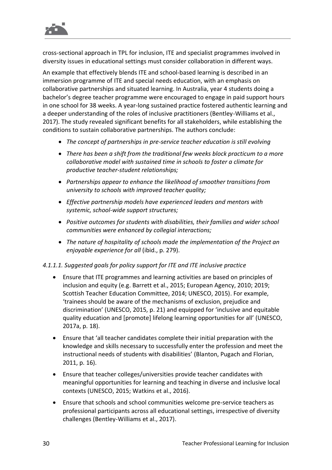

cross-sectional approach in TPL for inclusion, ITE and specialist programmes involved in diversity issues in educational settings must consider collaboration in different ways.

An example that effectively blends ITE and school-based learning is described in an immersion programme of ITE and special needs education, with an emphasis on collaborative partnerships and situated learning. In Australia, year 4 students doing a bachelor's degree teacher programme were encouraged to engage in paid support hours in one school for 38 weeks. A year-long sustained practice fostered authentic learning and a deeper understanding of the roles of inclusive practitioners (Bentley-Williams et al., 2017). The study revealed significant benefits for all stakeholders, while establishing the conditions to sustain collaborative partnerships. The authors conclude:

- *The concept of partnerships in pre-service teacher education is still evolving*
- *There has been a shift from the traditional few weeks block practicum to a more collaborative model with sustained time in schools to foster a climate for productive teacher-student relationships;*
- *Partnerships appear to enhance the likelihood of smoother transitions from university to schools with improved teacher quality;*
- *Effective partnership models have experienced leaders and mentors with systemic, school-wide support structures;*
- *Positive outcomes for students with disabilities, their families and wider school communities were enhanced by collegial interactions;*
- *The nature of hospitality of schools made the implementation of the Project an enjoyable experience for all* (ibid., p. 279).

#### *4.1.1.1. Suggested goals for policy support for ITE and ITE inclusive practice*

- Ensure that ITE programmes and learning activities are based on principles of inclusion and equity (e.g. Barrett et al., 2015; European Agency, 2010; 2019; Scottish Teacher Education Committee, 2014; UNESCO, 2015). For example, 'trainees should be aware of the mechanisms of exclusion, prejudice and discrimination' (UNESCO, 2015, p. 21) and equipped for 'inclusive and equitable quality education and [promote] lifelong learning opportunities for all' (UNESCO, 2017a, p. 18).
- Ensure that 'all teacher candidates complete their initial preparation with the knowledge and skills necessary to successfully enter the profession and meet the instructional needs of students with disabilities' (Blanton, Pugach and Florian, 2011, p. 16).
- Ensure that teacher colleges/universities provide teacher candidates with meaningful opportunities for learning and teaching in diverse and inclusive local contexts (UNESCO, 2015; Watkins et al., 2016).
- Ensure that schools and school communities welcome pre-service teachers as professional participants across all educational settings, irrespective of diversity challenges (Bentley-Williams et al., 2017).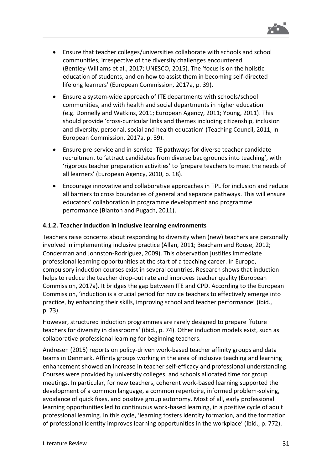

- Ensure that teacher colleges/universities collaborate with schools and school communities, irrespective of the diversity challenges encountered (Bentley-Williams et al., 2017; UNESCO, 2015). The 'focus is on the holistic education of students, and on how to assist them in becoming self-directed lifelong learners' (European Commission, 2017a, p. 39).
- Ensure a system-wide approach of ITE departments with schools/school communities, and with health and social departments in higher education (e.g. Donnelly and Watkins, 2011; European Agency, 2011; Young, 2011). This should provide 'cross-curricular links and themes including citizenship, inclusion and diversity, personal, social and health education' (Teaching Council, 2011, in European Commission, 2017a, p. 39).
- Ensure pre-service and in-service ITE pathways for diverse teacher candidate recruitment to 'attract candidates from diverse backgrounds into teaching', with 'rigorous teacher preparation activities' to 'prepare teachers to meet the needs of all learners' (European Agency, 2010, p. 18).
- Encourage innovative and collaborative approaches in TPL for inclusion and reduce all barriers to cross boundaries of general and separate pathways. This will ensure educators' collaboration in programme development and programme performance (Blanton and Pugach, 2011).

#### **4.1.2. Teacher induction in inclusive learning environments**

Teachers raise concerns about responding to diversity when (new) teachers are personally involved in implementing inclusive practice (Allan, 2011; Beacham and Rouse, 2012; Conderman and Johnston-Rodriguez, 2009). This observation justifies immediate professional learning opportunities at the start of a teaching career. In Europe, compulsory induction courses exist in several countries. Research shows that induction helps to reduce the teacher drop-out rate and improves teacher quality (European Commission, 2017a). It bridges the gap between ITE and CPD. According to the European Commission, 'induction is a crucial period for novice teachers to effectively emerge into practice, by enhancing their skills, improving school and teacher performance' (ibid., p. 73).

However, structured induction programmes are rarely designed to prepare 'future teachers for diversity in classrooms' (ibid., p. 74). Other induction models exist, such as collaborative professional learning for beginning teachers.

Andresen (2015) reports on policy-driven work-based teacher affinity groups and data teams in Denmark. Affinity groups working in the area of inclusive teaching and learning enhancement showed an increase in teacher self-efficacy and professional understanding. Courses were provided by university colleges, and schools allocated time for group meetings. In particular, for new teachers, coherent work-based learning supported the development of a common language, a common repertoire, informed problem-solving, avoidance of quick fixes, and positive group autonomy. Most of all, early professional learning opportunities led to continuous work-based learning, in a positive cycle of adult professional learning. In this cycle, 'learning fosters identity formation, and the formation of professional identity improves learning opportunities in the workplace' (ibid., p. 772).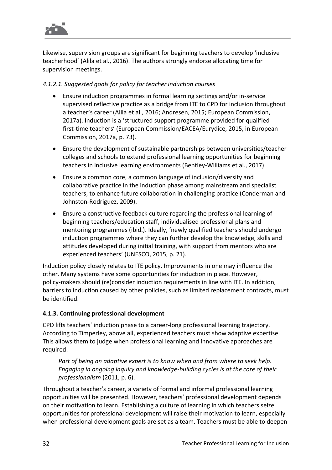

Likewise, supervision groups are significant for beginning teachers to develop 'inclusive teacherhood' (Alila et al., 2016). The authors strongly endorse allocating time for supervision meetings.

#### *4.1.2.1. Suggested goals for policy for teacher induction courses*

- Ensure induction programmes in formal learning settings and/or in-service supervised reflective practice as a bridge from ITE to CPD for inclusion throughout a teacher's career (Alila et al., 2016; Andresen, 2015; European Commission, 2017a). Induction is a 'structured support programme provided for qualified first-time teachers' (European Commission/EACEA/Eurydice, 2015, in European Commission, 2017a, p. 73).
- Ensure the development of sustainable partnerships between universities/teacher colleges and schools to extend professional learning opportunities for beginning teachers in inclusive learning environments (Bentley-Williams et al., 2017).
- Ensure a common core, a common language of inclusion/diversity and collaborative practice in the induction phase among mainstream and specialist teachers, to enhance future collaboration in challenging practice (Conderman and Johnston-Rodriguez, 2009).
- Ensure a constructive feedback culture regarding the professional learning of beginning teachers/education staff, individualised professional plans and mentoring programmes (ibid.). Ideally, 'newly qualified teachers should undergo induction programmes where they can further develop the knowledge, skills and attitudes developed during initial training, with support from mentors who are experienced teachers' (UNESCO, 2015, p. 21).

Induction policy closely relates to ITE policy. Improvements in one may influence the other. Many systems have some opportunities for induction in place. However, policy-makers should (re)consider induction requirements in line with ITE. In addition, barriers to induction caused by other policies, such as limited replacement contracts, must be identified.

#### **4.1.3. Continuing professional development**

CPD lifts teachers' induction phase to a career-long professional learning trajectory. According to Timperley, above all, experienced teachers must show adaptive expertise. This allows them to judge when professional learning and innovative approaches are required:

*Part of being an adaptive expert is to know when and from where to seek help. Engaging in ongoing inquiry and knowledge-building cycles is at the core of their professionalism* (2011, p. 6).

Throughout a teacher's career, a variety of formal and informal professional learning opportunities will be presented. However, teachers' professional development depends on their motivation to learn. Establishing a culture of learning in which teachers seize opportunities for professional development will raise their motivation to learn, especially when professional development goals are set as a team. Teachers must be able to deepen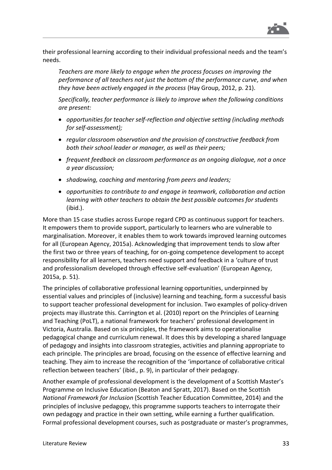

their professional learning according to their individual professional needs and the team's needs.

*Teachers are more likely to engage when the process focuses on improving the performance of all teachers not just the bottom of the performance curve, and when they have been actively engaged in the process* (Hay Group, 2012, p. 21).

*Specifically, teacher performance is likely to improve when the following conditions are present:*

- *opportunities for teacher self-reflection and objective setting (including methods for self-assessment);*
- *regular classroom observation and the provision of constructive feedback from both their school leader or manager, as well as their peers;*
- *frequent feedback on classroom performance as an ongoing dialogue, not a once a year discussion;*
- *shadowing, coaching and mentoring from peers and leaders;*
- *opportunities to contribute to and engage in teamwork, collaboration and action learning with other teachers to obtain the best possible outcomes for students* (ibid.).

More than 15 case studies across Europe regard CPD as continuous support for teachers. It empowers them to provide support, particularly to learners who are vulnerable to marginalisation. Moreover, it enables them to work towards improved learning outcomes for all (European Agency, 2015a). Acknowledging that improvement tends to slow after the first two or three years of teaching, for on-going competence development to accept responsibility for all learners, teachers need support and feedback in a 'culture of trust and professionalism developed through effective self-evaluation' (European Agency, 2015a, p. 51).

The principles of collaborative professional learning opportunities, underpinned by essential values and principles of (inclusive) learning and teaching, form a successful basis to support teacher professional development for inclusion. Two examples of policy-driven projects may illustrate this. Carrington et al. (2010) report on the Principles of Learning and Teaching (PoLT), a national framework for teachers' professional development in Victoria, Australia. Based on six principles, the framework aims to operationalise pedagogical change and curriculum renewal. It does this by developing a shared language of pedagogy and insights into classroom strategies, activities and planning appropriate to each principle. The principles are broad, focusing on the essence of effective learning and teaching. They aim to increase the recognition of the 'importance of collaborative critical reflection between teachers' (ibid., p. 9), in particular of their pedagogy.

Another example of professional development is the development of a Scottish Master's Programme on Inclusive Education (Beaton and Spratt, 2017). Based on the Scottish *National Framework for Inclusion* (Scottish Teacher Education Committee, 2014) and the principles of inclusive pedagogy, this programme supports teachers to interrogate their own pedagogy and practice in their own setting, while earning a further qualification. Formal professional development courses, such as postgraduate or master's programmes,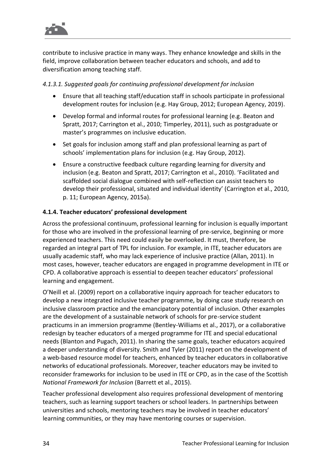

contribute to inclusive practice in many ways. They enhance knowledge and skills in the field, improve collaboration between teacher educators and schools, and add to diversification among teaching staff.

#### *4.1.3.1. Suggested goals for continuing professional development for inclusion*

- Ensure that all teaching staff/education staff in schools participate in professional development routes for inclusion (e.g. Hay Group, 2012; European Agency, 2019).
- Develop formal and informal routes for professional learning (e.g. Beaton and Spratt, 2017; Carrington et al., 2010; Timperley, 2011), such as postgraduate or master's programmes on inclusive education.
- Set goals for inclusion among staff and plan professional learning as part of schools' implementation plans for inclusion (e.g. Hay Group, 2012).
- Ensure a constructive feedback culture regarding learning for diversity and inclusion (e.g. Beaton and Spratt, 2017; Carrington et al., 2010). 'Facilitated and scaffolded social dialogue combined with self-reflection can assist teachers to develop their professional, situated and individual identity' (Carrington et al., 2010, p. 11; European Agency, 2015a).

#### **4.1.4. Teacher educators' professional development**

Across the professional continuum, professional learning for inclusion is equally important for those who are involved in the professional learning of pre-service, beginning or more experienced teachers. This need could easily be overlooked. It must, therefore, be regarded an integral part of TPL for inclusion. For example, in ITE, teacher educators are usually academic staff, who may lack experience of inclusive practice (Allan, 2011). In most cases, however, teacher educators are engaged in programme development in ITE or CPD. A collaborative approach is essential to deepen teacher educators' professional learning and engagement.

O'Neill et al. (2009) report on a collaborative inquiry approach for teacher educators to develop a new integrated inclusive teacher programme, by doing case study research on inclusive classroom practice and the emancipatory potential of inclusion. Other examples are the development of a sustainable network of schools for pre-service student practicums in an immersion programme (Bentley-Williams et al., 2017), or a collaborative redesign by teacher educators of a merged programme for ITE and special educational needs (Blanton and Pugach, 2011). In sharing the same goals, teacher educators acquired a deeper understanding of diversity. Smith and Tyler (2011) report on the development of a web-based resource model for teachers, enhanced by teacher educators in collaborative networks of educational professionals. Moreover, teacher educators may be invited to reconsider frameworks for inclusion to be used in ITE or CPD, as in the case of the Scottish *National Framework for Inclusion* (Barrett et al., 2015).

Teacher professional development also requires professional development of mentoring teachers, such as learning support teachers or school leaders. In partnerships between universities and schools, mentoring teachers may be involved in teacher educators' learning communities, or they may have mentoring courses or supervision.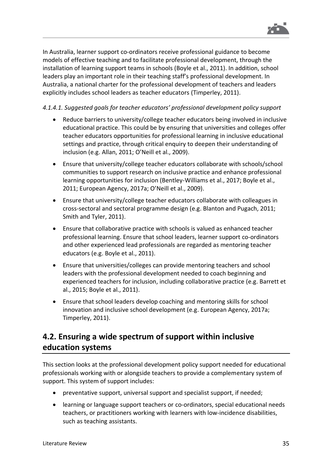

In Australia, learner support co-ordinators receive professional guidance to become models of effective teaching and to facilitate professional development, through the installation of learning support teams in schools (Boyle et al., 2011). In addition, school leaders play an important role in their teaching staff's professional development. In Australia, a national charter for the professional development of teachers and leaders explicitly includes school leaders as teacher educators (Timperley, 2011).

#### *4.1.4.1. Suggested goals for teacher educators' professional development policy support*

- Reduce barriers to university/college teacher educators being involved in inclusive educational practice. This could be by ensuring that universities and colleges offer teacher educators opportunities for professional learning in inclusive educational settings and practice, through critical enquiry to deepen their understanding of inclusion (e.g. Allan, 2011; O'Neill et al., 2009).
- Ensure that university/college teacher educators collaborate with schools/school communities to support research on inclusive practice and enhance professional learning opportunities for inclusion (Bentley-Williams et al., 2017; Boyle et al., 2011; European Agency, 2017a; O'Neill et al., 2009).
- Ensure that university/college teacher educators collaborate with colleagues in cross-sectoral and sectoral programme design (e.g. Blanton and Pugach, 2011; Smith and Tyler, 2011).
- Ensure that collaborative practice with schools is valued as enhanced teacher professional learning. Ensure that school leaders, learner support co-ordinators and other experienced lead professionals are regarded as mentoring teacher educators (e.g. Boyle et al., 2011).
- Ensure that universities/colleges can provide mentoring teachers and school leaders with the professional development needed to coach beginning and experienced teachers for inclusion, including collaborative practice (e.g. Barrett et al., 2015; Boyle et al., 2011).
- Ensure that school leaders develop coaching and mentoring skills for school innovation and inclusive school development (e.g. European Agency, 2017a; Timperley, 2011).

### <span id="page-35-0"></span>**4.2. Ensuring a wide spectrum of support within inclusive education systems**

This section looks at the professional development policy support needed for educational professionals working with or alongside teachers to provide a complementary system of support. This system of support includes:

- preventative support, universal support and specialist support, if needed;
- learning or language support teachers or co-ordinators, special educational needs teachers, or practitioners working with learners with low-incidence disabilities, such as teaching assistants.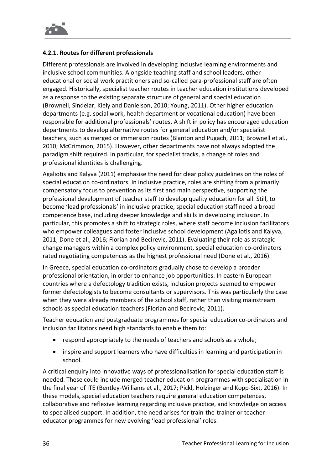

#### **4.2.1. Routes for different professionals**

Different professionals are involved in developing inclusive learning environments and inclusive school communities. Alongside teaching staff and school leaders, other educational or social work practitioners and so-called para-professional staff are often engaged. Historically, specialist teacher routes in teacher education institutions developed as a response to the existing separate structure of general and special education (Brownell, Sindelar, Kiely and Danielson, 2010; Young, 2011). Other higher education departments (e.g. social work, health department or vocational education) have been responsible for additional professionals' routes. A shift in policy has encouraged education departments to develop alternative routes for general education and/or specialist teachers, such as merged or immersion routes (Blanton and Pugach, 2011; Brownell et al., 2010; McCrimmon, 2015). However, other departments have not always adopted the paradigm shift required. In particular, for specialist tracks, a change of roles and professional identities is challenging.

Agaliotis and Kalyva (2011) emphasise the need for clear policy guidelines on the roles of special education co-ordinators. In inclusive practice, roles are shifting from a primarily compensatory focus to prevention as its first and main perspective, supporting the professional development of teacher staff to develop quality education for all. Still, to become 'lead professionals' in inclusive practice, special education staff need a broad competence base, including deeper knowledge and skills in developing inclusion. In particular, this promotes a shift to strategic roles, where staff become inclusion facilitators who empower colleagues and foster inclusive school development (Agaliotis and Kalyva, 2011; Done et al., 2016; Florian and Becirevic, 2011). Evaluating their role as strategic change managers within a complex policy environment, special education co-ordinators rated negotiating competences as the highest professional need (Done et al., 2016).

In Greece, special education co-ordinators gradually chose to develop a broader professional orientation, in order to enhance job opportunities. In eastern European countries where a defectology tradition exists, inclusion projects seemed to empower former defectologists to become consultants or supervisors. This was particularly the case when they were already members of the school staff, rather than visiting mainstream schools as special education teachers (Florian and Becirevic, 2011).

Teacher education and postgraduate programmes for special education co-ordinators and inclusion facilitators need high standards to enable them to:

- respond appropriately to the needs of teachers and schools as a whole;
- inspire and support learners who have difficulties in learning and participation in school.

A critical enquiry into innovative ways of professionalisation for special education staff is needed. These could include merged teacher education programmes with specialisation in the final year of ITE (Bentley-Williams et al., 2017; Pickl, Holzinger and Kopp-Sixt, 2016). In these models, special education teachers require general education competences, collaborative and reflexive learning regarding inclusive practice, and knowledge on access to specialised support. In addition, the need arises for train-the-trainer or teacher educator programmes for new evolving 'lead professional' roles.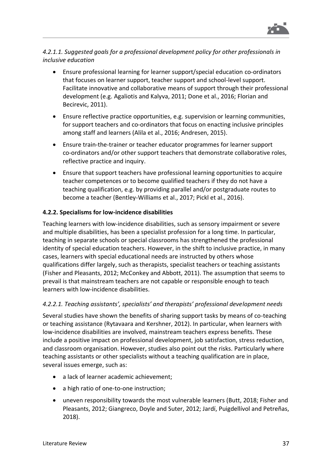

*4.2.1.1. Suggested goals for a professional development policy for other professionals in inclusive education*

- Ensure professional learning for learner support/special education co-ordinators that focuses on learner support, teacher support and school-level support. Facilitate innovative and collaborative means of support through their professional development (e.g. Agaliotis and Kalyva, 2011; Done et al., 2016; Florian and Becirevic, 2011).
- Ensure reflective practice opportunities, e.g. supervision or learning communities, for support teachers and co-ordinators that focus on enacting inclusive principles among staff and learners (Alila et al., 2016; Andresen, 2015).
- Ensure train-the-trainer or teacher educator programmes for learner support co-ordinators and/or other support teachers that demonstrate collaborative roles, reflective practice and inquiry.
- Ensure that support teachers have professional learning opportunities to acquire teacher competences or to become qualified teachers if they do not have a teaching qualification, e.g. by providing parallel and/or postgraduate routes to become a teacher (Bentley-Williams et al., 2017; Pickl et al., 2016).

#### **4.2.2. Specialisms for low-incidence disabilities**

Teaching learners with low-incidence disabilities, such as sensory impairment or severe and multiple disabilities, has been a specialist profession for a long time. In particular, teaching in separate schools or special classrooms has strengthened the professional identity of special education teachers. However, in the shift to inclusive practice, in many cases, learners with special educational needs are instructed by others whose qualifications differ largely, such as therapists, specialist teachers or teaching assistants (Fisher and Pleasants, 2012; McConkey and Abbott, 2011). The assumption that seems to prevail is that mainstream teachers are not capable or responsible enough to teach learners with low-incidence disabilities.

#### *4.2.2.1. Teaching assistants', specialists' and therapists' professional development needs*

Several studies have shown the benefits of sharing support tasks by means of co-teaching or teaching assistance (Rytavaara and Kershner, 2012). In particular, when learners with low-incidence disabilities are involved, mainstream teachers express benefits. These include a positive impact on professional development, job satisfaction, stress reduction, and classroom organisation. However, studies also point out the risks. Particularly where teaching assistants or other specialists without a teaching qualification are in place, several issues emerge, such as:

- a lack of learner academic achievement;
- a high ratio of one-to-one instruction;
- uneven responsibility towards the most vulnerable learners (Butt, 2018; Fisher and Pleasants, 2012; Giangreco, Doyle and Suter, 2012; Jardí, Puigdellívol and Petreñas, 2018).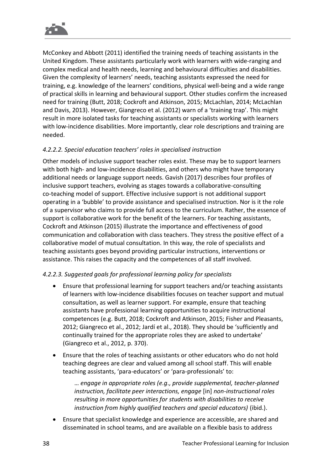

McConkey and Abbott (2011) identified the training needs of teaching assistants in the United Kingdom. These assistants particularly work with learners with wide-ranging and complex medical and health needs, learning and behavioural difficulties and disabilities. Given the complexity of learners' needs, teaching assistants expressed the need for training, e.g. knowledge of the learners' conditions, physical well-being and a wide range of practical skills in learning and behavioural support. Other studies confirm the increased need for training (Butt, 2018; Cockroft and Atkinson, 2015; McLachlan, 2014; McLachlan and Davis, 2013). However, Giangreco et al. (2012) warn of a 'training trap'. This might result in more isolated tasks for teaching assistants or specialists working with learners with low-incidence disabilities. More importantly, clear role descriptions and training are needed.

#### *4.2.2.2. Special education teachers' roles in specialised instruction*

Other models of inclusive support teacher roles exist. These may be to support learners with both high- and low-incidence disabilities, and others who might have temporary additional needs or language support needs. Gavish (2017) describes four profiles of inclusive support teachers, evolving as stages towards a collaborative-consulting co-teaching model of support. Effective inclusive support is not additional support operating in a 'bubble' to provide assistance and specialised instruction. Nor is it the role of a supervisor who claims to provide full access to the curriculum. Rather, the essence of support is collaborative work for the benefit of the learners. For teaching assistants, Cockroft and Atkinson (2015) illustrate the importance and effectiveness of good communication and collaboration with class teachers. They stress the positive effect of a collaborative model of mutual consultation. In this way, the role of specialists and teaching assistants goes beyond providing particular instructions, interventions or assistance. This raises the capacity and the competences of all staff involved.

#### *4.2.2.3. Suggested goals for professional learning policy for specialists*

- Ensure that professional learning for support teachers and/or teaching assistants of learners with low-incidence disabilities focuses on teacher support and mutual consultation, as well as learner support. For example, ensure that teaching assistants have professional learning opportunities to acquire instructional competences (e.g. Butt, 2018; Cockroft and Atkinson, 2015; Fisher and Pleasants, 2012; Giangreco et al., 2012; Jardí et al., 2018). They should be 'sufficiently and continually trained for the appropriate roles they are asked to undertake' (Giangreco et al., 2012, p. 370).
- Ensure that the roles of teaching assistants or other educators who do not hold teaching degrees are clear and valued among all school staff. This will enable teaching assistants, 'para-educators' or 'para-professionals' to:

… *engage in appropriate roles (e.g., provide supplemental, teacher-planned instruction, facilitate peer interactions, engage* [in] *non-instructional roles resulting in more opportunities for students with disabilities to receive instruction from highly qualified teachers and special educators)* (ibid.).

• Ensure that specialist knowledge and experience are accessible, are shared and disseminated in school teams, and are available on a flexible basis to address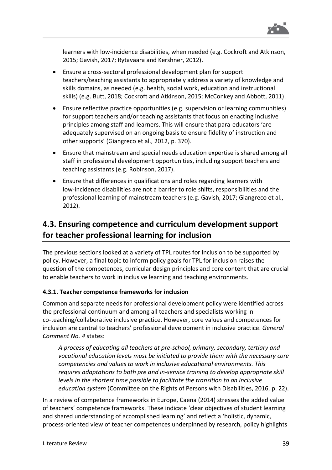

learners with low-incidence disabilities, when needed (e.g. Cockroft and Atkinson, 2015; Gavish, 2017; Rytavaara and Kershner, 2012).

- Ensure a cross-sectoral professional development plan for support teachers/teaching assistants to appropriately address a variety of knowledge and skills domains, as needed (e.g. health, social work, education and instructional skills) (e.g. Butt, 2018; Cockroft and Atkinson, 2015; McConkey and Abbott, 2011).
- Ensure reflective practice opportunities (e.g. supervision or learning communities) for support teachers and/or teaching assistants that focus on enacting inclusive principles among staff and learners. This will ensure that para-educators 'are adequately supervised on an ongoing basis to ensure fidelity of instruction and other supports' (Giangreco et al., 2012, p. 370).
- Ensure that mainstream and special needs education expertise is shared among all staff in professional development opportunities, including support teachers and teaching assistants (e.g. Robinson, 2017).
- Ensure that differences in qualifications and roles regarding learners with low-incidence disabilities are not a barrier to role shifts, responsibilities and the professional learning of mainstream teachers (e.g. Gavish, 2017; Giangreco et al., 2012).

### **4.3. Ensuring competence and curriculum development support for teacher professional learning for inclusion**

The previous sections looked at a variety of TPL routes for inclusion to be supported by policy. However, a final topic to inform policy goals for TPL for inclusion raises the question of the competences, curricular design principles and core content that are crucial to enable teachers to work in inclusive learning and teaching environments.

#### **4.3.1. Teacher competence frameworks for inclusion**

Common and separate needs for professional development policy were identified across the professional continuum and among all teachers and specialists working in co-teaching/collaborative inclusive practice. However, core values and competences for inclusion are central to teachers' professional development in inclusive practice. *General Comment No. 4* states:

*A process of educating all teachers at pre-school, primary, secondary, tertiary and vocational education levels must be initiated to provide them with the necessary core competencies and values to work in inclusive educational environments. This requires adaptations to both pre and in-service training to develop appropriate skill levels in the shortest time possible to facilitate the transition to an inclusive education system* (Committee on the Rights of Persons with Disabilities, 2016, p. 22).

In a review of competence frameworks in Europe, Caena (2014) stresses the added value of teachers' competence frameworks. These indicate 'clear objectives of student learning and shared understanding of accomplished learning' and reflect a 'holistic, dynamic, process-oriented view of teacher competences underpinned by research, policy highlights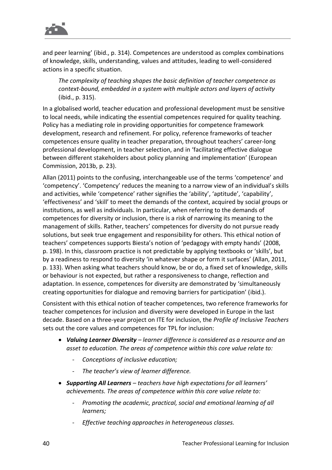

and peer learning' (ibid., p. 314). Competences are understood as complex combinations of knowledge, skills, understanding, values and attitudes, leading to well-considered actions in a specific situation.

*The complexity of teaching shapes the basic definition of teacher competence as context-bound, embedded in a system with multiple actors and layers of activity* (ibid., p. 315).

In a globalised world, teacher education and professional development must be sensitive to local needs, while indicating the essential competences required for quality teaching. Policy has a mediating role in providing opportunities for competence framework development, research and refinement. For policy, reference frameworks of teacher competences ensure quality in teacher preparation, throughout teachers' career-long professional development, in teacher selection, and in 'facilitating effective dialogue between different stakeholders about policy planning and implementation' (European Commission, 2013b, p. 23).

Allan (2011) points to the confusing, interchangeable use of the terms 'competence' and 'competency'. 'Competency' reduces the meaning to a narrow view of an individual's skills and activities, while 'competence' rather signifies the 'ability', 'aptitude', 'capability', 'effectiveness' and 'skill' to meet the demands of the context, acquired by social groups or institutions, as well as individuals. In particular, when referring to the demands of competences for diversity or inclusion, there is a risk of narrowing its meaning to the management of skills. Rather, teachers' competences for diversity do not pursue ready solutions, but seek true engagement and responsibility for others. This ethical notion of teachers' competences supports Biesta's notion of 'pedagogy with empty hands' (2008, p. 198). In this, classroom practice is not predictable by applying textbooks or 'skills', but by a readiness to respond to diversity 'in whatever shape or form it surfaces' (Allan, 2011, p. 133). When asking what teachers should know, be or do, a fixed set of knowledge, skills or behaviour is not expected, but rather a responsiveness to change, reflection and adaptation. In essence, competences for diversity are demonstrated by 'simultaneously creating opportunities for dialogue and removing barriers for participation' (ibid.).

Consistent with this ethical notion of teacher competences, two reference frameworks for teacher competences for inclusion and diversity were developed in Europe in the last decade. Based on a three-year project on ITE for inclusion, the *Profile of Inclusive Teachers* sets out the core values and competences for TPL for inclusion:

- *Valuing Learner Diversity – learner difference is considered as a resource and an asset to education. The areas of competence within this core value relate to:*
	- *Conceptions of inclusive education;*
	- *The teacher's view of learner difference.*
- *Supporting All Learners – teachers have high expectations for all learners' achievements. The areas of competence within this core value relate to:*
	- *Promoting the academic, practical, social and emotional learning of all learners;*
	- *Effective teaching approaches in heterogeneous classes.*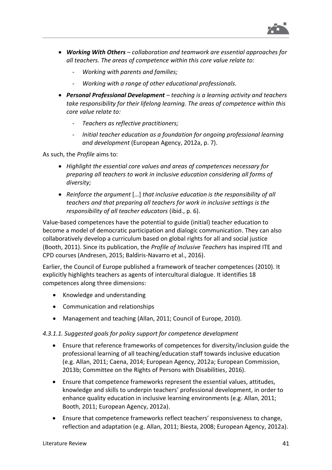

- *Working With Others – collaboration and teamwork are essential approaches for all teachers. The areas of competence within this core value relate to:*
	- *Working with parents and families;*
	- *Working with a range of other educational professionals.*
- *Personal Professional Development – teaching is a learning activity and teachers take responsibility for their lifelong learning. The areas of competence within this core value relate to:*
	- *Teachers as reflective practitioners;*
	- *Initial teacher education as a foundation for ongoing professional learning and development* (European Agency, 2012a, p. 7).

As such, the *Profile* aims to:

- *Highlight the essential core values and areas of competences necessary for preparing all teachers to work in inclusive education considering all forms of diversity;*
- *Reinforce the argument* […] *that inclusive education is the responsibility of all teachers and that preparing all teachers for work in inclusive settings is the responsibility of all teacher educators* (ibid., p. 6).

Value-based competences have the potential to guide (initial) teacher education to become a model of democratic participation and dialogic communication. They can also collaboratively develop a curriculum based on global rights for all and social justice (Booth, 2011). Since its publication, the *Profile of Inclusive Teachers* has inspired ITE and CPD courses (Andresen, 2015; Baldiris-Navarro et al., 2016).

Earlier, the Council of Europe published a framework of teacher competences (2010). It explicitly highlights teachers as agents of intercultural dialogue. It identifies 18 competences along three dimensions:

- Knowledge and understanding
- Communication and relationships
- Management and teaching (Allan, 2011; Council of Europe, 2010).

#### *4.3.1.1. Suggested goals for policy support for competence development*

- Ensure that reference frameworks of competences for diversity/inclusion guide the professional learning of all teaching/education staff towards inclusive education (e.g. Allan, 2011; Caena, 2014; European Agency, 2012a; European Commission, 2013b; Committee on the Rights of Persons with Disabilities, 2016).
- Ensure that competence frameworks represent the essential values, attitudes, knowledge and skills to underpin teachers' professional development, in order to enhance quality education in inclusive learning environments (e.g. Allan, 2011; Booth, 2011; European Agency, 2012a).
- Ensure that competence frameworks reflect teachers' responsiveness to change, reflection and adaptation (e.g. Allan, 2011; Biesta, 2008; European Agency, 2012a).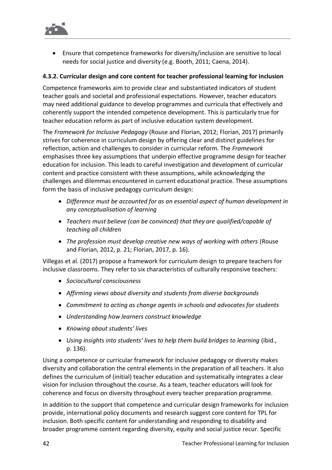

• Ensure that competence frameworks for diversity/inclusion are sensitive to local needs for social justice and diversity (e.g. Booth, 2011; Caena, 2014).

#### **4.3.2. Curricular design and core content for teacher professional learning for inclusion**

Competence frameworks aim to provide clear and substantiated indicators of student teacher goals and societal and professional expectations. However, teacher educators may need additional guidance to develop programmes and curricula that effectively and coherently support the intended competence development. This is particularly true for teacher education reform as part of inclusive education system development.

The *Framework for Inclusive Pedagogy* (Rouse and Florian, 2012; Florian, 2017) primarily strives for coherence in curriculum design by offering clear and distinct guidelines for reflection, action and challenges to consider in curricular reform. The *Framework* emphasises three key assumptions that underpin effective programme design for teacher education for inclusion. This leads to careful investigation and development of curricular content and practice consistent with these assumptions, while acknowledging the challenges and dilemmas encountered in current educational practice. These assumptions form the basis of inclusive pedagogy curriculum design:

- *Difference must be accounted for as an essential aspect of human development in any conceptualisation of learning*
- *Teachers must believe (can be convinced) that they are qualified/capable of teaching all children*
- *The profession must develop creative new ways of working with others* (Rouse and Florian, 2012, p. 21; Florian, 2017, p. 16).

Villegas et al. (2017) propose a framework for curriculum design to prepare teachers for inclusive classrooms. They refer to six characteristics of culturally responsive teachers:

- *Sociocultural consciousness*
- *Affirming views about diversity and students from diverse backgrounds*
- *Commitment to acting as change agents in schools and advocates for students*
- *Understanding how learners construct knowledge*
- *Knowing about students' lives*
- *Using insights into students' lives to help them build bridges to learning* (ibid., p. 136).

Using a competence or curricular framework for inclusive pedagogy or diversity makes diversity and collaboration the central elements in the preparation of all teachers. It also defines the curriculum of (initial) teacher education and systematically integrates a clear vision for inclusion throughout the course. As a team, teacher educators will look for coherence and focus on diversity throughout every teacher preparation programme.

In addition to the support that competence and curricular design frameworks for inclusion provide, international policy documents and research suggest core content for TPL for inclusion. Both specific content for understanding and responding to disability and broader programme content regarding diversity, equity and social justice recur. Specific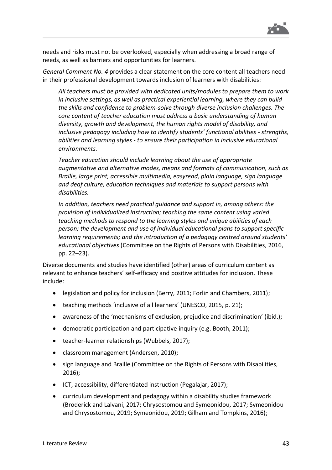

needs and risks must not be overlooked, especially when addressing a broad range of needs, as well as barriers and opportunities for learners.

*General Comment No. 4* provides a clear statement on the core content all teachers need in their professional development towards inclusion of learners with disabilities:

*All teachers must be provided with dedicated units/modules to prepare them to work in inclusive settings, as well as practical experiential learning, where they can build the skills and confidence to problem-solve through diverse inclusion challenges. The core content of teacher education must address a basic understanding of human diversity, growth and development, the human rights model of disability, and inclusive pedagogy including how to identify students' functional abilities - strengths, abilities and learning styles - to ensure their participation in inclusive educational environments.*

*Teacher education should include learning about the use of appropriate augmentative and alternative modes, means and formats of communication, such as Braille, large print, accessible multimedia, easyread, plain language, sign language and deaf culture, education techniques and materials to support persons with disabilities.*

*In addition, teachers need practical guidance and support in, among others: the provision of individualized instruction; teaching the same content using varied teaching methods to respond to the learning styles and unique abilities of each person; the development and use of individual educational plans to support specific learning requirements; and the introduction of a pedagogy centred around students' educational objectives* (Committee on the Rights of Persons with Disabilities, 2016, pp. 22–23).

Diverse documents and studies have identified (other) areas of curriculum content as relevant to enhance teachers' self-efficacy and positive attitudes for inclusion. These include:

- legislation and policy for inclusion (Berry, 2011; Forlin and Chambers, 2011);
- teaching methods 'inclusive of all learners' (UNESCO, 2015, p. 21);
- awareness of the 'mechanisms of exclusion, prejudice and discrimination' (ibid.);
- democratic participation and participative inquiry (e.g. Booth, 2011);
- teacher-learner relationships (Wubbels, 2017);
- classroom management (Andersen, 2010);
- sign language and Braille (Committee on the Rights of Persons with Disabilities, 2016);
- ICT, accessibility, differentiated instruction (Pegalajar, 2017);
- curriculum development and pedagogy within a disability studies framework (Broderick and Lalvani, 2017; Chrysostomou and Symeonidou, 2017; Symeonidou and Chrysostomou, 2019; Symeonidou, 2019; Gilham and Tompkins, 2016);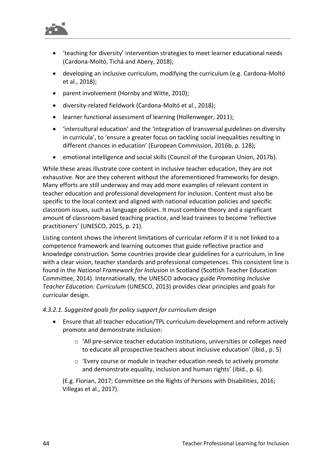

- 'teaching for diversity' intervention strategies to meet learner educational needs (Cardona-Moltó, Tichá and Abery, 2018);
- developing an inclusive curriculum, modifying the curriculum (e.g. Cardona-Moltó et al., 2018);
- parent involvement (Hornby and Witte, 2010);
- diversity-related fieldwork (Cardona-Moltó et al., 2018);
- learner functional assessment of learning (Hollenweger, 2011);
- 'intercultural education' and the 'integration of transversal guidelines on diversity in curricula', to 'ensure a greater focus on tackling social inequalities resulting in different chances in education' (European Commission, 2016b, p. 128);
- emotional intelligence and social skills (Council of the European Union, 2017b).

While these areas illustrate core content in inclusive teacher education, they are not exhaustive. Nor are they coherent without the aforementioned frameworks for design. Many efforts are still underway and may add more examples of relevant content in teacher education and professional development for inclusion. Content must also be specific to the local context and aligned with national education policies and specific classroom issues, such as language policies. It must combine theory and a significant amount of classroom-based teaching practice, and lead trainees to become 'reflective practitioners' (UNESCO, 2015, p. 21).

Listing content shows the inherent limitations of curricular reform if it is not linked to a competence framework and learning outcomes that guide reflective practice and knowledge construction. Some countries provide clear guidelines for a curriculum, in line with a clear vision, teacher standards and professional competences. This consistent line is found in the *National Framework for Inclusion* in Scotland (Scottish Teacher Education Committee, 2014). Internationally, the UNESCO advocacy guide *Promoting Inclusive Teacher Education: Curriculum* (UNESCO, 2013) provides clear principles and goals for curricular design.

#### *4.3.2.1. Suggested goals for policy support for curriculum design*

- Ensure that all teacher education/TPL curriculum development and reform actively promote and demonstrate inclusion:
	- $\circ$  'All pre-service teacher education institutions, universities or colleges need to educate all prospective teachers about inclusive education' (ibid., p. 5)
	- o 'Every course or module in teacher education needs to actively promote and demonstrate equality, inclusion and human rights' (ibid., p. 6).

(E.g. Florian, 2017; Committee on the Rights of Persons with Disabilities, 2016; Villegas et al., 2017).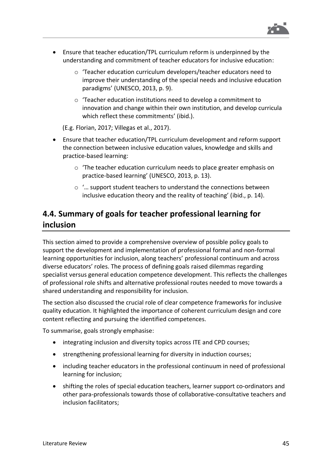

- Ensure that teacher education/TPL curriculum reform is underpinned by the understanding and commitment of teacher educators for inclusive education:
	- o 'Teacher education curriculum developers/teacher educators need to improve their understanding of the special needs and inclusive education paradigms' (UNESCO, 2013, p. 9).
	- o 'Teacher education institutions need to develop a commitment to innovation and change within their own institution, and develop curricula which reflect these commitments' (ibid.).

(E.g. Florian, 2017; Villegas et al., 2017).

- Ensure that teacher education/TPL curriculum development and reform support the connection between inclusive education values, knowledge and skills and practice-based learning:
	- o 'The teacher education curriculum needs to place greater emphasis on practice-based learning' (UNESCO, 2013, p. 13).
	- o '… support student teachers to understand the connections between inclusive education theory and the reality of teaching' (ibid., p. 14).

### **4.4. Summary of goals for teacher professional learning for inclusion**

This section aimed to provide a comprehensive overview of possible policy goals to support the development and implementation of professional formal and non-formal learning opportunities for inclusion, along teachers' professional continuum and across diverse educators' roles. The process of defining goals raised dilemmas regarding specialist versus general education competence development. This reflects the challenges of professional role shifts and alternative professional routes needed to move towards a shared understanding and responsibility for inclusion.

The section also discussed the crucial role of clear competence frameworks for inclusive quality education. It highlighted the importance of coherent curriculum design and core content reflecting and pursuing the identified competences.

To summarise, goals strongly emphasise:

- integrating inclusion and diversity topics across ITE and CPD courses;
- strengthening professional learning for diversity in induction courses;
- including teacher educators in the professional continuum in need of professional learning for inclusion;
- shifting the roles of special education teachers, learner support co-ordinators and other para-professionals towards those of collaborative-consultative teachers and inclusion facilitators;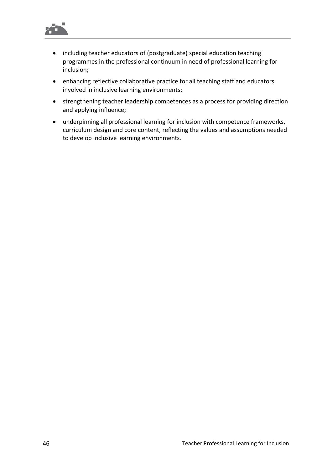

- including teacher educators of (postgraduate) special education teaching programmes in the professional continuum in need of professional learning for inclusion;
- enhancing reflective collaborative practice for all teaching staff and educators involved in inclusive learning environments;
- strengthening teacher leadership competences as a process for providing direction and applying influence;
- underpinning all professional learning for inclusion with competence frameworks, curriculum design and core content, reflecting the values and assumptions needed to develop inclusive learning environments.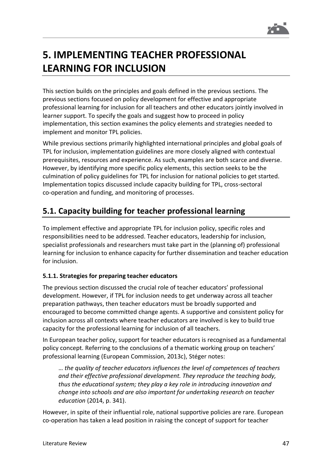

# **5. IMPLEMENTING TEACHER PROFESSIONAL LEARNING FOR INCLUSION**

This section builds on the principles and goals defined in the previous sections. The previous sections focused on policy development for effective and appropriate professional learning for inclusion for all teachers and other educators jointly involved in learner support. To specify the goals and suggest how to proceed in policy implementation, this section examines the policy elements and strategies needed to implement and monitor TPL policies.

While previous sections primarily highlighted international principles and global goals of TPL for inclusion, implementation guidelines are more closely aligned with contextual prerequisites, resources and experience. As such, examples are both scarce and diverse. However, by identifying more specific policy elements, this section seeks to be the culmination of policy guidelines for TPL for inclusion for national policies to get started. Implementation topics discussed include capacity building for TPL, cross-sectoral co-operation and funding, and monitoring of processes.

### **5.1. Capacity building for teacher professional learning**

To implement effective and appropriate TPL for inclusion policy, specific roles and responsibilities need to be addressed. Teacher educators, leadership for inclusion, specialist professionals and researchers must take part in the (planning of) professional learning for inclusion to enhance capacity for further dissemination and teacher education for inclusion.

#### **5.1.1. Strategies for preparing teacher educators**

The previous section discussed the crucial role of teacher educators' professional development. However, if TPL for inclusion needs to get underway across all teacher preparation pathways, then teacher educators must be broadly supported and encouraged to become committed change agents. A supportive and consistent policy for inclusion across all contexts where teacher educators are involved is key to build true capacity for the professional learning for inclusion of all teachers.

In European teacher policy, support for teacher educators is recognised as a fundamental policy concept. Referring to the conclusions of a thematic working group on teachers' professional learning (European Commission, 2013c), Stéger notes:

… *the quality of teacher educators influences the level of competences of teachers and their effective professional development. They reproduce the teaching body, thus the educational system; they play a key role in introducing innovation and change into schools and are also important for undertaking research on teacher education* (2014, p. 341).

However, in spite of their influential role, national supportive policies are rare. European co-operation has taken a lead position in raising the concept of support for teacher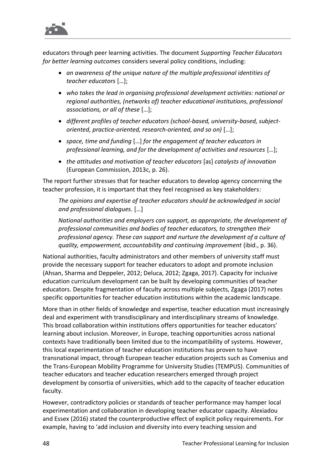

educators through peer learning activities. The document *Supporting Teacher Educators for better learning outcomes* considers several policy conditions, including:

- *an awareness of the unique nature of the multiple professional identities of teacher educators* […];
- *who takes the lead in organising professional development activities: national or regional authorities, (networks of) teacher educational institutions, professional associations, or all of these* […];
- *different profiles of teacher educators (school-based, university-based, subjectoriented, practice-oriented, research-oriented, and so on)* […];
- *space, time and funding* […] *for the engagement of teacher educators in professional learning, and for the development of activities and resources* […];
- *the attitudes and motivation of teacher educators* [as] *catalysts of innovation* (European Commission, 2013c, p. 26).

The report further stresses that for teacher educators to develop agency concerning the teacher profession, it is important that they feel recognised as key stakeholders:

*The opinions and expertise of teacher educators should be acknowledged in social and professional dialogues.* […]

*National authorities and employers can support, as appropriate, the development of professional communities and bodies of teacher educators, to strengthen their professional agency. These can support and nurture the development of a culture of quality, empowerment, accountability and continuing improvement* (ibid., p. 36).

National authorities, faculty administrators and other members of university staff must provide the necessary support for teacher educators to adopt and promote inclusion (Ahsan, Sharma and Deppeler, 2012; Deluca, 2012; Zgaga, 2017). Capacity for inclusive education curriculum development can be built by developing communities of teacher educators. Despite fragmentation of faculty across multiple subjects, Zgaga (2017) notes specific opportunities for teacher education institutions within the academic landscape.

More than in other fields of knowledge and expertise, teacher education must increasingly deal and experiment with transdisciplinary and interdisciplinary streams of knowledge. This broad collaboration within institutions offers opportunities for teacher educators' learning about inclusion. Moreover, in Europe, teaching opportunities across national contexts have traditionally been limited due to the incompatibility of systems. However, this local experimentation of teacher education institutions has proven to have transnational impact, through European teacher education projects such as Comenius and the Trans-European Mobility Programme for University Studies (TEMPUS). Communities of teacher educators and teacher education researchers emerged through project development by consortia of universities, which add to the capacity of teacher education faculty.

However, contradictory policies or standards of teacher performance may hamper local experimentation and collaboration in developing teacher educator capacity. Alexiadou and Essex (2016) stated the counterproductive effect of explicit policy requirements. For example, having to 'add inclusion and diversity into every teaching session and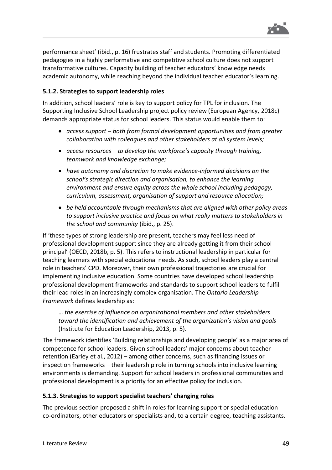

performance sheet' (ibid., p. 16) frustrates staff and students. Promoting differentiated pedagogies in a highly performative and competitive school culture does not support transformative cultures. Capacity building of teacher educators' knowledge needs academic autonomy, while reaching beyond the individual teacher educator's learning.

#### **5.1.2. Strategies to support leadership roles**

In addition, school leaders' role is key to support policy for TPL for inclusion. The Supporting Inclusive School Leadership project policy review (European Agency, 2018c) demands appropriate status for school leaders. This status would enable them to:

- *access support – both from formal development opportunities and from greater collaboration with colleagues and other stakeholders at all system levels;*
- *access resources – to develop the workforce's capacity through training, teamwork and knowledge exchange;*
- *have autonomy and discretion to make evidence-informed decisions on the school's strategic direction and organisation, to enhance the learning environment and ensure equity across the whole school including pedagogy, curriculum, assessment, organisation of support and resource allocation;*
- *be held accountable through mechanisms that are aligned with other policy areas to support inclusive practice and focus on what really matters to stakeholders in the school and community* (ibid., p. 25).

If 'these types of strong leadership are present, teachers may feel less need of professional development support since they are already getting it from their school principal' (OECD, 2018b, p. 5). This refers to instructional leadership in particular for teaching learners with special educational needs. As such, school leaders play a central role in teachers' CPD. Moreover, their own professional trajectories are crucial for implementing inclusive education. Some countries have developed school leadership professional development frameworks and standards to support school leaders to fulfil their lead roles in an increasingly complex organisation. The *Ontario Leadership Framework* defines leadership as:

… *the exercise of influence on organizational members and other stakeholders toward the identification and achievement of the organization's vision and goals* (Institute for Education Leadership, 2013, p. 5).

The framework identifies 'Building relationships and developing people' as a major area of competence for school leaders. Given school leaders' major concerns about teacher retention (Earley et al., 2012) – among other concerns, such as financing issues or inspection frameworks – their leadership role in turning schools into inclusive learning environments is demanding. Support for school leaders in professional communities and professional development is a priority for an effective policy for inclusion.

#### **5.1.3. Strategies to support specialist teachers' changing roles**

The previous section proposed a shift in roles for learning support or special education co-ordinators, other educators or specialists and, to a certain degree, teaching assistants.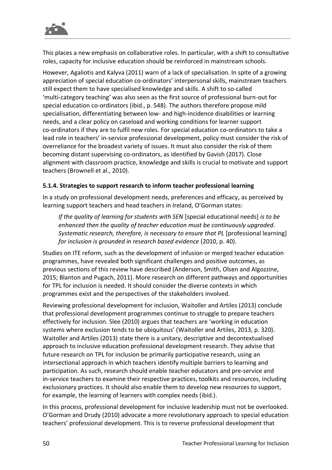

This places a new emphasis on collaborative roles. In particular, with a shift to consultative roles, capacity for inclusive education should be reinforced in mainstream schools.

However, Agaliotis and Kalyva (2011) warn of a lack of specialisation. In spite of a growing appreciation of special education co-ordinators' interpersonal skills, mainstream teachers still expect them to have specialised knowledge and skills. A shift to so-called 'multi-category teaching' was also seen as the first source of professional burn-out for special education co-ordinators (ibid., p. 548). The authors therefore propose mild specialisation, differentiating between low- and high-incidence disabilities or learning needs, and a clear policy on caseload and working conditions for learner support co-ordinators if they are to fulfil new roles. For special education co-ordinators to take a lead role in teachers' in-service professional development, policy must consider the risk of overreliance for the broadest variety of issues. It must also consider the risk of them becoming distant supervising co-ordinators, as identified by Gavish (2017). Close alignment with classroom practice, knowledge and skills is crucial to motivate and support teachers (Brownell et al., 2010).

#### **5.1.4. Strategies to support research to inform teacher professional learning**

In a study on professional development needs, preferences and efficacy, as perceived by learning support teachers and head teachers in Ireland, O'Gorman states:

*If the quality of learning for students with SEN* [special educational needs] *is to be enhanced then the quality of teacher education must be continuously upgraded. Systematic research, therefore, is necessary to ensure that PL* [professional learning] *for inclusion is grounded in research based evidence* (2010, p. 40).

Studies on ITE reform, such as the development of infusion or merged teacher education programmes, have revealed both significant challenges and positive outcomes, as previous sections of this review have described (Anderson, Smith, Olsen and Algozzine, 2015; Blanton and Pugach, 2011). More research on different pathways and opportunities for TPL for inclusion is needed. It should consider the diverse contexts in which programmes exist and the perspectives of the stakeholders involved.

Reviewing professional development for inclusion, Waitoller and Artiles (2013) conclude that professional development programmes continue to struggle to prepare teachers effectively for inclusion. Slee (2010) argues that teachers are 'working in education systems where exclusion tends to be ubiquitous' (Waitoller and Artiles, 2013, p. 320). Waitoller and Artiles (2013) state there is a unitary, descriptive and decontextualised approach to inclusive education professional development research. They advise that future research on TPL for inclusion be primarily participative research, using an intersectional approach in which teachers identify multiple barriers to learning and participation. As such, research should enable teacher educators and pre-service and in-service teachers to examine their respective practices, toolkits and resources, including exclusionary practices. It should also enable them to develop new resources to support, for example, the learning of learners with complex needs (ibid.).

In this process, professional development for inclusive leadership must not be overlooked. O'Gorman and Drudy (2010) advocate a more revolutionary approach to special education teachers' professional development. This is to reverse professional development that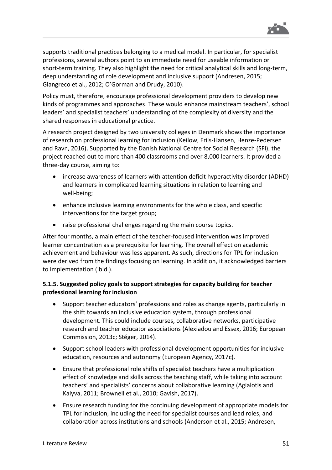

supports traditional practices belonging to a medical model. In particular, for specialist professions, several authors point to an immediate need for useable information or short-term training. They also highlight the need for critical analytical skills and long-term, deep understanding of role development and inclusive support (Andresen, 2015; Giangreco et al., 2012; O'Gorman and Drudy, 2010).

Policy must, therefore, encourage professional development providers to develop new kinds of programmes and approaches. These would enhance mainstream teachers', school leaders' and specialist teachers' understanding of the complexity of diversity and the shared responses in educational practice.

A research project designed by two university colleges in Denmark shows the importance of research on professional learning for inclusion (Keilow, Friis-Hansen, Henze-Pedersen and Ravn, 2016). Supported by the Danish National Centre for Social Research (SFI), the project reached out to more than 400 classrooms and over 8,000 learners. It provided a three-day course, aiming to:

- increase awareness of learners with attention deficit hyperactivity disorder (ADHD) and learners in complicated learning situations in relation to learning and well-being;
- enhance inclusive learning environments for the whole class, and specific interventions for the target group;
- raise professional challenges regarding the main course topics.

After four months, a main effect of the teacher-focused intervention was improved learner concentration as a prerequisite for learning. The overall effect on academic achievement and behaviour was less apparent. As such, directions for TPL for inclusion were derived from the findings focusing on learning. In addition, it acknowledged barriers to implementation (ibid.).

#### **5.1.5. Suggested policy goals to support strategies for capacity building for teacher professional learning for inclusion**

- Support teacher educators' professions and roles as change agents, particularly in the shift towards an inclusive education system, through professional development. This could include courses, collaborative networks, participative research and teacher educator associations (Alexiadou and Essex, 2016; European Commission, 2013c; Stéger, 2014).
- Support school leaders with professional development opportunities for inclusive education, resources and autonomy (European Agency, 2017c).
- Ensure that professional role shifts of specialist teachers have a multiplication effect of knowledge and skills across the teaching staff, while taking into account teachers' and specialists' concerns about collaborative learning (Agialotis and Kalyva, 2011; Brownell et al., 2010; Gavish, 2017).
- Ensure research funding for the continuing development of appropriate models for TPL for inclusion, including the need for specialist courses and lead roles, and collaboration across institutions and schools (Anderson et al., 2015; Andresen,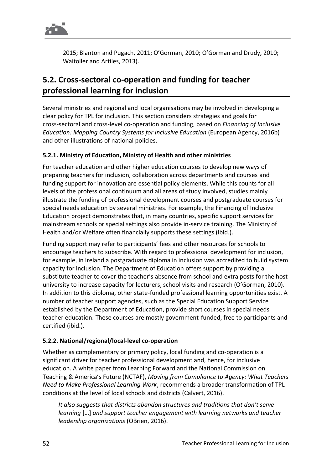

2015; Blanton and Pugach, 2011; O'Gorman, 2010; O'Gorman and Drudy, 2010; Waitoller and Artiles, 2013).

### **5.2. Cross-sectoral co-operation and funding for teacher professional learning for inclusion**

Several ministries and regional and local organisations may be involved in developing a clear policy for TPL for inclusion. This section considers strategies and goals for cross-sectoral and cross-level co-operation and funding, based on *Financing of Inclusive Education: Mapping Country Systems for Inclusive Education* (European Agency, 2016b) and other illustrations of national policies.

#### **5.2.1. Ministry of Education, Ministry of Health and other ministries**

For teacher education and other higher education courses to develop new ways of preparing teachers for inclusion, collaboration across departments and courses and funding support for innovation are essential policy elements. While this counts for all levels of the professional continuum and all areas of study involved, studies mainly illustrate the funding of professional development courses and postgraduate courses for special needs education by several ministries. For example, the Financing of Inclusive Education project demonstrates that, in many countries, specific support services for mainstream schools or special settings also provide in-service training. The Ministry of Health and/or Welfare often financially supports these settings (ibid.).

Funding support may refer to participants' fees and other resources for schools to encourage teachers to subscribe. With regard to professional development for inclusion, for example, in Ireland a postgraduate diploma in inclusion was accredited to build system capacity for inclusion. The Department of Education offers support by providing a substitute teacher to cover the teacher's absence from school and extra posts for the host university to increase capacity for lecturers, school visits and research (O'Gorman, 2010). In addition to this diploma, other state-funded professional learning opportunities exist. A number of teacher support agencies, such as the Special Education Support Service established by the Department of Education, provide short courses in special needs teacher education. These courses are mostly government-funded, free to participants and certified (ibid.).

#### **5.2.2. National/regional/local-level co-operation**

Whether as complementary or primary policy, local funding and co-operation is a significant driver for teacher professional development and, hence, for inclusive education. A white paper from Learning Forward and the National Commission on Teaching & America's Future (NCTAF), *Moving from Compliance to Agency: What Teachers Need to Make Professional Learning Work*, recommends a broader transformation of TPL conditions at the level of local schools and districts (Calvert, 2016).

*It also suggests that districts abandon structures and traditions that don't serve learning* […] *and support teacher engagement with learning networks and teacher leadership organizations* (OBrien, 2016).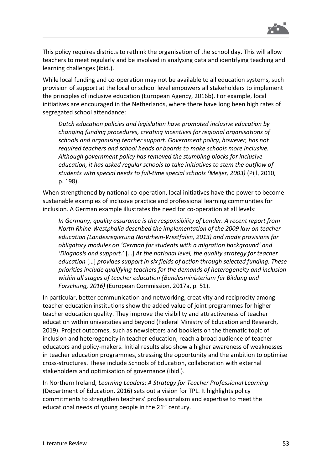

This policy requires districts to rethink the organisation of the school day. This will allow teachers to meet regularly and be involved in analysing data and identifying teaching and learning challenges (ibid.).

While local funding and co-operation may not be available to all education systems, such provision of support at the local or school level empowers all stakeholders to implement the principles of inclusive education (European Agency, 2016b). For example, local initiatives are encouraged in the Netherlands, where there have long been high rates of segregated school attendance:

*Dutch education policies and legislation have promoted inclusive education by changing funding procedures, creating incentives for regional organisations of schools and organising teacher support. Government policy, however, has not required teachers and school heads or boards to make schools more inclusive. Although government policy has removed the stumbling blocks for inclusive education, it has asked regular schools to take initiatives to stem the outflow of students with special needs to full-time special schools (Meijer, 2003)* (Pijl, 2010, p. 198).

When strengthened by national co-operation, local initiatives have the power to become sustainable examples of inclusive practice and professional learning communities for inclusion. A German example illustrates the need for co-operation at all levels:

*In Germany, quality assurance is the responsibility of Lander. A recent report from North Rhine-Westphalia described the implementation of the 2009 law on teacher education (Landesregierung Nordrhein-Westfalen, 2013) and made provisions for obligatory modules on 'German for students with a migration background' and 'Diagnosis and support.'* […] *At the national level, the quality strategy for teacher education* […] *provides support in six fields of action through selected funding. These priorities include qualifying teachers for the demands of heterogeneity and inclusion within all stages of teacher education (Bundesministerium für Bildung und Forschung, 2016)* (European Commission, 2017a, p. 51).

In particular, better communication and networking, creativity and reciprocity among teacher education institutions show the added value of joint programmes for higher teacher education quality. They improve the visibility and attractiveness of teacher education within universities and beyond (Federal Ministry of Education and Research, 2019). Project outcomes, such as newsletters and booklets on the thematic topic of inclusion and heterogeneity in teacher education, reach a broad audience of teacher educators and policy-makers. Initial results also show a higher awareness of weaknesses in teacher education programmes, stressing the opportunity and the ambition to optimise cross-structures. These include Schools of Education, collaboration with external stakeholders and optimisation of governance (ibid.).

In Northern Ireland, *Learning Leaders: A Strategy for Teacher Professional Learning* (Department of Education, 2016) sets out a vision for TPL. It highlights policy commitments to strengthen teachers' professionalism and expertise to meet the educational needs of young people in the  $21<sup>st</sup>$  century.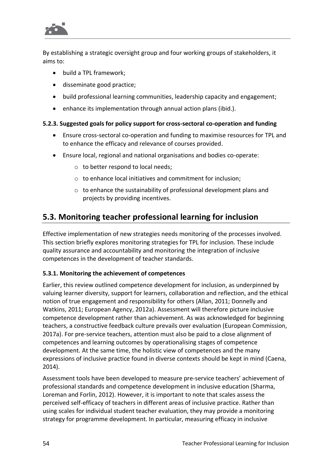

By establishing a strategic oversight group and four working groups of stakeholders, it aims to:

- build a TPL framework;
- disseminate good practice;
- build professional learning communities, leadership capacity and engagement;
- enhance its implementation through annual action plans (ibid.).

#### **5.2.3. Suggested goals for policy support for cross-sectoral co-operation and funding**

- Ensure cross-sectoral co-operation and funding to maximise resources for TPL and to enhance the efficacy and relevance of courses provided.
- Ensure local, regional and national organisations and bodies co-operate:
	- $\circ$  to better respond to local needs;
	- o to enhance local initiatives and commitment for inclusion;
	- o to enhance the sustainability of professional development plans and projects by providing incentives.

### **5.3. Monitoring teacher professional learning for inclusion**

Effective implementation of new strategies needs monitoring of the processes involved. This section briefly explores monitoring strategies for TPL for inclusion. These include quality assurance and accountability and monitoring the integration of inclusive competences in the development of teacher standards.

#### **5.3.1. Monitoring the achievement of competences**

Earlier, this review outlined competence development for inclusion, as underpinned by valuing learner diversity, support for learners, collaboration and reflection, and the ethical notion of true engagement and responsibility for others (Allan, 2011; Donnelly and Watkins, 2011; European Agency, 2012a). Assessment will therefore picture inclusive competence development rather than achievement. As was acknowledged for beginning teachers, a constructive feedback culture prevails over evaluation (European Commission, 2017a). For pre-service teachers, attention must also be paid to a close alignment of competences and learning outcomes by operationalising stages of competence development. At the same time, the holistic view of competences and the many expressions of inclusive practice found in diverse contexts should be kept in mind (Caena, 2014).

Assessment tools have been developed to measure pre-service teachers' achievement of professional standards and competence development in inclusive education (Sharma, Loreman and Forlin, 2012). However, it is important to note that scales assess the perceived self-efficacy of teachers in different areas of inclusive practice. Rather than using scales for individual student teacher evaluation, they may provide a monitoring strategy for programme development. In particular, measuring efficacy in inclusive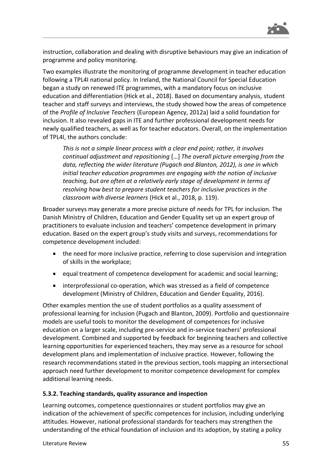

instruction, collaboration and dealing with disruptive behaviours may give an indication of programme and policy monitoring.

Two examples illustrate the monitoring of programme development in teacher education following a TPL4I national policy. In Ireland, the National Council for Special Education began a study on renewed ITE programmes, with a mandatory focus on inclusive education and differentiation (Hick et al., 2018). Based on documentary analysis, student teacher and staff surveys and interviews, the study showed how the areas of competence of the *Profile of Inclusive Teachers* (European Agency, 2012a) laid a solid foundation for inclusion. It also revealed gaps in ITE and further professional development needs for newly qualified teachers, as well as for teacher educators. Overall, on the implementation of TPL4I, the authors conclude:

*This is not a simple linear process with a clear end point; rather, it involves continual adjustment and repositioning* […] *The overall picture emerging from the data, reflecting the wider literature (Pugach and Blanton, 2012), is one in which initial teacher education programmes are engaging with the notion of inclusive teaching, but are often at a relatively early stage of development in terms of resolving how best to prepare student teachers for inclusive practices in the classroom with diverse learners* (Hick et al., 2018, p. 119).

Broader surveys may generate a more precise picture of needs for TPL for inclusion. The Danish Ministry of Children, Education and Gender Equality set up an expert group of practitioners to evaluate inclusion and teachers' competence development in primary education. Based on the expert group's study visits and surveys, recommendations for competence development included:

- the need for more inclusive practice, referring to close supervision and integration of skills in the workplace;
- equal treatment of competence development for academic and social learning;
- interprofessional co-operation, which was stressed as a field of competence development (Ministry of Children, Education and Gender Equality, 2016).

Other examples mention the use of student portfolios as a quality assessment of professional learning for inclusion (Pugach and Blanton, 2009). Portfolio and questionnaire models are useful tools to monitor the development of competences for inclusive education on a larger scale, including pre-service and in-service teachers' professional development. Combined and supported by feedback for beginning teachers and collective learning opportunities for experienced teachers, they may serve as a resource for school development plans and implementation of inclusive practice. However, following the research recommendations stated in the previous section, tools mapping an intersectional approach need further development to monitor competence development for complex additional learning needs.

#### **5.3.2. Teaching standards, quality assurance and inspection**

Learning outcomes, competence questionnaires or student portfolios may give an indication of the achievement of specific competences for inclusion, including underlying attitudes. However, national professional standards for teachers may strengthen the understanding of the ethical foundation of inclusion and its adoption, by stating a policy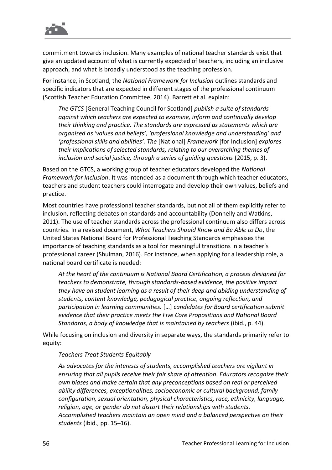

commitment towards inclusion. Many examples of national teacher standards exist that give an updated account of what is currently expected of teachers, including an inclusive approach, and what is broadly understood as the teaching profession.

For instance, in Scotland, the *National Framework for Inclusion* outlines standards and specific indicators that are expected in different stages of the professional continuum (Scottish Teacher Education Committee, 2014). Barrett et al. explain:

*The GTCS* [General Teaching Council for Scotland] *publish a suite of standards against which teachers are expected to examine, inform and continually develop their thinking and practice. The standards are expressed as statements which are organised as 'values and beliefs', 'professional knowledge and understanding' and 'professional skills and abilities'. The* [National] *Framework* [for Inclusion] *explores their implications of selected standards, relating to our overarching themes of inclusion and social justice, through a series of guiding questions* (2015, p. 3).

Based on the GTCS, a working group of teacher educators developed the *National Framework for Inclusion*. It was intended as a document through which teacher educators, teachers and student teachers could interrogate and develop their own values, beliefs and practice.

Most countries have professional teacher standards, but not all of them explicitly refer to inclusion, reflecting debates on standards and accountability (Donnelly and Watkins, 2011). The use of teacher standards across the professional continuum also differs across countries. In a revised document, *What Teachers Should Know and Be Able to Do*, the United States National Board for Professional Teaching Standards emphasises the importance of teaching standards as a tool for meaningful transitions in a teacher's professional career (Shulman, 2016). For instance, when applying for a leadership role, a national board certificate is needed:

*At the heart of the continuum is National Board Certification, a process designed for teachers to demonstrate, through standards-based evidence, the positive impact they have on student learning as a result of their deep and abiding understanding of students, content knowledge, pedagogical practice, ongoing reflection, and participation in learning communities.* […] *candidates for Board certification submit evidence that their practice meets the Five Core Propositions and National Board Standards, a body of knowledge that is maintained by teachers* (ibid., p. 44).

While focusing on inclusion and diversity in separate ways, the standards primarily refer to equity:

#### *Teachers Treat Students Equitably*

*As advocates for the interests of students, accomplished teachers are vigilant in ensuring that all pupils receive their fair share of attention. Educators recognize their own biases and make certain that any preconceptions based on real or perceived ability differences, exceptionalities, socioeconomic or cultural background, family configuration, sexual orientation, physical characteristics, race, ethnicity, language, religion, age, or gender do not distort their relationships with students. Accomplished teachers maintain an open mind and a balanced perspective on their students* (ibid., pp. 15–16).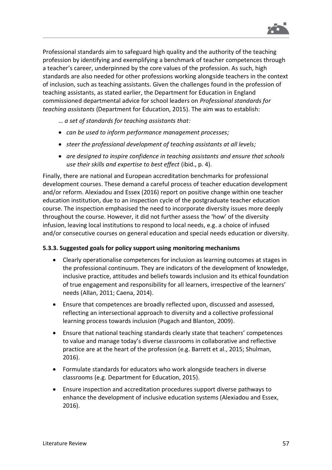

Professional standards aim to safeguard high quality and the authority of the teaching profession by identifying and exemplifying a benchmark of teacher competences through a teacher's career, underpinned by the core values of the profession. As such, high standards are also needed for other professions working alongside teachers in the context of inclusion, such as teaching assistants. Given the challenges found in the profession of teaching assistants, as stated earlier, the Department for Education in England commissioned departmental advice for school leaders on *Professional standards for teaching assistants* (Department for Education, 2015). The aim was to establish:

… *a set of standards for teaching assistants that:*

- *can be used to inform performance management processes;*
- *steer the professional development of teaching assistants at all levels;*
- *are designed to inspire confidence in teaching assistants and ensure that schools use their skills and expertise to best effect* (ibid., p. 4).

Finally, there are national and European accreditation benchmarks for professional development courses. These demand a careful process of teacher education development and/or reform. Alexiadou and Essex (2016) report on positive change within one teacher education institution, due to an inspection cycle of the postgraduate teacher education course. The inspection emphasised the need to incorporate diversity issues more deeply throughout the course. However, it did not further assess the 'how' of the diversity infusion, leaving local institutions to respond to local needs, e.g. a choice of infused and/or consecutive courses on general education and special needs education or diversity.

#### **5.3.3. Suggested goals for policy support using monitoring mechanisms**

- Clearly operationalise competences for inclusion as learning outcomes at stages in the professional continuum. They are indicators of the development of knowledge, inclusive practice, attitudes and beliefs towards inclusion and its ethical foundation of true engagement and responsibility for all learners, irrespective of the learners' needs (Allan, 2011; Caena, 2014).
- Ensure that competences are broadly reflected upon, discussed and assessed, reflecting an intersectional approach to diversity and a collective professional learning process towards inclusion (Pugach and Blanton, 2009).
- Ensure that national teaching standards clearly state that teachers' competences to value and manage today's diverse classrooms in collaborative and reflective practice are at the heart of the profession (e.g. Barrett et al., 2015; Shulman, 2016).
- Formulate standards for educators who work alongside teachers in diverse classrooms (e.g. Department for Education, 2015).
- Ensure inspection and accreditation procedures support diverse pathways to enhance the development of inclusive education systems (Alexiadou and Essex, 2016).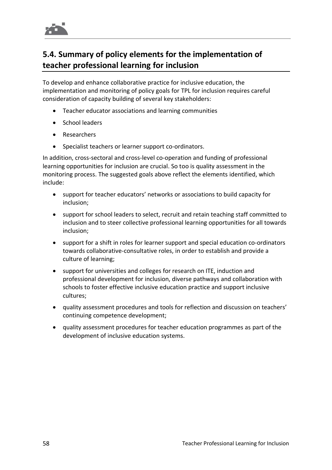

### **5.4. Summary of policy elements for the implementation of teacher professional learning for inclusion**

To develop and enhance collaborative practice for inclusive education, the implementation and monitoring of policy goals for TPL for inclusion requires careful consideration of capacity building of several key stakeholders:

- Teacher educator associations and learning communities
- School leaders
- Researchers
- Specialist teachers or learner support co-ordinators.

In addition, cross-sectoral and cross-level co-operation and funding of professional learning opportunities for inclusion are crucial. So too is quality assessment in the monitoring process. The suggested goals above reflect the elements identified, which include:

- support for teacher educators' networks or associations to build capacity for inclusion;
- support for school leaders to select, recruit and retain teaching staff committed to inclusion and to steer collective professional learning opportunities for all towards inclusion;
- support for a shift in roles for learner support and special education co-ordinators towards collaborative-consultative roles, in order to establish and provide a culture of learning;
- support for universities and colleges for research on ITE, induction and professional development for inclusion, diverse pathways and collaboration with schools to foster effective inclusive education practice and support inclusive cultures;
- quality assessment procedures and tools for reflection and discussion on teachers' continuing competence development;
- quality assessment procedures for teacher education programmes as part of the development of inclusive education systems.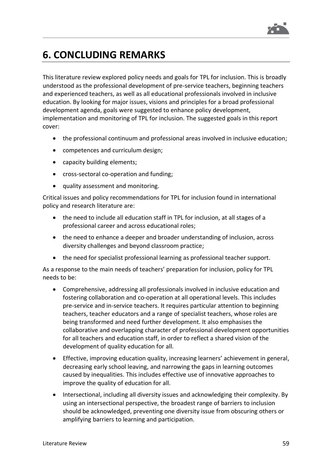

# **6. CONCLUDING REMARKS**

This literature review explored policy needs and goals for TPL for inclusion. This is broadly understood as the professional development of pre-service teachers, beginning teachers and experienced teachers, as well as all educational professionals involved in inclusive education. By looking for major issues, visions and principles for a broad professional development agenda, goals were suggested to enhance policy development, implementation and monitoring of TPL for inclusion. The suggested goals in this report cover:

- the professional continuum and professional areas involved in inclusive education;
- competences and curriculum design;
- capacity building elements;
- cross-sectoral co-operation and funding;
- quality assessment and monitoring.

Critical issues and policy recommendations for TPL for inclusion found in international policy and research literature are:

- the need to include all education staff in TPL for inclusion, at all stages of a professional career and across educational roles;
- the need to enhance a deeper and broader understanding of inclusion, across diversity challenges and beyond classroom practice;
- the need for specialist professional learning as professional teacher support.

As a response to the main needs of teachers' preparation for inclusion, policy for TPL needs to be:

- Comprehensive, addressing all professionals involved in inclusive education and fostering collaboration and co-operation at all operational levels. This includes pre-service and in-service teachers. It requires particular attention to beginning teachers, teacher educators and a range of specialist teachers, whose roles are being transformed and need further development. It also emphasises the collaborative and overlapping character of professional development opportunities for all teachers and education staff, in order to reflect a shared vision of the development of quality education for all.
- Effective, improving education quality, increasing learners' achievement in general, decreasing early school leaving, and narrowing the gaps in learning outcomes caused by inequalities. This includes effective use of innovative approaches to improve the quality of education for all.
- Intersectional, including all diversity issues and acknowledging their complexity. By using an intersectional perspective, the broadest range of barriers to inclusion should be acknowledged, preventing one diversity issue from obscuring others or amplifying barriers to learning and participation.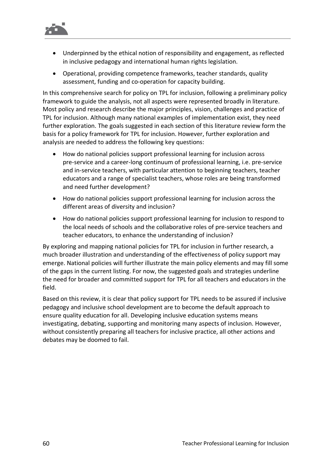

- Underpinned by the ethical notion of responsibility and engagement, as reflected in inclusive pedagogy and international human rights legislation.
- Operational, providing competence frameworks, teacher standards, quality assessment, funding and co-operation for capacity building.

In this comprehensive search for policy on TPL for inclusion, following a preliminary policy framework to guide the analysis, not all aspects were represented broadly in literature. Most policy and research describe the major principles, vision, challenges and practice of TPL for inclusion. Although many national examples of implementation exist, they need further exploration. The goals suggested in each section of this literature review form the basis for a policy framework for TPL for inclusion. However, further exploration and analysis are needed to address the following key questions:

- How do national policies support professional learning for inclusion across pre-service and a career-long continuum of professional learning, i.e. pre-service and in-service teachers, with particular attention to beginning teachers, teacher educators and a range of specialist teachers, whose roles are being transformed and need further development?
- How do national policies support professional learning for inclusion across the different areas of diversity and inclusion?
- How do national policies support professional learning for inclusion to respond to the local needs of schools and the collaborative roles of pre-service teachers and teacher educators, to enhance the understanding of inclusion?

By exploring and mapping national policies for TPL for inclusion in further research, a much broader illustration and understanding of the effectiveness of policy support may emerge. National policies will further illustrate the main policy elements and may fill some of the gaps in the current listing. For now, the suggested goals and strategies underline the need for broader and committed support for TPL for all teachers and educators in the field.

Based on this review, it is clear that policy support for TPL needs to be assured if inclusive pedagogy and inclusive school development are to become the default approach to ensure quality education for all. Developing inclusive education systems means investigating, debating, supporting and monitoring many aspects of inclusion. However, without consistently preparing all teachers for inclusive practice, all other actions and debates may be doomed to fail.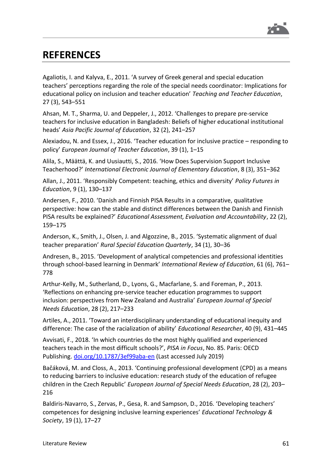

## **REFERENCES**

Agaliotis, I. and Kalyva, E., 2011. 'A survey of Greek general and special education teachers' perceptions regarding the role of the special needs coordinator: Implications for educational policy on inclusion and teacher education' *Teaching and Teacher Education*, 27 (3), 543–551

Ahsan, M. T., Sharma, U. and Deppeler, J., 2012. 'Challenges to prepare pre-service teachers for inclusive education in Bangladesh: Beliefs of higher educational institutional heads' *Asia Pacific Journal of Education*, 32 (2), 241–257

Alexiadou, N. and Essex, J., 2016. 'Teacher education for inclusive practice – responding to policy' *European Journal of Teacher Education*, 39 (1), 1–15

Alila, S., Määttä, K. and Uusiautti, S., 2016. 'How Does Supervision Support Inclusive Teacherhood?' *International Electronic Journal of Elementary Education*, 8 (3), 351–362

Allan, J., 2011. 'Responsibly Competent: teaching, ethics and diversity' *Policy Futures in Education*, 9 (1), 130–137

Andersen, F., 2010. 'Danish and Finnish PISA Results in a comparative, qualitative perspective: how can the stable and distinct differences between the Danish and Finnish PISA results be explained?' *Educational Assessment, Evaluation and Accountability*, 22 (2), 159–175

Anderson, K., Smith, J., Olsen, J. and Algozzine, B., 2015. 'Systematic alignment of dual teacher preparation' *Rural Special Education Quarterly*, 34 (1), 30–36

Andresen, B., 2015. 'Development of analytical competencies and professional identities through school-based learning in Denmark' *International Review of Education*, 61 (6), 761– 778

Arthur-Kelly, M., Sutherland, D., Lyons, G., Macfarlane, S. and Foreman, P., 2013. 'Reflections on enhancing pre-service teacher education programmes to support inclusion: perspectives from New Zealand and Australia' *European Journal of Special Needs Education*, 28 (2), 217–233

Artiles, A., 2011. 'Toward an interdisciplinary understanding of educational inequity and difference: The case of the racialization of ability' *Educational Researcher*, 40 (9), 431–445

Avvisati, F., 2018. 'In which countries do the most highly qualified and experienced teachers teach in the most difficult schools?', *PISA in Focus*, No. 85. Paris: OECD Publishing. [doi.org/10.1787/3ef99aba-en](https://doi.org/10.1787/3ef99aba-en) (Last accessed July 2019)

Bačáková, M. and Closs, A., 2013. 'Continuing professional development (CPD) as a means to reducing barriers to inclusive education: research study of the education of refugee children in the Czech Republic' *European Journal of Special Needs Education*, 28 (2), 203– 216

Baldiris-Navarro, S., Zervas, P., Gesa, R. and Sampson, D., 2016. 'Developing teachers' competences for designing inclusive learning experiences' *Educational Technology & Society*, 19 (1), 17–27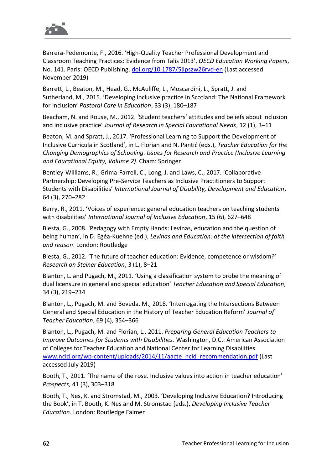

Barrera-Pedemonte, F., 2016. 'High-Quality Teacher Professional Development and Classroom Teaching Practices: Evidence from Talis 2013', *OECD Education Working Papers*, No. 141. Paris: OECD Publishing. [doi.org/10.1787/5jlpszw26rvd-en](https://doi.org/10.1787/5jlpszw26rvd-en) (Last accessed November 2019)

Barrett, L., Beaton, M., Head, G., McAuliffe, L., Moscardini, L., Spratt, J. and Sutherland, M., 2015. 'Developing inclusive practice in Scotland: The National Framework for Inclusion' *Pastoral Care in Education*, 33 (3), 180–187

Beacham, N. and Rouse, M., 2012. 'Student teachers' attitudes and beliefs about inclusion and inclusive practice' *Journal of Research in Special Educational Needs*, 12 (1), 3–11

Beaton, M. and Spratt, J., 2017. 'Professional Learning to Support the Development of Inclusive Curricula in Scotland', in L. Florian and N. Pantić (eds.), *Teacher Education for the Changing Demographics of Schooling. Issues for Research and Practice (Inclusive Learning and Educational Equity, Volume 2)*. Cham: Springer

Bentley-Williams, R., Grima-Farrell, C., Long, J. and Laws, C., 2017. 'Collaborative Partnership: Developing Pre-Service Teachers as Inclusive Practitioners to Support Students with Disabilities' *International Journal of Disability, Development and Education*, 64 (3), 270–282

Berry, R., 2011. 'Voices of experience: general education teachers on teaching students with disabilities' *International Journal of Inclusive Education*, 15 (6), 627–648

Biesta, G., 2008. 'Pedagogy with Empty Hands: Levinas, education and the question of being human', in D. Egéa-Kuehne (ed.), *Levinas and Education: at the intersection of faith and reason*. London: Routledge

Biesta, G., 2012. 'The future of teacher education: Evidence, competence or wisdom?' *Research on Steiner Education*, 3 (1), 8–21

Blanton, L. and Pugach, M., 2011. 'Using a classification system to probe the meaning of dual licensure in general and special education' *Teacher Education and Special Education*, 34 (3), 219–234

Blanton, L., Pugach, M. and Boveda, M., 2018. 'Interrogating the Intersections Between General and Special Education in the History of Teacher Education Reform' *Journal of Teacher Education*, 69 (4), 354–366

Blanton, L., Pugach, M. and Florian, L., 2011. *Preparing General Education Teachers to Improve Outcomes for Students with Disabilities*. Washington, D.C.: American Association of Colleges for Teacher Education and National Center for Learning Disabilities. [www.ncld.org/wp-content/uploads/2014/11/aacte\\_ncld\\_recommendation.pdf](https://www.ncld.org/wp-content/uploads/2014/11/aacte_ncld_recommendation.pdf) (Last accessed July 2019)

Booth, T., 2011. 'The name of the rose. Inclusive values into action in teacher education' *Prospects*, 41 (3), 303–318

Booth, T., Nes, K. and Stromstad, M., 2003. 'Developing Inclusive Education? Introducing the Book', in T. Booth, K. Nes and M. Stromstad (eds.), *Developing Inclusive Teacher Education*. London: Routledge Falmer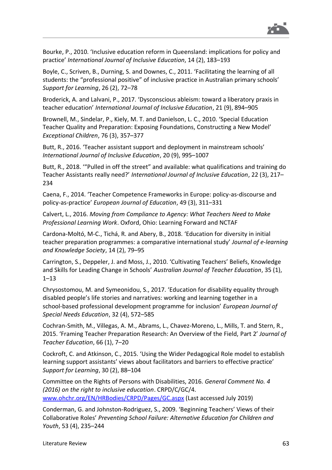

Bourke, P., 2010. 'Inclusive education reform in Queensland: implications for policy and practice' *International Journal of Inclusive Education*, 14 (2), 183–193

Boyle, C., Scriven, B., Durning, S. and Downes, C., 2011. 'Facilitating the learning of all students: the "professional positive" of inclusive practice in Australian primary schools' *Support for Learning*, 26 (2), 72–78

Broderick, A. and Lalvani, P., 2017. 'Dysconscious ableism: toward a liberatory praxis in teacher education' *International Journal of Inclusive Education*, 21 (9), 894–905

Brownell, M., Sindelar, P., Kiely, M. T. and Danielson, L. C., 2010. 'Special Education Teacher Quality and Preparation: Exposing Foundations, Constructing a New Model' *Exceptional Children*, 76 (3), 357–377

Butt, R., 2016. 'Teacher assistant support and deployment in mainstream schools' *International Journal of Inclusive Education*, 20 (9), 995–1007

Butt, R., 2018. '"Pulled in off the street" and available: what qualifications and training do Teacher Assistants really need?' *International Journal of Inclusive Education*, 22 (3), 217– 234

Caena, F., 2014. 'Teacher Competence Frameworks in Europe: policy-as-discourse and policy-as-practice' *European Journal of Education*, 49 (3), 311–331

Calvert, L., 2016. *Moving from Compliance to Agency: What Teachers Need to Make Professional Learning Work*. Oxford, Ohio: Learning Forward and NCTAF

Cardona-Moltó, M-C., Tichá, R. and Abery, B., 2018. 'Education for diversity in initial teacher preparation programmes: a comparative international study' *Journal of e-learning and Knowledge Society*, 14 (2), 79–95

Carrington, S., Deppeler, J. and Moss, J., 2010. 'Cultivating Teachers' Beliefs, Knowledge and Skills for Leading Change in Schools' *Australian Journal of Teacher Education*, 35 (1), 1–13

Chrysostomou, M. and Symeonidou, S., 2017. 'Education for disability equality through disabled people's life stories and narratives: working and learning together in a school-based professional development programme for inclusion' *European Journal of Special Needs Education*, 32 (4), 572–585

Cochran-Smith, M., Villegas, A. M., Abrams, L., Chavez-Moreno, L., Mills, T. and Stern, R., 2015. 'Framing Teacher Preparation Research: An Overview of the Field, Part 2' *Journal of Teacher Education*, 66 (1), 7–20

Cockroft, C. and Atkinson, C., 2015. 'Using the Wider Pedagogical Role model to establish learning support assistants' views about facilitators and barriers to effective practice' *Support for Learning*, 30 (2), 88–104

Committee on the Rights of Persons with Disabilities, 2016. *General Comment No. 4 (2016) on the right to inclusive education*. CRPD/C/GC/4. [www.ohchr.org/EN/HRBodies/CRPD/Pages/GC.aspx](http://www.ohchr.org/EN/HRBodies/CRPD/Pages/GC.aspx) (Last accessed July 2019)

Conderman, G. and Johnston-Rodriguez, S., 2009. 'Beginning Teachers' Views of their Collaborative Roles' *Preventing School Failure: Alternative Education for Children and Youth*, 53 (4), 235–244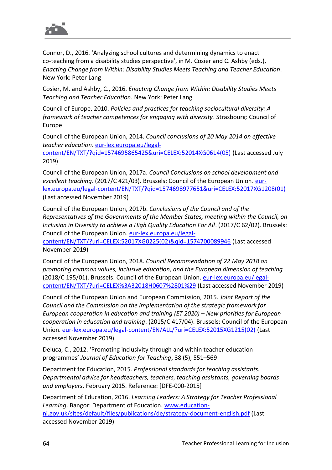

Connor, D., 2016. 'Analyzing school cultures and determining dynamics to enact co-teaching from a disability studies perspective', in M. Cosier and C. Ashby (eds.), *Enacting Change from Within: Disability Studies Meets Teaching and Teacher Education*. New York: Peter Lang

Cosier, M. and Ashby, C., 2016. *Enacting Change from Within: Disability Studies Meets Teaching and Teacher Education*. New York: Peter Lang

Council of Europe, 2010. *Policies and practices for teaching sociocultural diversity: A framework of teacher competences for engaging with diversity*. Strasbourg: Council of Europe

Council of the European Union, 2014. *Council conclusions of 20 May 2014 on effective teacher education*. [eur-lex.europa.eu/legal](https://eur-lex.europa.eu/legal-content/EN/TXT/?qid=1574695865425&uri=CELEX:52014XG0614(05))[content/EN/TXT/?qid=1574695865425&uri=CELEX:52014XG0614\(05\)](https://eur-lex.europa.eu/legal-content/EN/TXT/?qid=1574695865425&uri=CELEX:52014XG0614(05)) (Last accessed July 2019)

Council of the European Union, 2017a. *Council Conclusions on school development and excellent teaching*. (2017/C 421/03). Brussels: Council of the European Union. [eur](https://eur-lex.europa.eu/legal-content/EN/TXT/?qid=1574698977651&uri=CELEX:52017XG1208(01))[lex.europa.eu/legal-content/EN/TXT/?qid=1574698977651&uri=CELEX:52017XG1208\(01\)](https://eur-lex.europa.eu/legal-content/EN/TXT/?qid=1574698977651&uri=CELEX:52017XG1208(01)) (Last accessed November 2019)

Council of the European Union, 2017b. *Conclusions of the Council and of the Representatives of the Governments of the Member States, meeting within the Council, on Inclusion in Diversity to achieve a High Quality Education For All*. (2017/C 62/02). Brussels: Council of the European Union. [eur-lex.europa.eu/legal-](https://eur-lex.europa.eu/legal-content/EN/TXT/?uri=CELEX:52017XG0225(02)&qid=1574700089946)

[content/EN/TXT/?uri=CELEX:52017XG0225\(02\)&qid=1574700089946](https://eur-lex.europa.eu/legal-content/EN/TXT/?uri=CELEX:52017XG0225(02)&qid=1574700089946) (Last accessed November 2019)

Council of the European Union, 2018. *Council Recommendation of 22 May 2018 on promoting common values, inclusive education, and the European dimension of teaching*. (2018/C 195/01). Brussels: Council of the European Union. [eur-lex.europa.eu/legal](https://eur-lex.europa.eu/legal-content/EN/TXT/?uri=CELEX%3A32018H0607%2801%29)[content/EN/TXT/?uri=CELEX%3A32018H0607%2801%29](https://eur-lex.europa.eu/legal-content/EN/TXT/?uri=CELEX%3A32018H0607%2801%29) (Last accessed November 2019)

Council of the European Union and European Commission, 2015. *Joint Report of the Council and the Commission on the implementation of the strategic framework for European cooperation in education and training (ET 2020) – New priorities for European cooperation in education and training*. (2015/C 417/04). Brussels: Council of the European Union. [eur-lex.europa.eu/legal-content/EN/ALL/?uri=CELEX:52015XG1215\(02\)](https://eur-lex.europa.eu/legal-content/EN/ALL/?uri=CELEX:52015XG1215(02)) (Last accessed November 2019)

Deluca, C., 2012. 'Promoting inclusivity through and within teacher education programmes' *Journal of Education for Teaching*, 38 (5), 551–569

Department for Education, 2015. *Professional standards for teaching assistants. Departmental advice for headteachers, teachers, teaching assistants, governing boards and employers*. February 2015. Reference: [DFE-000-2015]

Department of Education, 2016. *Learning Leaders: A Strategy for Teacher Professional Learning*. Bangor: Department of Education. [www.education](http://www.education-ni.gov.uk/sites/default/files/publications/de/strategy-document-english.pdf)[ni.gov.uk/sites/default/files/publications/de/strategy-document-english.pdf](http://www.education-ni.gov.uk/sites/default/files/publications/de/strategy-document-english.pdf) (Last accessed November 2019)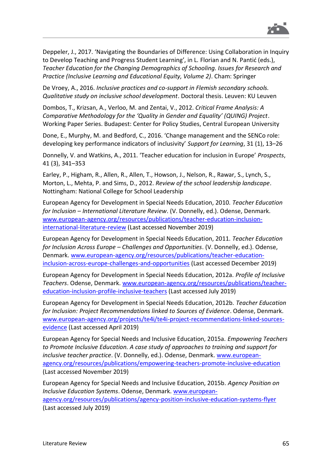

Deppeler, J., 2017. 'Navigating the Boundaries of Difference: Using Collaboration in Inquiry to Develop Teaching and Progress Student Learning', in L. Florian and N. Pantić (eds.), *Teacher Education for the Changing Demographics of Schooling. Issues for Research and Practice (Inclusive Learning and Educational Equity, Volume 2)*. Cham: Springer

De Vroey, A., 2016. *Inclusive practices and co-support in Flemish secondary schools. Qualitative study on inclusive school development*. Doctoral thesis. Leuven: KU Leuven

Dombos, T., Krizsan, A., Verloo, M. and Zentai, V., 2012. *Critical Frame Analysis: A Comparative Methodology for the 'Quality in Gender and Equality' (QUING) Project*. Working Paper Series. Budapest: Center for Policy Studies, Central European University

Done, E., Murphy, M. and Bedford, C., 2016. 'Change management and the SENCo role: developing key performance indicators of inclusivity' *Support for Learning*, 31 (1), 13–26

Donnelly, V. and Watkins, A., 2011. 'Teacher education for inclusion in Europe' *Prospects*, 41 (3), 341–353

Earley, P., Higham, R., Allen, R., Allen, T., Howson, J., Nelson, R., Rawar, S., Lynch, S., Morton, L., Mehta, P. and Sims, D., 2012. *Review of the school leadership landscape*. Nottingham: National College for School Leadership

European Agency for Development in Special Needs Education, 2010. *Teacher Education for Inclusion – International Literature Review*. (V. Donnelly, ed.). Odense, Denmark. [www.european-agency.org/resources/publications/teacher-education-inclusion](http://www.european-agency.org/resources/publications/teacher-education-inclusion-international-literature-review)[international-literature-review](http://www.european-agency.org/resources/publications/teacher-education-inclusion-international-literature-review) (Last accessed November 2019)

European Agency for Development in Special Needs Education, 2011. *Teacher Education for Inclusion Across Europe – Challenges and Opportunities*. (V. Donnelly, ed.). Odense, Denmark. [www.european-agency.org/resources/publications/teacher-education](https://www.european-agency.org/resources/publications/teacher-education-inclusion-across-europe-challenges-and-opportunities)[inclusion-across-europe-challenges-and-opportunities](https://www.european-agency.org/resources/publications/teacher-education-inclusion-across-europe-challenges-and-opportunities) (Last accessed December 2019)

European Agency for Development in Special Needs Education, 2012a. *Profile of Inclusive Teachers*. Odense, Denmark. [www.european-agency.org/resources/publications/teacher](http://www.european-agency.org/resources/publications/teacher-education-inclusion-profile-inclusive-teachers)[education-inclusion-profile-inclusive-teachers](http://www.european-agency.org/resources/publications/teacher-education-inclusion-profile-inclusive-teachers) (Last accessed July 2019)

European Agency for Development in Special Needs Education, 2012b. *Teacher Education for Inclusion: Project Recommendations linked to Sources of Evidence*. Odense, Denmark. [www.european-agency.org/projects/te4i/te4i-project-recommendations-linked-sources](https://www.european-agency.org/projects/te4i/te4i-project-recommendations-linked-sources-evidence)[evidence](https://www.european-agency.org/projects/te4i/te4i-project-recommendations-linked-sources-evidence) (Last accessed April 2019)

European Agency for Special Needs and Inclusive Education, 2015a. *Empowering Teachers to Promote Inclusive Education. A case study of approaches to training and support for inclusive teacher practice*. (V. Donnelly, ed.). Odense, Denmark. [www.european](https://www.european-agency.org/resources/publications/empowering-teachers-promote-inclusive-education)[agency.org/resources/publications/empowering-teachers-promote-inclusive-education](https://www.european-agency.org/resources/publications/empowering-teachers-promote-inclusive-education) (Last accessed November 2019)

European Agency for Special Needs and Inclusive Education, 2015b. *Agency Position on Inclusive Education Systems*. Odense, Denmark. [www.european](https://www.european-agency.org/resources/publications/agency-position-inclusive-education-systems-flyer)[agency.org/resources/publications/agency-position-inclusive-education-systems-flyer](https://www.european-agency.org/resources/publications/agency-position-inclusive-education-systems-flyer) (Last accessed July 2019)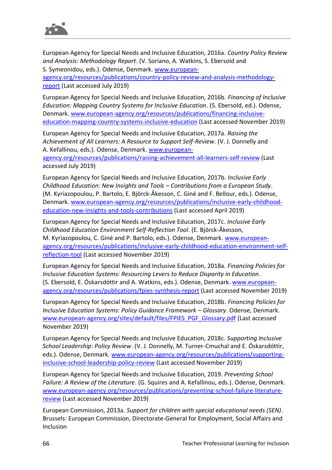

European Agency for Special Needs and Inclusive Education, 2016a. *Country Policy Review and Analysis: Methodology Report*. (V. Soriano, A. Watkins, S. Ebersold and S. Symeonidou, eds.). Odense, Denmark. [www.european-](https://www.european-agency.org/resources/publications/country-policy-review-and-analysis-methodology-report)

[agency.org/resources/publications/country-policy-review-and-analysis-methodology](https://www.european-agency.org/resources/publications/country-policy-review-and-analysis-methodology-report)[report](https://www.european-agency.org/resources/publications/country-policy-review-and-analysis-methodology-report) (Last accessed July 2019)

European Agency for Special Needs and Inclusive Education, 2016b. *Financing of Inclusive Education: Mapping Country Systems for Inclusive Education*. (S. Ebersold, ed.). Odense, Denmark. [www.european-agency.org/resources/publications/financing-inclusive](https://www.european-agency.org/resources/publications/financing-inclusive-education-mapping-country-systems-inclusive-education)[education-mapping-country-systems-inclusive-education](https://www.european-agency.org/resources/publications/financing-inclusive-education-mapping-country-systems-inclusive-education) (Last accessed November 2019)

European Agency for Special Needs and Inclusive Education, 2017a. *Raising the Achievement of All Learners: A Resource to Support Self-Review*. (V. J. Donnelly and A. Kefallinou, eds.). Odense, Denmark. [www.european-](https://www.european-agency.org/resources/publications/raising-achievement-all-learners-self-review)

[agency.org/resources/publications/raising-achievement-all-learners-self-review](https://www.european-agency.org/resources/publications/raising-achievement-all-learners-self-review) (Last accessed July 2019)

European Agency for Special Needs and Inclusive Education, 2017b. *Inclusive Early Childhood Education: New Insights and Tools – Contributions from a European Study*. (M. Kyriazopoulou, P. Bartolo, E. Björck-Åkesson, C. Giné and F. Bellour, eds.). Odense, Denmark. [www.european-agency.org/resources/publications/inclusive-early-childhood](https://www.european-agency.org/resources/publications/inclusive-early-childhood-education-new-insights-and-tools-contributions)[education-new-insights-and-tools-contributions](https://www.european-agency.org/resources/publications/inclusive-early-childhood-education-new-insights-and-tools-contributions) (Last accessed April 2019)

European Agency for Special Needs and Inclusive Education, 2017c. *Inclusive Early Childhood Education Environment Self-Reflection Tool*. (E. Björck-Åkesson, M. Kyriazopoulou, C. Giné and P. Bartolo, eds.). Odense, Denmark[. www.european](https://www.european-agency.org/resources/publications/inclusive-early-childhood-education-environment-self-reflection-tool)[agency.org/resources/publications/inclusive-early-childhood-education-environment-self](https://www.european-agency.org/resources/publications/inclusive-early-childhood-education-environment-self-reflection-tool)[reflection-tool](https://www.european-agency.org/resources/publications/inclusive-early-childhood-education-environment-self-reflection-tool) (Last accessed November 2019)

European Agency for Special Needs and Inclusive Education, 2018a. *Financing Policies for Inclusive Education Systems: Resourcing Levers to Reduce Disparity in Education*. (S. Ebersold, E. Óskarsdóttir and A. Watkins, eds.). Odense, Denmark. [www.european](https://www.european-agency.org/resources/publications/fpies-synthesis-report)[agency.org/resources/publications/fpies-synthesis-report](https://www.european-agency.org/resources/publications/fpies-synthesis-report) (Last accessed November 2019)

European Agency for Special Needs and Inclusive Education, 2018b. *Financing Policies for Inclusive Education Systems: Policy Guidance Framework – Glossary*. Odense, Denmark. [www.european-agency.org/sites/default/files/FPIES\\_PGF\\_Glossary.pdf](https://www.european-agency.org/sites/default/files/FPIES_PGF_Glossary.pdf) (Last accessed November 2019)

European Agency for Special Needs and Inclusive Education, 2018c. *Supporting Inclusive School Leadership: Policy Review*. (V. J. Donnelly, M. Turner-Cmuchal and E. Óskarsdóttir, eds.). Odense, Denmark. [www.european-agency.org/resources/publications/supporting](https://www.european-agency.org/resources/publications/supporting-inclusive-school-leadership-policy-review)[inclusive-school-leadership-policy-review](https://www.european-agency.org/resources/publications/supporting-inclusive-school-leadership-policy-review) (Last accessed November 2019)

European Agency for Special Needs and Inclusive Education, 2019. *Preventing School Failure: A Review of the Literature*. (G. Squires and A. Kefallinou, eds.). Odense, Denmark. [www.european-agency.org/resources/publications/preventing-school-failure-literature](https://www.european-agency.org/resources/publications/preventing-school-failure-literature-review)[review](https://www.european-agency.org/resources/publications/preventing-school-failure-literature-review) (Last accessed November 2019)

European Commission, 2013a. *Support for children with special educational needs (SEN)*. Brussels: European Commission, Directorate-General for Employment, Social Affairs and Inclusion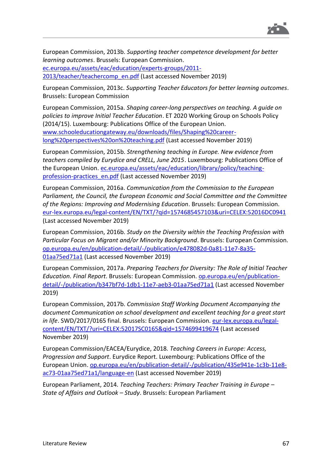

European Commission, 2013b. *Supporting teacher competence development for better learning outcomes*. Brussels: European Commission. [ec.europa.eu/assets/eac/education/experts-groups/2011-](https://ec.europa.eu/assets/eac/education/experts-groups/2011-2013/teacher/teachercomp_en.pdf)

[2013/teacher/teachercomp\\_en.pdf](https://ec.europa.eu/assets/eac/education/experts-groups/2011-2013/teacher/teachercomp_en.pdf) (Last accessed November 2019)

European Commission, 2013c. *Supporting Teacher Educators for better learning outcomes*. Brussels: European Commission

European Commission, 2015a. *Shaping career-long perspectives on teaching. A guide on policies to improve Initial Teacher Education*. ET 2020 Working Group on Schools Policy (2014/15). Luxembourg: Publications Office of the European Union. [www.schooleducationgateway.eu/downloads/files/Shaping%20career](https://www.schooleducationgateway.eu/downloads/files/Shaping%20career-long%20perspectives%20on%20teaching.pdf)[long%20perspectives%20on%20teaching.pdf](https://www.schooleducationgateway.eu/downloads/files/Shaping%20career-long%20perspectives%20on%20teaching.pdf) (Last accessed November 2019)

European Commission, 2015b. *Strengthening teaching in Europe. New evidence from teachers compiled by Eurydice and CRELL, June 2015*. Luxembourg: Publications Office of the European Union. [ec.europa.eu/assets/eac/education/library/policy/teaching](https://ec.europa.eu/assets/eac/education/library/policy/teaching-profession-practices_en.pdf)[profession-practices\\_en.pdf](https://ec.europa.eu/assets/eac/education/library/policy/teaching-profession-practices_en.pdf) (Last accessed November 2019)

European Commission, 2016a. *Communication from the Commission to the European Parliament, the Council, the European Economic and Social Committee and the Committee of the Regions: Improving and Modernising Education*. Brussels: European Commission. [eur-lex.europa.eu/legal-content/EN/TXT/?qid=1574685457103&uri=CELEX:52016DC0941](https://eur-lex.europa.eu/legal-content/EN/TXT/?qid=1574685457103&uri=CELEX:52016DC0941) (Last accessed November 2019)

European Commission, 2016b. *Study on the Diversity within the Teaching Profession with Particular Focus on Migrant and/or Minority Background*. Brussels: European Commission. [op.europa.eu/en/publication-detail/-/publication/e478082d-0a81-11e7-8a35-](https://op.europa.eu/en/publication-detail/-/publication/e478082d-0a81-11e7-8a35-01aa75ed71a1) [01aa75ed71a1](https://op.europa.eu/en/publication-detail/-/publication/e478082d-0a81-11e7-8a35-01aa75ed71a1) (Last accessed November 2019)

European Commission, 2017a. *Preparing Teachers for Diversity: The Role of Initial Teacher Education. Final Report*. Brussels: European Commission. [op.europa.eu/en/publication](https://op.europa.eu/en/publication-detail/-/publication/b347bf7d-1db1-11e7-aeb3-01aa75ed71a1)[detail/-/publication/b347bf7d-1db1-11e7-aeb3-01aa75ed71a1](https://op.europa.eu/en/publication-detail/-/publication/b347bf7d-1db1-11e7-aeb3-01aa75ed71a1) (Last accessed November 2019)

European Commission, 2017b. *Commission Staff Working Document Accompanying the document Communication on school development and excellent teaching for a great start in life*. SWD/2017/0165 final. Brussels: European Commission. [eur-lex.europa.eu/legal](https://eur-lex.europa.eu/legal-content/EN/TXT/?uri=CELEX:52017SC0165&qid=1574699419674)[content/EN/TXT/?uri=CELEX:52017SC0165&qid=1574699419674](https://eur-lex.europa.eu/legal-content/EN/TXT/?uri=CELEX:52017SC0165&qid=1574699419674) (Last accessed November 2019)

European Commission/EACEA/Eurydice, 2018. *Teaching Careers in Europe: Access, Progression and Support*. Eurydice Report. Luxembourg: Publications Office of the European Union. [op.europa.eu/en/publication-detail/-/publication/435e941e-1c3b-11e8](https://op.europa.eu/en/publication-detail/-/publication/435e941e-1c3b-11e8-ac73-01aa75ed71a1/language-en) [ac73-01aa75ed71a1/language-en](https://op.europa.eu/en/publication-detail/-/publication/435e941e-1c3b-11e8-ac73-01aa75ed71a1/language-en) (Last accessed November 2019)

European Parliament, 2014. *Teaching Teachers: Primary Teacher Training in Europe – State of Affairs and Outlook – Study*. Brussels: European Parliament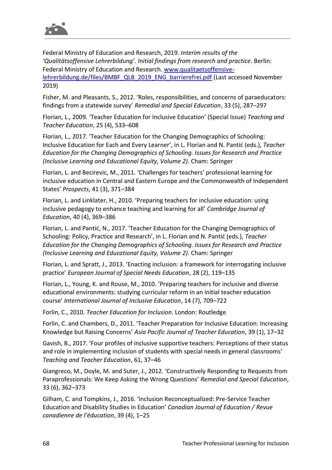

Federal Ministry of Education and Research, 2019. *Interim results of the 'Qualitätsoffensive Lehrerbildung'. Initial findings from research and practice*. Berlin: Federal Ministry of Education and Research. [www.qualitaetsoffensive](https://www.qualitaetsoffensive-lehrerbildung.de/files/BMBF_QLB_2019_ENG_barrierefrei.pdf)[lehrerbildung.de/files/BMBF\\_QLB\\_2019\\_ENG\\_barrierefrei.pdf](https://www.qualitaetsoffensive-lehrerbildung.de/files/BMBF_QLB_2019_ENG_barrierefrei.pdf) (Last accessed November 2019)

Fisher, M. and Pleasants, S., 2012. 'Roles, responsibilities, and concerns of paraeducators: findings from a statewide survey' *Remedial and Special Education*, 33 (5), 287–297

Florian, L., 2009. 'Teacher Education for Inclusive Education' (Special Issue) *Teaching and Teacher Education*, 25 (4), 533–608

Florian, L., 2017. 'Teacher Education for the Changing Demographics of Schooling: Inclusive Education for Each and Every Learner', in L. Florian and N. Pantić (eds.), *Teacher Education for the Changing Demographics of Schooling. Issues for Research and Practice (Inclusive Learning and Educational Equity, Volume 2)*. Cham: Springer

Florian, L. and Becirevic, M., 2011. 'Challenges for teachers' professional learning for inclusive education in Central and Eastern Europe and the Commonwealth of Independent States' *Prospects*, 41 (3), 371–384

Florian, L. and Linklater, H., 2010. 'Preparing teachers for inclusive education: using inclusive pedagogy to enhance teaching and learning for all' *Cambridge Journal of Education*, 40 (4), 369–386

Florian, L. and Pantić, N., 2017. 'Teacher Education for the Changing Demographics of Schooling: Policy, Practice and Research', in L. Florian and N. Pantić (eds.), *Teacher Education for the Changing Demographics of Schooling. Issues for Research and Practice (Inclusive Learning and Educational Equity, Volume 2)*. Cham: Springer

Florian, L. and Spratt, J., 2013. 'Enacting inclusion: a framework for interrogating inclusive practice' *European Journal of Special Needs Education*, 28 (2), 119–135

Florian, L., Young, K. and Rouse, M., 2010. 'Preparing teachers for inclusive and diverse educational environments: studying curricular reform in an initial teacher education course' *International Journal of Inclusive Education*, 14 (7), 709–722

Forlin, C., 2010. *Teacher Education for Inclusion*. London: Routledge

Forlin, C. and Chambers, D., 2011. 'Teacher Preparation for Inclusive Education: Increasing Knowledge but Raising Concerns' *Asia Pacific Journal of Teacher Education*, 39 (1), 17–32

Gavish, B., 2017. 'Four profiles of inclusive supportive teachers: Perceptions of their status and role in implementing inclusion of students with special needs in general classrooms' *Teaching and Teacher Education*, 61, 37–46

Giangreco, M., Doyle, M. and Suter, J., 2012. 'Constructively Responding to Requests from Paraprofessionals: We Keep Asking the Wrong Questions' *Remedial and Special Education*, 33 (6), 362–373

Gilham, C. and Tompkins, J., 2016. 'Inclusion Reconceptualized: Pre-Service Teacher Education and Disability Studies in Education' *Canadian Journal of Education / Revue canadienne de l'éducation*, 39 (4), 1–25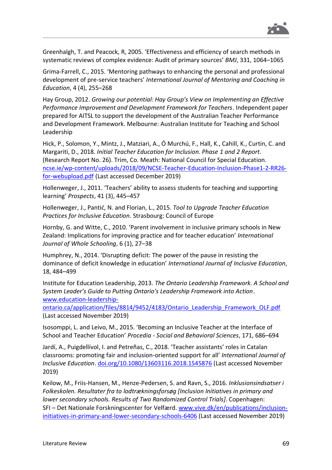

Greenhalgh, T. and Peacock, R, 2005. 'Effectiveness and efficiency of search methods in systematic reviews of complex evidence: Audit of primary sources' *BMJ*, 331, 1064–1065

Grima-Farrell, C., 2015. 'Mentoring pathways to enhancing the personal and professional development of pre-service teachers' *International Journal of Mentoring and Coaching in Education*, 4 (4), 255–268

Hay Group, 2012. *Growing our potential: Hay Group's View on Implementing an Effective Performance Improvement and Development Framework for Teachers*. Independent paper prepared for AITSL to support the development of the Australian Teacher Performance and Development Framework. Melbourne: Australian Institute for Teaching and School Leadership

Hick, P., Solomon, Y., Mintz, J., Matziari, A., Ó Murchú, F., Hall, K., Cahill, K., Curtin, C. and Margariti, D., 2018. *Initial Teacher Education for Inclusion. Phase 1 and 2 Report*. (Research Report No. 26). Trim, Co. Meath: National Council for Special Education. [ncse.ie/wp-content/uploads/2018/09/NCSE-Teacher-Education-Inclusion-Phase1-2-RR26](https://ncse.ie/wp-content/uploads/2018/09/NCSE-Teacher-Education-Inclusion-Phase1-2-RR26-for-webupload.pdf) [for-webupload.pdf](https://ncse.ie/wp-content/uploads/2018/09/NCSE-Teacher-Education-Inclusion-Phase1-2-RR26-for-webupload.pdf) (Last accessed December 2019)

Hollenweger, J., 2011. 'Teachers' ability to assess students for teaching and supporting learning' *Prospects*, 41 (3), 445–457

Hollenweger, J., Pantić, N. and Florian, L., 2015. *Tool to Upgrade Teacher Education Practices for Inclusive Education*. Strasbourg: Council of Europe

Hornby, G. and Witte, C., 2010. 'Parent involvement in inclusive primary schools in New Zealand: Implications for improving practice and for teacher education' *International Journal of Whole Schooling*, 6 (1), 27–38

Humphrey, N., 2014. 'Disrupting deficit: The power of the pause in resisting the dominance of deficit knowledge in education' *International Journal of Inclusive Education*, 18, 484–499

Institute for Education Leadership, 2013. *The Ontario Leadership Framework. A School and System Leader's Guide to Putting Ontario's Leadership Framework into Action*. [www.education-leadership-](https://www.education-leadership-ontario.ca/application/files/8814/9452/4183/Ontario_Leadership_Framework_OLF.pdf)

[ontario.ca/application/files/8814/9452/4183/Ontario\\_Leadership\\_Framework\\_OLF.pdf](https://www.education-leadership-ontario.ca/application/files/8814/9452/4183/Ontario_Leadership_Framework_OLF.pdf) (Last accessed November 2019)

Isosomppi, L. and Leivo, M., 2015. 'Becoming an Inclusive Teacher at the Interface of School and Teacher Education' *Procedia - Social and Behavioral Sciences*, 171, 686–694

Jardí, A., Puigdellívol, I. and Petreñas, C., 2018. 'Teacher assistants' roles in Catalan classrooms: promoting fair and inclusion-oriented support for all' *International Journal of Inclusive Education*. [doi.org/10.1080/13603116.2018.1545876](https://doi.org/10.1080/13603116.2018.1545876) (Last accessed November 2019)

Keilow, M., Friis-Hansen, M., Henze-Pedersen, S. and Ravn, S., 2016. *Inklusionsindsatser i Folkeskolen. Resultater fra to lodtrækningsforsøg [Inclusion Initiatives in primary and lower secondary schools. Results of Two Randomized Control Trials]*. Copenhagen: SFI – Det Nationale Forskningscenter for Velfærd. [www.vive.dk/en/publications/inclusion](https://www.vive.dk/en/publications/inclusion-initiatives-in-primary-and-lower-secondary-schools-6406/)[initiatives-in-primary-and-lower-secondary-schools-6406](https://www.vive.dk/en/publications/inclusion-initiatives-in-primary-and-lower-secondary-schools-6406/) (Last accessed November 2019)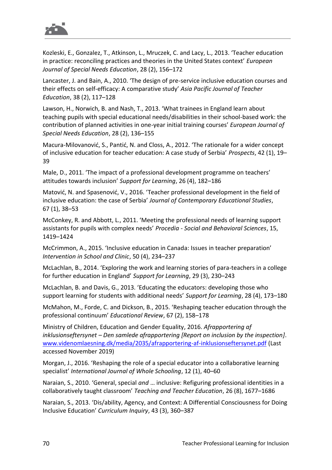

Kozleski, E., Gonzalez, T., Atkinson, L., Mruczek, C. and Lacy, L., 2013. 'Teacher education in practice: reconciling practices and theories in the United States context' *European Journal of Special Needs Education*, 28 (2), 156–172

Lancaster, J. and Bain, A., 2010. 'The design of pre-service inclusive education courses and their effects on self-efficacy: A comparative study' *Asia Pacific Journal of Teacher Education*, 38 (2), 117–128

Lawson, H., Norwich, B. and Nash, T., 2013. 'What trainees in England learn about teaching pupils with special educational needs/disabilities in their school-based work: the contribution of planned activities in one-year initial training courses' *European Journal of Special Needs Education*, 28 (2), 136–155

Macura-Milovanović, S., Pantić, N. and Closs, A., 2012. 'The rationale for a wider concept of inclusive education for teacher education: A case study of Serbia' *Prospects*, 42 (1), 19– 39

Male, D., 2011. 'The impact of a professional development programme on teachers' attitudes towards inclusion' *Support for Learning*, 26 (4), 182–186

Matović, N. and Spasenović, V., 2016. 'Teacher professional development in the field of inclusive education: the case of Serbia' *Journal of Contemporary Educational Studies*, 67 (1), 38–53

McConkey, R. and Abbott, L., 2011. 'Meeting the professional needs of learning support assistants for pupils with complex needs' *Procedia - Social and Behavioral Sciences*, 15, 1419–1424

McCrimmon, A., 2015. 'Inclusive education in Canada: Issues in teacher preparation' *Intervention in School and Clinic*, 50 (4), 234–237

McLachlan, B., 2014. 'Exploring the work and learning stories of para-teachers in a college for further education in England' *Support for Learning*, 29 (3), 230–243

McLachlan, B. and Davis, G., 2013. 'Educating the educators: developing those who support learning for students with additional needs' *Support for Learning*, 28 (4), 173–180

McMahon, M., Forde, C. and Dickson, B., 2015. 'Reshaping teacher education through the professional continuum' *Educational Review*, 67 (2), 158–178

Ministry of Children, Education and Gender Equality, 2016. *Afrapportering af inklusionseftersynet – Den samlede afrapportering [Report on inclusion by the inspection]*. [www.videnomlaesning.dk/media/2035/afrapportering-af-inklusionseftersynet.pdf](https://www.videnomlaesning.dk/media/2035/afrapportering-af-inklusionseftersynet.pdf) (Last accessed November 2019)

Morgan, J., 2016. 'Reshaping the role of a special educator into a collaborative learning specialist' *International Journal of Whole Schooling*, 12 (1), 40–60

Naraian, S., 2010. 'General, special *and* … inclusive: Refiguring professional identities in a collaboratively taught classroom' *Teaching and Teacher Education*, 26 (8), 1677–1686

Naraian, S., 2013. 'Dis/ability, Agency, and Context: A Differential Consciousness for Doing Inclusive Education' *Curriculum Inquiry*, 43 (3), 360–387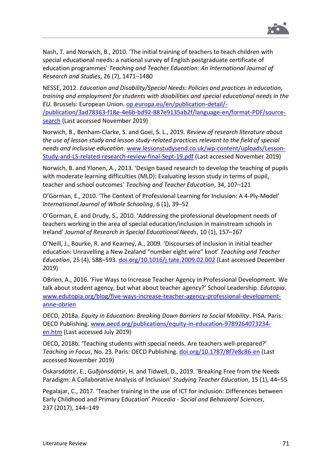

Nash, T. and Norwich, B., 2010. 'The initial training of teachers to teach children with special educational needs: a national survey of English postgraduate certificate of education programmes' *Teaching and Teacher Education: An International Journal of Research and Studies*, 26 (7), 1471–1480

NESSE, 2012. *Education and Disability/Special Needs: Policies and practices in education, training and employment for students with disabilities and special educational needs in the EU*. Brussels: European Union. [op.europa.eu/en/publication-detail/-](https://op.europa.eu/en/publication-detail/-/publication/3ad78363-f18e-4e6b-bd92-887e9135ab2f/language-en/format-PDF/source-search) [/publication/3ad78363-f18e-4e6b-bd92-887e9135ab2f/language-en/format-PDF/source](https://op.europa.eu/en/publication-detail/-/publication/3ad78363-f18e-4e6b-bd92-887e9135ab2f/language-en/format-PDF/source-search)[search](https://op.europa.eu/en/publication-detail/-/publication/3ad78363-f18e-4e6b-bd92-887e9135ab2f/language-en/format-PDF/source-search) (Last accessed November 2019)

Norwich, B., Benham-Clarke, S. and Goei, S. L., 2019. *Review of research literature about the use of lesson study and lesson study-related practices relevant to the field of special needs and inclusive education*. [www.lessonstudysend.co.uk/wp-content/uploads/Lesson-](http://www.lessonstudysend.co.uk/wp-content/uploads/Lesson-Study-and-LS-related-research-review-final-Sept-19.pdf)[Study-and-LS-related-research-review-final-Sept-19.pdf](http://www.lessonstudysend.co.uk/wp-content/uploads/Lesson-Study-and-LS-related-research-review-final-Sept-19.pdf) (Last accessed November 2019)

Norwich, B. and Ylonen, A., 2013. 'Design based research to develop the teaching of pupils with moderate learning difficulties (MLD): Evaluating lesson study in terms of pupil, teacher and school outcomes' *Teaching and Teacher Education*, 34, 107–121

O'Gorman, E., 2010. 'The Context of Professional Learning for Inclusion: A 4-Ply-Model' *International Journal of Whole Schooling*, 6 (1), 39–52

O'Gorman, E. and Drudy, S., 2010. 'Addressing the professional development needs of teachers working in the area of special education/inclusion in mainstream schools in Ireland' *Journal of Research in Special Educational Needs*, 10 (1), 157–167

O'Neill, J., Bourke, R. and Kearney, A., 2009. 'Discourses of inclusion in initial teacher education: Unravelling a New Zealand "number eight wire" knot' *Teaching and Teacher Education*, 25 (4), 588–593. [doi.org/10.1016/j.tate.2009.02.002](https://doi.org/10.1016/j.tate.2009.02.002) (Last accessed December 2019)

OBrien, A., 2016. 'Five Ways to Increase Teacher Agency in Professional Development. We talk about student agency, but what about teacher agency?' School Leadership. *Edutopia*. [www.edutopia.org/blog/five-ways-increase-teacher-agency-professional-development](https://www.edutopia.org/blog/five-ways-increase-teacher-agency-professional-development-anne-obrien)[anne-obrien](https://www.edutopia.org/blog/five-ways-increase-teacher-agency-professional-development-anne-obrien)

OECD, 2018a. *Equity in Education: Breaking Down Barriers to Social Mobility*. PISA. Paris: OECD Publishing. [www.oecd.org/publications/equity-in-education-9789264073234](http://www.oecd.org/publications/equity-in-education-9789264073234-en.htm) [en.htm](http://www.oecd.org/publications/equity-in-education-9789264073234-en.htm) (Last accessed July 2019)

OECD, 2018b. 'Teaching students with special needs. Are teachers well-prepared?' *Teaching in Focus*, No. 23. Paris: OECD Publishing. [doi.org/10.1787/8f7e8c86-en](https://doi.org/10.1787/8f7e8c86-en) (Last accessed November 2019)

Óskarsdóttir, E., Guðjónsdóttir, H. and Tidwell, D., 2019. 'Breaking Free from the Needs Paradigm: A Collaborative Analysis of Inclusion' *Studying Teacher Education*, 15 (1), 44–55

Pegalajar, C., 2017. 'Teacher training in the use of ICT for inclusion: Differences between Early Childhood and Primary Education' *Procedia - Social and Behavioral Sciences*, 237 (2017), 144–149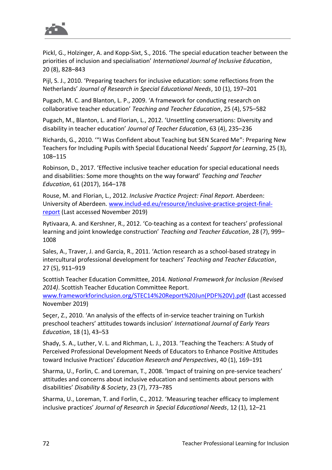

Pickl, G., Holzinger, A. and Kopp-Sixt, S., 2016. 'The special education teacher between the priorities of inclusion and specialisation' *International Journal of Inclusive Education*, 20 (8), 828–843

Pijl, S. J., 2010. 'Preparing teachers for inclusive education: some reflections from the Netherlands' *Journal of Research in Special Educational Needs*, 10 (1), 197–201

Pugach, M. C. and Blanton, L. P., 2009. 'A framework for conducting research on collaborative teacher education' *Teaching and Teacher Education*, 25 (4), 575–582

Pugach, M., Blanton, L. and Florian, L., 2012. 'Unsettling conversations: Diversity and disability in teacher education' *Journal of Teacher Education*, 63 (4), 235–236

Richards, G., 2010. '"I Was Confident about Teaching but SEN Scared Me": Preparing New Teachers for Including Pupils with Special Educational Needs' *Support for Learning*, 25 (3), 108–115

Robinson, D., 2017. 'Effective inclusive teacher education for special educational needs and disabilities: Some more thoughts on the way forward' *Teaching and Teacher Education*, 61 (2017), 164–178

Rouse, M. and Florian, L., 2012. *Inclusive Practice Project: Final Report*. Aberdeen: University of Aberdeen. [www.includ-ed.eu/resource/inclusive-practice-project-final](http://www.includ-ed.eu/resource/inclusive-practice-project-final-report)[report](http://www.includ-ed.eu/resource/inclusive-practice-project-final-report) (Last accessed November 2019)

Rytivaara, A. and Kershner, R., 2012. 'Co-teaching as a context for teachers' professional learning and joint knowledge construction' *Teaching and Teacher Education*, 28 (7), 999– 1008

Sales, A., Traver, J. and Garcia, R., 2011. 'Action research as a school-based strategy in intercultural professional development for teachers' *Teaching and Teacher Education*, 27 (5), 911–919

Scottish Teacher Education Committee, 2014. *National Framework for Inclusion (Revised 2014)*. Scottish Teacher Education Committee Report.

[www.frameworkforinclusion.org/STEC14%20Report%20Jun\(PDF%20V\).pdf](http://www.frameworkforinclusion.org/STEC14%20Report%20Jun(PDF%20V).pdf) (Last accessed November 2019)

Seçer, Z., 2010. 'An analysis of the effects of in‐service teacher training on Turkish preschool teachers' attitudes towards inclusion' *International Journal of Early Years Education*, 18 (1), 43–53

Shady, S. A., Luther, V. L. and Richman, L. J., 2013. 'Teaching the Teachers: A Study of Perceived Professional Development Needs of Educators to Enhance Positive Attitudes toward Inclusive Practices' *Education Research and Perspectives*, 40 (1), 169–191

Sharma, U., Forlin, C. and Loreman, T., 2008. 'Impact of training on pre-service teachers' attitudes and concerns about inclusive education and sentiments about persons with disabilities' *Disability & Society*, 23 (7), 773–785

Sharma, U., Loreman, T. and Forlin, C., 2012. 'Measuring teacher efficacy to implement inclusive practices' *Journal of Research in Special Educational Needs*, 12 (1), 12–21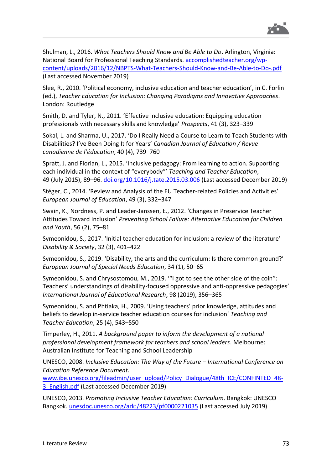

Shulman, L., 2016. *What Teachers Should Know and Be Able to Do*. Arlington, Virginia: National Board for Professional Teaching Standards. [accomplishedteacher.org/wp](http://accomplishedteacher.org/wp-content/uploads/2016/12/NBPTS-What-Teachers-Should-Know-and-Be-Able-to-Do-.pdf)[content/uploads/2016/12/NBPTS-What-Teachers-Should-Know-and-Be-Able-to-Do-.pdf](http://accomplishedteacher.org/wp-content/uploads/2016/12/NBPTS-What-Teachers-Should-Know-and-Be-Able-to-Do-.pdf) (Last accessed November 2019)

Slee, R., 2010. 'Political economy, inclusive education and teacher education', in C. Forlin (ed.), *Teacher Education for Inclusion: Changing Paradigms and Innovative Approaches*. London: Routledge

Smith, D. and Tyler, N., 2011. 'Effective inclusive education: Equipping education professionals with necessary skills and knowledge' *Prospects*, 41 (3), 323–339

Sokal, L. and Sharma, U., 2017. 'Do I Really Need a Course to Learn to Teach Students with Disabilities? I've Been Doing It for Years' *Canadian Journal of Education / Revue canadienne de l'éducation*, 40 (4), 739–760

Spratt, J. and Florian, L., 2015. 'Inclusive pedagogy: From learning to action. Supporting each individual in the context of "everybody"' *Teaching and Teacher Education*, 49 (July 2015), 89–96. [doi.org/10.1016/j.tate.2015.03.006](https://doi.org/10.1016/j.tate.2015.03.006) (Last accessed December 2019)

Stéger, C., 2014. 'Review and Analysis of the EU Teacher-related Policies and Activities' *European Journal of Education*, 49 (3), 332–347

Swain, K., Nordness, P. and Leader-Janssen, E., 2012. 'Changes in Preservice Teacher Attitudes Toward Inclusion' *Preventing School Failure: Alternative Education for Children and Youth*, 56 (2), 75–81

Symeonidou, S., 2017. 'Initial teacher education for inclusion: a review of the literature' *Disability & Society*, 32 (3), 401–422

Symeonidou, S., 2019. 'Disability, the arts and the curriculum: Is there common ground?' *European Journal of Special Needs Education*, 34 (1), 50–65

Symeonidou, S. and Chrysostomou, M., 2019. '"I got to see the other side of the coin": Teachers' understandings of disability-focused oppressive and anti-oppressive pedagogies' *International Journal of Educational Research*, 98 (2019), 356–365

Symeonidou, S. and Phtiaka, H., 2009. 'Using teachers' prior knowledge, attitudes and beliefs to develop in-service teacher education courses for inclusion' *Teaching and Teacher Education*, 25 (4), 543–550

Timperley, H., 2011. *A background paper to inform the development of a national professional development framework for teachers and school leaders*. Melbourne: Australian Institute for Teaching and School Leadership

UNESCO, 2008. *Inclusive Education: The Way of the Future – International Conference on Education Reference Document*.

[www.ibe.unesco.org/fileadmin/user\\_upload/Policy\\_Dialogue/48th\\_ICE/CONFINTED\\_48-](http://www.ibe.unesco.org/fileadmin/user_upload/Policy_Dialogue/48th_ICE/CONFINTED_48-3_English.pdf) 3 English.pdf (Last accessed December 2019)

UNESCO, 2013. *Promoting Inclusive Teacher Education: Curriculum*. Bangkok: UNESCO Bangkok. [unesdoc.unesco.org/ark:/48223/pf0000221035](https://unesdoc.unesco.org/ark:/48223/pf0000221035) (Last accessed July 2019)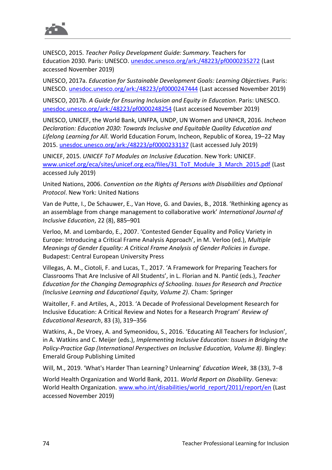

UNESCO, 2015. *Teacher Policy Development Guide: Summary*. Teachers for Education 2030. Paris: UNESCO. [unesdoc.unesco.org/ark:/48223/pf0000235272](https://unesdoc.unesco.org/ark:/48223/pf0000235272) (Last accessed November 2019)

UNESCO, 2017a. *Education for Sustainable Development Goals: Learning Objectives*. Paris: UNESCO. [unesdoc.unesco.org/ark:/48223/pf0000247444](https://unesdoc.unesco.org/ark:/48223/pf0000247444) (Last accessed November 2019)

UNESCO, 2017b. *A Guide for Ensuring Inclusion and Equity in Education*. Paris: UNESCO. [unesdoc.unesco.org/ark:/48223/pf0000248254](https://unesdoc.unesco.org/ark:/48223/pf0000248254) (Last accessed November 2019)

UNESCO, UNICEF, the World Bank, UNFPA, UNDP, UN Women and UNHCR, 2016. *Incheon Declaration: Education 2030: Towards Inclusive and Equitable Quality Education and Lifelong Learning for All*. World Education Forum, Incheon, Republic of Korea, 19–22 May 2015. [unesdoc.unesco.org/ark:/48223/pf0000233137](https://unesdoc.unesco.org/ark:/48223/pf0000233137) (Last accessed July 2019)

UNICEF, 2015. *UNICEF ToT Modules on Inclusive Education*. New York: UNICEF. [www.unicef.org/eca/sites/unicef.org.eca/files/31\\_ToT\\_Module\\_3\\_March\\_2015.pdf](https://www.unicef.org/eca/sites/unicef.org.eca/files/31_ToT_Module_3_March_2015.pdf) (Last accessed July 2019)

United Nations, 2006. *Convention on the Rights of Persons with Disabilities and Optional Protocol*. New York: United Nations

Van de Putte, I., De Schauwer, E., Van Hove, G. and Davies, B., 2018. 'Rethinking agency as an assemblage from change management to collaborative work' *International Journal of Inclusive Education*, 22 (8), 885–901

Verloo, M. and Lombardo, E., 2007. 'Contested Gender Equality and Policy Variety in Europe: Introducing a Critical Frame Analysis Approach', in M. Verloo (ed.), *Multiple Meanings of Gender Equality: A Critical Frame Analysis of Gender Policies in Europe*. Budapest: Central European University Press

Villegas, A. M., Ciotoli, F. and Lucas, T., 2017. 'A Framework for Preparing Teachers for Classrooms That Are Inclusive of All Students', in L. Florian and N. Pantić (eds.), *Teacher Education for the Changing Demographics of Schooling. Issues for Research and Practice (Inclusive Learning and Educational Equity, Volume 2)*. Cham: Springer

Waitoller, F. and Artiles, A., 2013. 'A Decade of Professional Development Research for Inclusive Education: A Critical Review and Notes for a Research Program' *Review of Educational Research*, 83 (3), 319–356

Watkins, A., De Vroey, A. and Symeonidou, S., 2016. 'Educating All Teachers for Inclusion', in A. Watkins and C. Meijer (eds.), *Implementing Inclusive Education: Issues in Bridging the Policy-Practice Gap (International Perspectives on Inclusive Education, Volume 8)*. Bingley: Emerald Group Publishing Limited

Will, M., 2019. 'What's Harder Than Learning? Unlearning' *Education Week*, 38 (33), 7–8

World Health Organization and World Bank, 2011. *World Report on Disability*. Geneva: World Health Organization. [www.who.int/disabilities/world\\_report/2011/report/en](https://www.who.int/disabilities/world_report/2011/report/en/) (Last accessed November 2019)